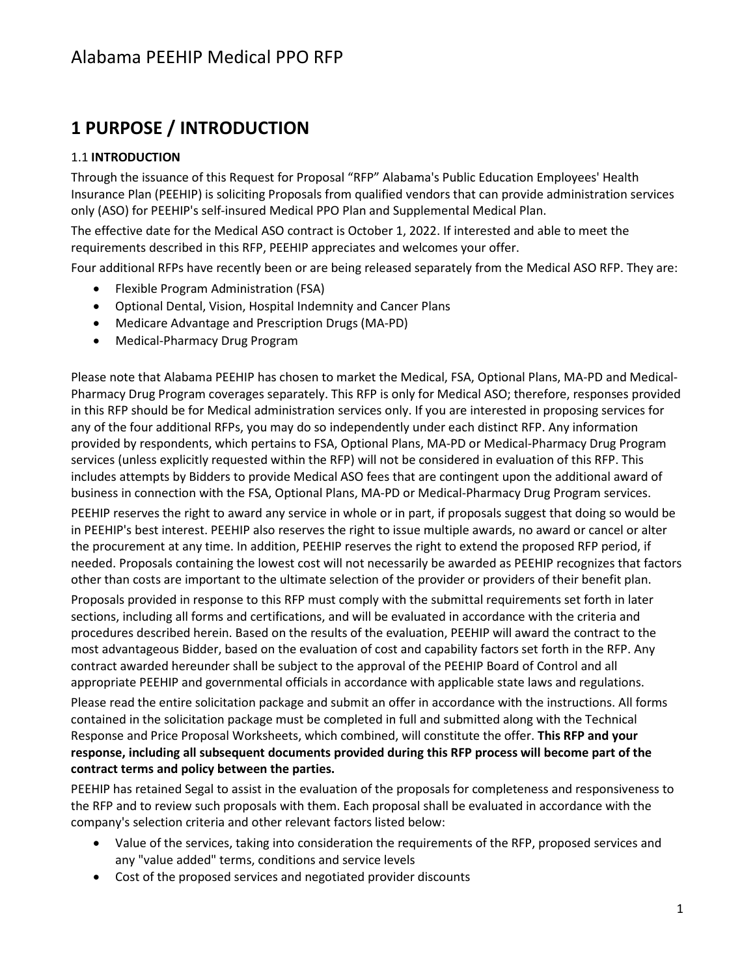# **1 PURPOSE / INTRODUCTION**

#### 1.1 **INTRODUCTION**

Through the issuance of this Request for Proposal "RFP" Alabama's Public Education Employees' Health Insurance Plan (PEEHIP) is soliciting Proposals from qualified vendors that can provide administration services only (ASO) for PEEHIP's self-insured Medical PPO Plan and Supplemental Medical Plan.

The effective date for the Medical ASO contract is October 1, 2022. If interested and able to meet the requirements described in this RFP, PEEHIP appreciates and welcomes your offer.

Four additional RFPs have recently been or are being released separately from the Medical ASO RFP. They are:

- Flexible Program Administration (FSA)
- Optional Dental, Vision, Hospital Indemnity and Cancer Plans
- Medicare Advantage and Prescription Drugs (MA-PD)
- Medical-Pharmacy Drug Program

Please note that Alabama PEEHIP has chosen to market the Medical, FSA, Optional Plans, MA-PD and Medical-Pharmacy Drug Program coverages separately. This RFP is only for Medical ASO; therefore, responses provided in this RFP should be for Medical administration services only. If you are interested in proposing services for any of the four additional RFPs, you may do so independently under each distinct RFP. Any information provided by respondents, which pertains to FSA, Optional Plans, MA-PD or Medical-Pharmacy Drug Program services (unless explicitly requested within the RFP) will not be considered in evaluation of this RFP. This includes attempts by Bidders to provide Medical ASO fees that are contingent upon the additional award of business in connection with the FSA, Optional Plans, MA-PD or Medical-Pharmacy Drug Program services.

PEEHIP reserves the right to award any service in whole or in part, if proposals suggest that doing so would be in PEEHIP's best interest. PEEHIP also reserves the right to issue multiple awards, no award or cancel or alter the procurement at any time. In addition, PEEHIP reserves the right to extend the proposed RFP period, if needed. Proposals containing the lowest cost will not necessarily be awarded as PEEHIP recognizes that factors other than costs are important to the ultimate selection of the provider or providers of their benefit plan.

Proposals provided in response to this RFP must comply with the submittal requirements set forth in later sections, including all forms and certifications, and will be evaluated in accordance with the criteria and procedures described herein. Based on the results of the evaluation, PEEHIP will award the contract to the most advantageous Bidder, based on the evaluation of cost and capability factors set forth in the RFP. Any contract awarded hereunder shall be subject to the approval of the PEEHIP Board of Control and all appropriate PEEHIP and governmental officials in accordance with applicable state laws and regulations.

Please read the entire solicitation package and submit an offer in accordance with the instructions. All forms contained in the solicitation package must be completed in full and submitted along with the Technical Response and Price Proposal Worksheets, which combined, will constitute the offer. **This RFP and your response, including all subsequent documents provided during this RFP process will become part of the contract terms and policy between the parties.**

PEEHIP has retained Segal to assist in the evaluation of the proposals for completeness and responsiveness to the RFP and to review such proposals with them. Each proposal shall be evaluated in accordance with the company's selection criteria and other relevant factors listed below:

- Value of the services, taking into consideration the requirements of the RFP, proposed services and any "value added" terms, conditions and service levels
- Cost of the proposed services and negotiated provider discounts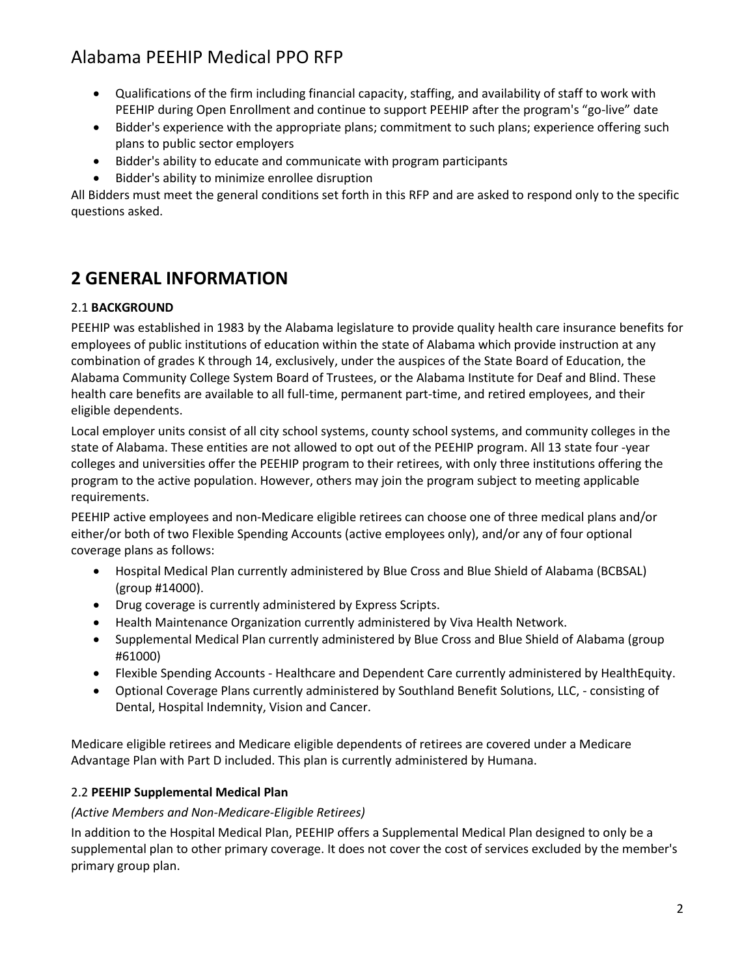- Qualifications of the firm including financial capacity, staffing, and availability of staff to work with PEEHIP during Open Enrollment and continue to support PEEHIP after the program's "go-live" date
- Bidder's experience with the appropriate plans; commitment to such plans; experience offering such plans to public sector employers
- Bidder's ability to educate and communicate with program participants
- Bidder's ability to minimize enrollee disruption

All Bidders must meet the general conditions set forth in this RFP and are asked to respond only to the specific questions asked.

# **2 GENERAL INFORMATION**

#### 2.1 **BACKGROUND**

PEEHIP was established in 1983 by the Alabama legislature to provide quality health care insurance benefits for employees of public institutions of education within the state of Alabama which provide instruction at any combination of grades K through 14, exclusively, under the auspices of the State Board of Education, the Alabama Community College System Board of Trustees, or the Alabama Institute for Deaf and Blind. These health care benefits are available to all full-time, permanent part-time, and retired employees, and their eligible dependents.

Local employer units consist of all city school systems, county school systems, and community colleges in the state of Alabama. These entities are not allowed to opt out of the PEEHIP program. All 13 state four -year colleges and universities offer the PEEHIP program to their retirees, with only three institutions offering the program to the active population. However, others may join the program subject to meeting applicable requirements.

PEEHIP active employees and non-Medicare eligible retirees can choose one of three medical plans and/or either/or both of two Flexible Spending Accounts (active employees only), and/or any of four optional coverage plans as follows:

- Hospital Medical Plan currently administered by Blue Cross and Blue Shield of Alabama (BCBSAL) (group #14000).
- Drug coverage is currently administered by Express Scripts.
- Health Maintenance Organization currently administered by Viva Health Network.
- Supplemental Medical Plan currently administered by Blue Cross and Blue Shield of Alabama (group #61000)
- Flexible Spending Accounts Healthcare and Dependent Care currently administered by HealthEquity.
- Optional Coverage Plans currently administered by Southland Benefit Solutions, LLC, consisting of Dental, Hospital Indemnity, Vision and Cancer.

Medicare eligible retirees and Medicare eligible dependents of retirees are covered under a Medicare Advantage Plan with Part D included. This plan is currently administered by Humana.

#### 2.2 **PEEHIP Supplemental Medical Plan**

#### *(Active Members and Non-Medicare-Eligible Retirees)*

In addition to the Hospital Medical Plan, PEEHIP offers a Supplemental Medical Plan designed to only be a supplemental plan to other primary coverage. It does not cover the cost of services excluded by the member's primary group plan.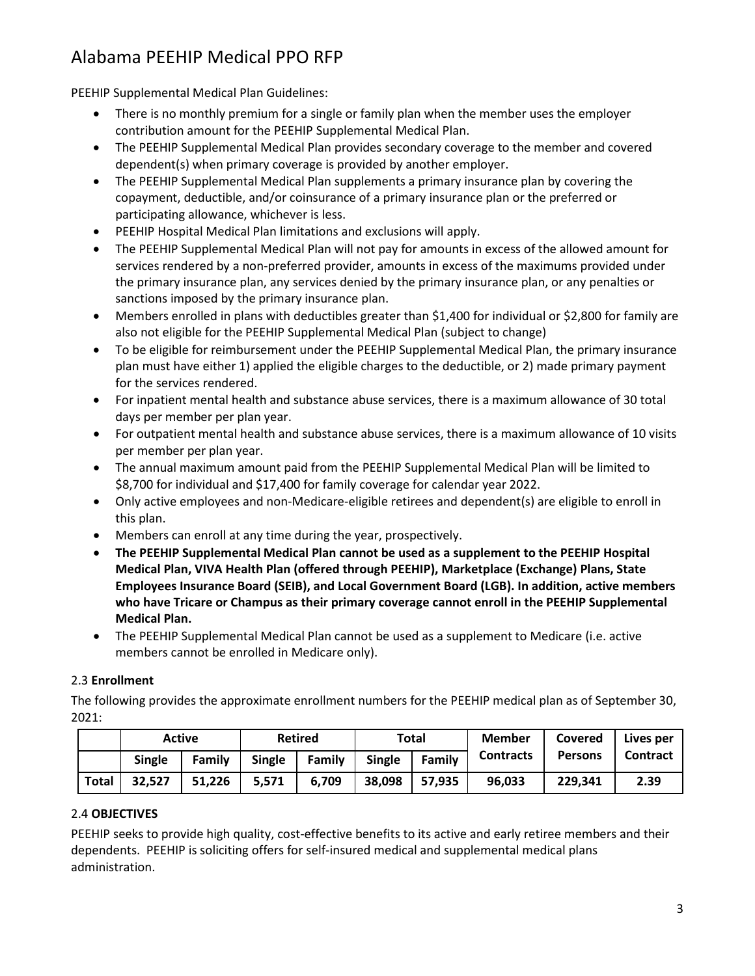PEEHIP Supplemental Medical Plan Guidelines:

- There is no monthly premium for a single or family plan when the member uses the employer contribution amount for the PEEHIP Supplemental Medical Plan.
- The PEEHIP Supplemental Medical Plan provides secondary coverage to the member and covered dependent(s) when primary coverage is provided by another employer.
- The PEEHIP Supplemental Medical Plan supplements a primary insurance plan by covering the copayment, deductible, and/or coinsurance of a primary insurance plan or the preferred or participating allowance, whichever is less.
- PEEHIP Hospital Medical Plan limitations and exclusions will apply.
- The PEEHIP Supplemental Medical Plan will not pay for amounts in excess of the allowed amount for services rendered by a non-preferred provider, amounts in excess of the maximums provided under the primary insurance plan, any services denied by the primary insurance plan, or any penalties or sanctions imposed by the primary insurance plan.
- Members enrolled in plans with deductibles greater than \$1,400 for individual or \$2,800 for family are also not eligible for the PEEHIP Supplemental Medical Plan (subject to change)
- To be eligible for reimbursement under the PEEHIP Supplemental Medical Plan, the primary insurance plan must have either 1) applied the eligible charges to the deductible, or 2) made primary payment for the services rendered.
- For inpatient mental health and substance abuse services, there is a maximum allowance of 30 total days per member per plan year.
- For outpatient mental health and substance abuse services, there is a maximum allowance of 10 visits per member per plan year.
- The annual maximum amount paid from the PEEHIP Supplemental Medical Plan will be limited to \$8,700 for individual and \$17,400 for family coverage for calendar year 2022.
- Only active employees and non-Medicare-eligible retirees and dependent(s) are eligible to enroll in this plan.
- Members can enroll at any time during the year, prospectively.
- **The PEEHIP Supplemental Medical Plan cannot be used as a supplement to the PEEHIP Hospital Medical Plan, VIVA Health Plan (offered through PEEHIP), Marketplace (Exchange) Plans, State Employees Insurance Board (SEIB), and Local Government Board (LGB). In addition, active members who have Tricare or Champus as their primary coverage cannot enroll in the PEEHIP Supplemental Medical Plan.**
- The PEEHIP Supplemental Medical Plan cannot be used as a supplement to Medicare (i.e. active members cannot be enrolled in Medicare only).

#### 2.3 **Enrollment**

The following provides the approximate enrollment numbers for the PEEHIP medical plan as of September 30, 2021:

|              |        | <b>Active</b> |               | <b>Retired</b> |        | Total  | <b>Member</b>    | Covered        | Lives per<br><b>Contract</b> |
|--------------|--------|---------------|---------------|----------------|--------|--------|------------------|----------------|------------------------------|
|              | Single | Family        | <b>Single</b> | Family         | Single | Family | <b>Contracts</b> | <b>Persons</b> |                              |
| <b>Total</b> | 32,527 | 51,226        | 5,571         | 6,709          | 38,098 | 57,935 | 96,033           | 229,341        | 2.39                         |

#### 2.4 **OBJECTIVES**

PEEHIP seeks to provide high quality, cost-effective benefits to its active and early retiree members and their dependents. PEEHIP is soliciting offers for self-insured medical and supplemental medical plans administration.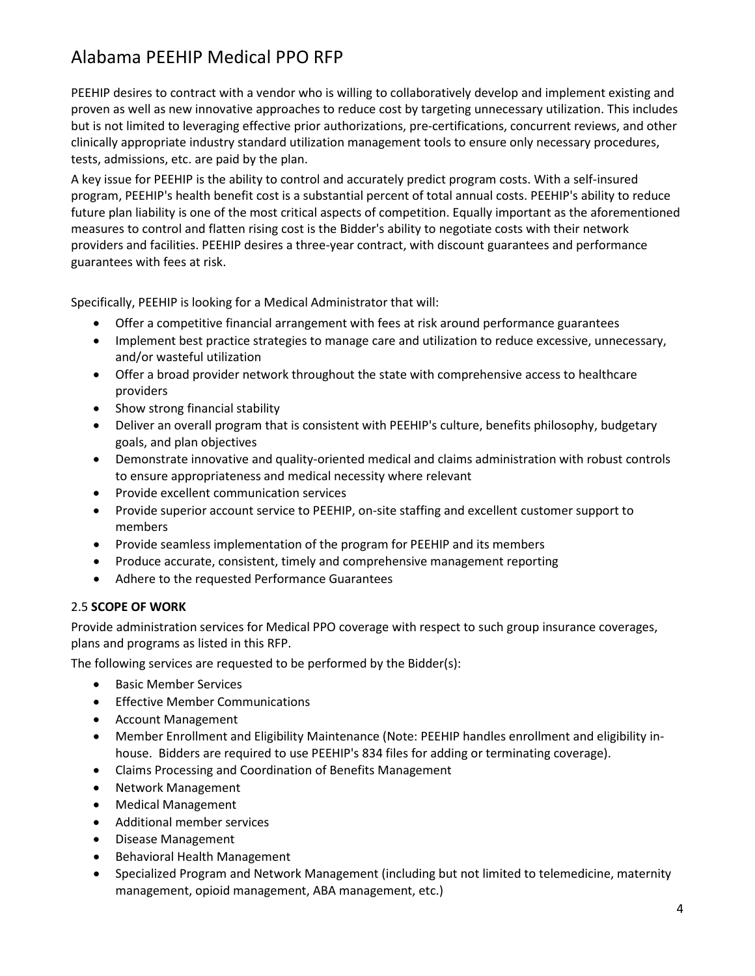PEEHIP desires to contract with a vendor who is willing to collaboratively develop and implement existing and proven as well as new innovative approaches to reduce cost by targeting unnecessary utilization. This includes but is not limited to leveraging effective prior authorizations, pre-certifications, concurrent reviews, and other clinically appropriate industry standard utilization management tools to ensure only necessary procedures, tests, admissions, etc. are paid by the plan.

A key issue for PEEHIP is the ability to control and accurately predict program costs. With a self-insured program, PEEHIP's health benefit cost is a substantial percent of total annual costs. PEEHIP's ability to reduce future plan liability is one of the most critical aspects of competition. Equally important as the aforementioned measures to control and flatten rising cost is the Bidder's ability to negotiate costs with their network providers and facilities. PEEHIP desires a three-year contract, with discount guarantees and performance guarantees with fees at risk.

Specifically, PEEHIP is looking for a Medical Administrator that will:

- Offer a competitive financial arrangement with fees at risk around performance guarantees
- Implement best practice strategies to manage care and utilization to reduce excessive, unnecessary, and/or wasteful utilization
- Offer a broad provider network throughout the state with comprehensive access to healthcare providers
- Show strong financial stability
- Deliver an overall program that is consistent with PEEHIP's culture, benefits philosophy, budgetary goals, and plan objectives
- Demonstrate innovative and quality-oriented medical and claims administration with robust controls to ensure appropriateness and medical necessity where relevant
- Provide excellent communication services
- Provide superior account service to PEEHIP, on-site staffing and excellent customer support to members
- Provide seamless implementation of the program for PEEHIP and its members
- Produce accurate, consistent, timely and comprehensive management reporting
- Adhere to the requested Performance Guarantees

#### 2.5 **SCOPE OF WORK**

Provide administration services for Medical PPO coverage with respect to such group insurance coverages, plans and programs as listed in this RFP.

The following services are requested to be performed by the Bidder(s):

- Basic Member Services
- Effective Member Communications
- Account Management
- Member Enrollment and Eligibility Maintenance (Note: PEEHIP handles enrollment and eligibility inhouse. Bidders are required to use PEEHIP's 834 files for adding or terminating coverage).
- Claims Processing and Coordination of Benefits Management
- Network Management
- Medical Management
- Additional member services
- Disease Management
- Behavioral Health Management
- Specialized Program and Network Management (including but not limited to telemedicine, maternity management, opioid management, ABA management, etc.)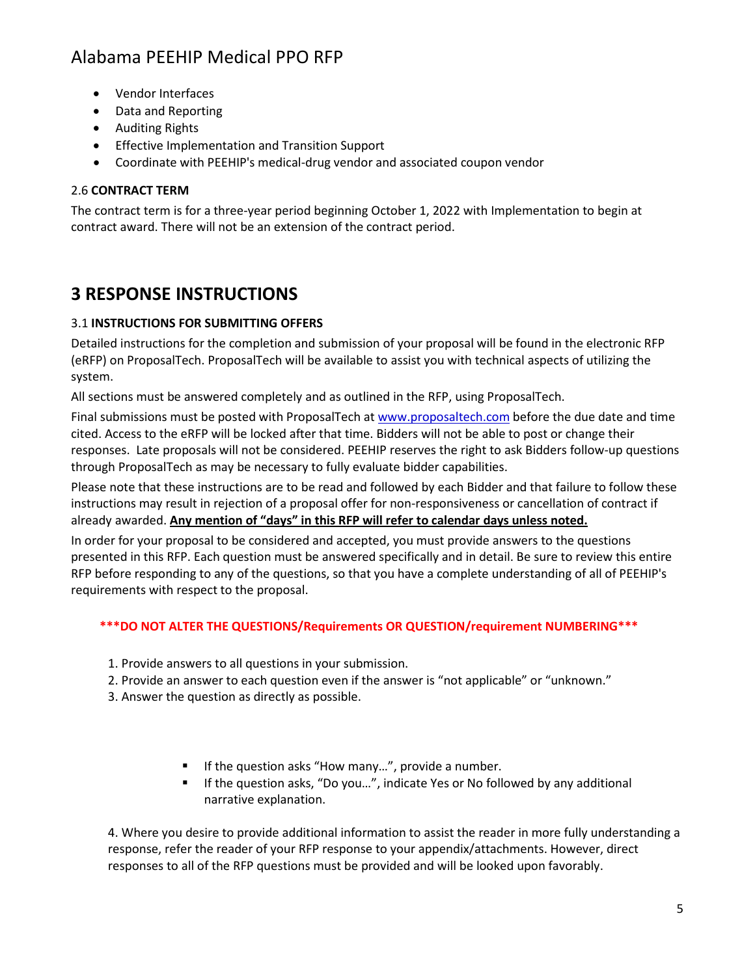- Vendor Interfaces
- Data and Reporting
- Auditing Rights
- Effective Implementation and Transition Support
- Coordinate with PEEHIP's medical-drug vendor and associated coupon vendor

#### 2.6 **CONTRACT TERM**

The contract term is for a three-year period beginning October 1, 2022 with Implementation to begin at contract award. There will not be an extension of the contract period.

#### **3 RESPONSE INSTRUCTIONS**

#### 3.1 **INSTRUCTIONS FOR SUBMITTING OFFERS**

Detailed instructions for the completion and submission of your proposal will be found in the electronic RFP (eRFP) on ProposalTech. ProposalTech will be available to assist you with technical aspects of utilizing the system.

All sections must be answered completely and as outlined in the RFP, using ProposalTech.

Final submissions must be posted with ProposalTech a[t www.proposaltech.com](http://www.proposaltech.com/) before the due date and time cited. Access to the eRFP will be locked after that time. Bidders will not be able to post or change their responses. Late proposals will not be considered. PEEHIP reserves the right to ask Bidders follow-up questions through ProposalTech as may be necessary to fully evaluate bidder capabilities.

Please note that these instructions are to be read and followed by each Bidder and that failure to follow these instructions may result in rejection of a proposal offer for non-responsiveness or cancellation of contract if already awarded. **Any mention of "days" in this RFP will refer to calendar days unless noted.**

In order for your proposal to be considered and accepted, you must provide answers to the questions presented in this RFP. Each question must be answered specifically and in detail. Be sure to review this entire RFP before responding to any of the questions, so that you have a complete understanding of all of PEEHIP's requirements with respect to the proposal.

#### **\*\*\*DO NOT ALTER THE QUESTIONS/Requirements OR QUESTION/requirement NUMBERING\*\*\***

- 1. Provide answers to all questions in your submission.
- 2. Provide an answer to each question even if the answer is "not applicable" or "unknown."
- 3. Answer the question as directly as possible.
	- If the question asks "How many...", provide a number.
	- If the question asks, "Do you...", indicate Yes or No followed by any additional narrative explanation.

4. Where you desire to provide additional information to assist the reader in more fully understanding a response, refer the reader of your RFP response to your appendix/attachments. However, direct responses to all of the RFP questions must be provided and will be looked upon favorably.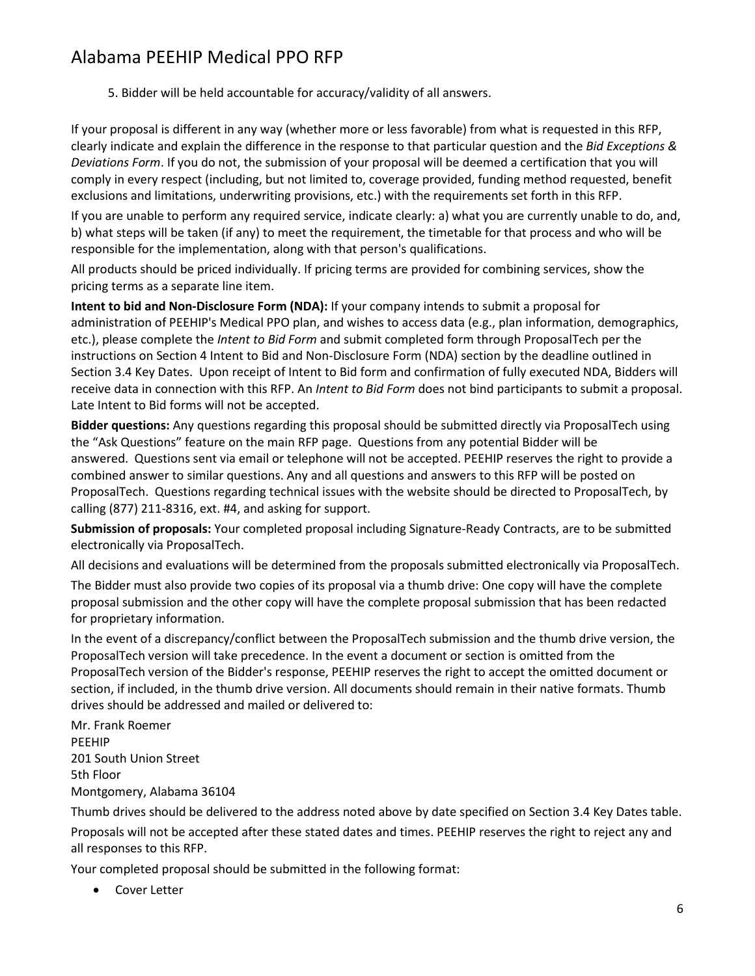5. Bidder will be held accountable for accuracy/validity of all answers.

If your proposal is different in any way (whether more or less favorable) from what is requested in this RFP, clearly indicate and explain the difference in the response to that particular question and the *Bid Exceptions & Deviations Form*. If you do not, the submission of your proposal will be deemed a certification that you will comply in every respect (including, but not limited to, coverage provided, funding method requested, benefit exclusions and limitations, underwriting provisions, etc.) with the requirements set forth in this RFP.

If you are unable to perform any required service, indicate clearly: a) what you are currently unable to do, and, b) what steps will be taken (if any) to meet the requirement, the timetable for that process and who will be responsible for the implementation, along with that person's qualifications.

All products should be priced individually. If pricing terms are provided for combining services, show the pricing terms as a separate line item.

**Intent to bid and Non-Disclosure Form (NDA):** If your company intends to submit a proposal for administration of PEEHIP's Medical PPO plan, and wishes to access data (e.g., plan information, demographics, etc.), please complete the *Intent to Bid Form* and submit completed form through ProposalTech per the instructions on Section 4 Intent to Bid and Non-Disclosure Form (NDA) section by the deadline outlined in Section 3.4 Key Dates. Upon receipt of Intent to Bid form and confirmation of fully executed NDA, Bidders will receive data in connection with this RFP. An *Intent to Bid Form* does not bind participants to submit a proposal. Late Intent to Bid forms will not be accepted.

**Bidder questions:** Any questions regarding this proposal should be submitted directly via ProposalTech using the "Ask Questions" feature on the main RFP page. Questions from any potential Bidder will be answered. Questions sent via email or telephone will not be accepted. PEEHIP reserves the right to provide a combined answer to similar questions. Any and all questions and answers to this RFP will be posted on ProposalTech. Questions regarding technical issues with the website should be directed to ProposalTech, by calling (877) 211-8316, ext. #4, and asking for support.

**Submission of proposals:** Your completed proposal including Signature-Ready Contracts, are to be submitted electronically via ProposalTech.

All decisions and evaluations will be determined from the proposals submitted electronically via ProposalTech. The Bidder must also provide two copies of its proposal via a thumb drive: One copy will have the complete proposal submission and the other copy will have the complete proposal submission that has been redacted for proprietary information.

In the event of a discrepancy/conflict between the ProposalTech submission and the thumb drive version, the ProposalTech version will take precedence. In the event a document or section is omitted from the ProposalTech version of the Bidder's response, PEEHIP reserves the right to accept the omitted document or section, if included, in the thumb drive version. All documents should remain in their native formats. Thumb drives should be addressed and mailed or delivered to:

Mr. Frank Roemer PEEHIP 201 South Union Street 5th Floor Montgomery, Alabama 36104

Thumb drives should be delivered to the address noted above by date specified on Section 3.4 Key Dates table.

Proposals will not be accepted after these stated dates and times. PEEHIP reserves the right to reject any and all responses to this RFP.

Your completed proposal should be submitted in the following format:

• Cover Letter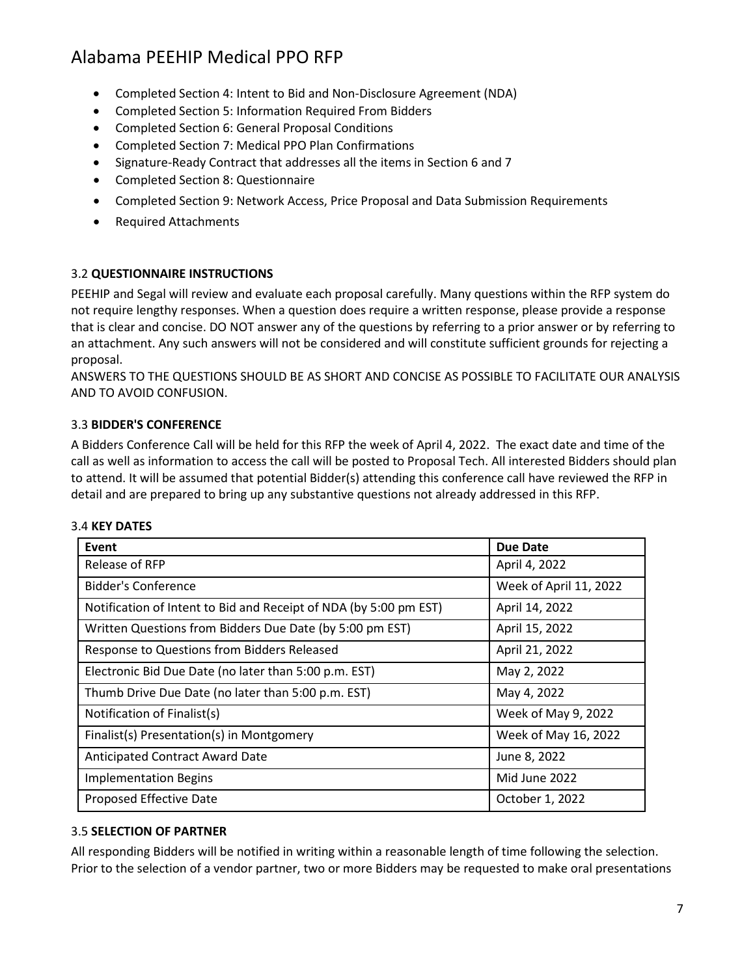- Completed Section 4: Intent to Bid and Non-Disclosure Agreement (NDA)
- Completed Section 5: Information Required From Bidders
- Completed Section 6: General Proposal Conditions
- Completed Section 7: Medical PPO Plan Confirmations
- Signature-Ready Contract that addresses all the items in Section 6 and 7
- Completed Section 8: Questionnaire
- Completed Section 9: Network Access, Price Proposal and Data Submission Requirements
- Required Attachments

#### 3.2 **QUESTIONNAIRE INSTRUCTIONS**

PEEHIP and Segal will review and evaluate each proposal carefully. Many questions within the RFP system do not require lengthy responses. When a question does require a written response, please provide a response that is clear and concise. DO NOT answer any of the questions by referring to a prior answer or by referring to an attachment. Any such answers will not be considered and will constitute sufficient grounds for rejecting a proposal.

ANSWERS TO THE QUESTIONS SHOULD BE AS SHORT AND CONCISE AS POSSIBLE TO FACILITATE OUR ANALYSIS AND TO AVOID CONFUSION.

#### 3.3 **BIDDER'S CONFERENCE**

A Bidders Conference Call will be held for this RFP the week of April 4, 2022. The exact date and time of the call as well as information to access the call will be posted to Proposal Tech. All interested Bidders should plan to attend. It will be assumed that potential Bidder(s) attending this conference call have reviewed the RFP in detail and are prepared to bring up any substantive questions not already addressed in this RFP.

#### 3.4 **KEY DATES**

| Event                                                             | <b>Due Date</b>        |
|-------------------------------------------------------------------|------------------------|
| Release of RFP                                                    | April 4, 2022          |
| Bidder's Conference                                               | Week of April 11, 2022 |
| Notification of Intent to Bid and Receipt of NDA (by 5:00 pm EST) | April 14, 2022         |
| Written Questions from Bidders Due Date (by 5:00 pm EST)          | April 15, 2022         |
| Response to Questions from Bidders Released                       | April 21, 2022         |
| Electronic Bid Due Date (no later than 5:00 p.m. EST)             | May 2, 2022            |
| Thumb Drive Due Date (no later than 5:00 p.m. EST)                | May 4, 2022            |
| Notification of Finalist(s)                                       | Week of May 9, 2022    |
| Finalist(s) Presentation(s) in Montgomery                         | Week of May 16, 2022   |
| Anticipated Contract Award Date                                   | June 8, 2022           |
| <b>Implementation Begins</b>                                      | Mid June 2022          |
| Proposed Effective Date                                           | October 1, 2022        |

#### 3.5 **SELECTION OF PARTNER**

All responding Bidders will be notified in writing within a reasonable length of time following the selection. Prior to the selection of a vendor partner, two or more Bidders may be requested to make oral presentations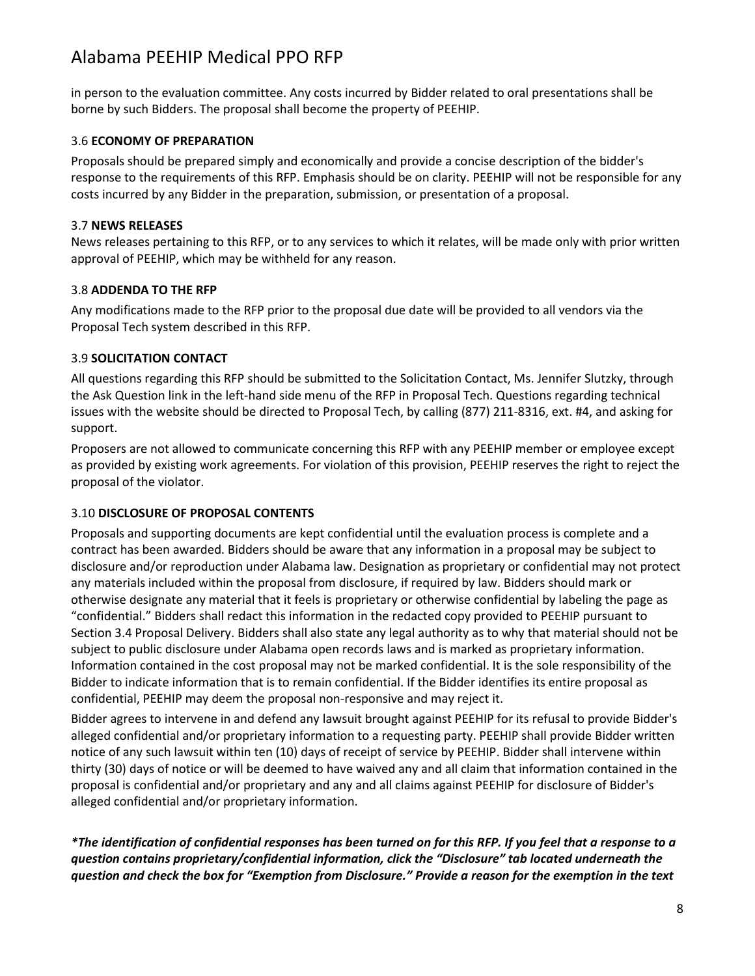in person to the evaluation committee. Any costs incurred by Bidder related to oral presentations shall be borne by such Bidders. The proposal shall become the property of PEEHIP.

#### 3.6 **ECONOMY OF PREPARATION**

Proposals should be prepared simply and economically and provide a concise description of the bidder's response to the requirements of this RFP. Emphasis should be on clarity. PEEHIP will not be responsible for any costs incurred by any Bidder in the preparation, submission, or presentation of a proposal.

#### 3.7 **NEWS RELEASES**

News releases pertaining to this RFP, or to any services to which it relates, will be made only with prior written approval of PEEHIP, which may be withheld for any reason.

#### 3.8 **ADDENDA TO THE RFP**

Any modifications made to the RFP prior to the proposal due date will be provided to all vendors via the Proposal Tech system described in this RFP.

#### 3.9 **SOLICITATION CONTACT**

All questions regarding this RFP should be submitted to the Solicitation Contact, Ms. Jennifer Slutzky, through the Ask Question link in the left-hand side menu of the RFP in Proposal Tech. Questions regarding technical issues with the website should be directed to Proposal Tech, by calling (877) 211-8316, ext. #4, and asking for support.

Proposers are not allowed to communicate concerning this RFP with any PEEHIP member or employee except as provided by existing work agreements. For violation of this provision, PEEHIP reserves the right to reject the proposal of the violator.

#### 3.10 **DISCLOSURE OF PROPOSAL CONTENTS**

Proposals and supporting documents are kept confidential until the evaluation process is complete and a contract has been awarded. Bidders should be aware that any information in a proposal may be subject to disclosure and/or reproduction under Alabama law. Designation as proprietary or confidential may not protect any materials included within the proposal from disclosure, if required by law. Bidders should mark or otherwise designate any material that it feels is proprietary or otherwise confidential by labeling the page as "confidential." Bidders shall redact this information in the redacted copy provided to PEEHIP pursuant to Section 3.4 Proposal Delivery. Bidders shall also state any legal authority as to why that material should not be subject to public disclosure under Alabama open records laws and is marked as proprietary information. Information contained in the cost proposal may not be marked confidential. It is the sole responsibility of the Bidder to indicate information that is to remain confidential. If the Bidder identifies its entire proposal as confidential, PEEHIP may deem the proposal non-responsive and may reject it.

Bidder agrees to intervene in and defend any lawsuit brought against PEEHIP for its refusal to provide Bidder's alleged confidential and/or proprietary information to a requesting party. PEEHIP shall provide Bidder written notice of any such lawsuit within ten (10) days of receipt of service by PEEHIP. Bidder shall intervene within thirty (30) days of notice or will be deemed to have waived any and all claim that information contained in the proposal is confidential and/or proprietary and any and all claims against PEEHIP for disclosure of Bidder's alleged confidential and/or proprietary information.

*\*The identification of confidential responses has been turned on for this RFP. If you feel that a response to a question contains proprietary/confidential information, click the "Disclosure" tab located underneath the question and check the box for "Exemption from Disclosure." Provide a reason for the exemption in the text*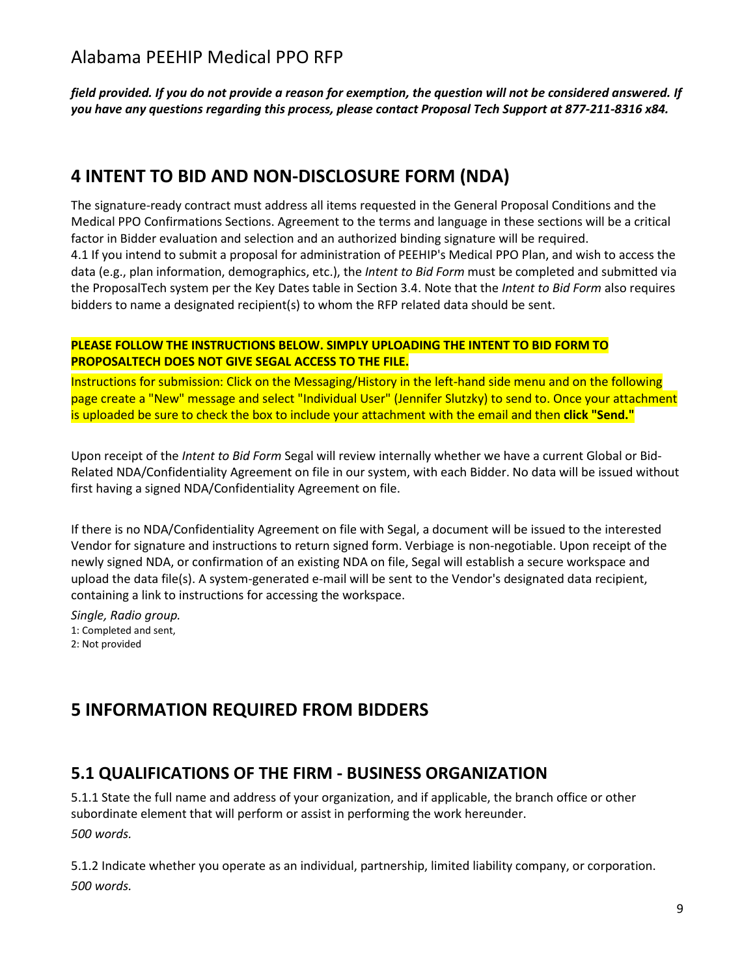*field provided. If you do not provide a reason for exemption, the question will not be considered answered. If you have any questions regarding this process, please contact Proposal Tech Support at 877-211-8316 x84.*

#### **4 INTENT TO BID AND NON-DISCLOSURE FORM (NDA)**

The signature-ready contract must address all items requested in the General Proposal Conditions and the Medical PPO Confirmations Sections. Agreement to the terms and language in these sections will be a critical factor in Bidder evaluation and selection and an authorized binding signature will be required. 4.1 If you intend to submit a proposal for administration of PEEHIP's Medical PPO Plan, and wish to access the data (e.g., plan information, demographics, etc.), the *Intent to Bid Form* must be completed and submitted via the ProposalTech system per the Key Dates table in Section 3.4. Note that the *Intent to Bid Form* also requires bidders to name a designated recipient(s) to whom the RFP related data should be sent.

#### **PLEASE FOLLOW THE INSTRUCTIONS BELOW. SIMPLY UPLOADING THE INTENT TO BID FORM TO PROPOSALTECH DOES NOT GIVE SEGAL ACCESS TO THE FILE.**

Instructions for submission: Click on the Messaging/History in the left-hand side menu and on the following page create a "New" message and select "Individual User" (Jennifer Slutzky) to send to. Once your attachment is uploaded be sure to check the box to include your attachment with the email and then **click "Send."**

Upon receipt of the *Intent to Bid Form* Segal will review internally whether we have a current Global or Bid-Related NDA/Confidentiality Agreement on file in our system, with each Bidder. No data will be issued without first having a signed NDA/Confidentiality Agreement on file.

If there is no NDA/Confidentiality Agreement on file with Segal, a document will be issued to the interested Vendor for signature and instructions to return signed form. Verbiage is non-negotiable. Upon receipt of the newly signed NDA, or confirmation of an existing NDA on file, Segal will establish a secure workspace and upload the data file(s). A system-generated e-mail will be sent to the Vendor's designated data recipient, containing a link to instructions for accessing the workspace.

*Single, Radio group.* 1: Completed and sent, 2: Not provided

## **5 INFORMATION REQUIRED FROM BIDDERS**

#### **5.1 QUALIFICATIONS OF THE FIRM - BUSINESS ORGANIZATION**

5.1.1 State the full name and address of your organization, and if applicable, the branch office or other subordinate element that will perform or assist in performing the work hereunder. *500 words.*

5.1.2 Indicate whether you operate as an individual, partnership, limited liability company, or corporation. *500 words.*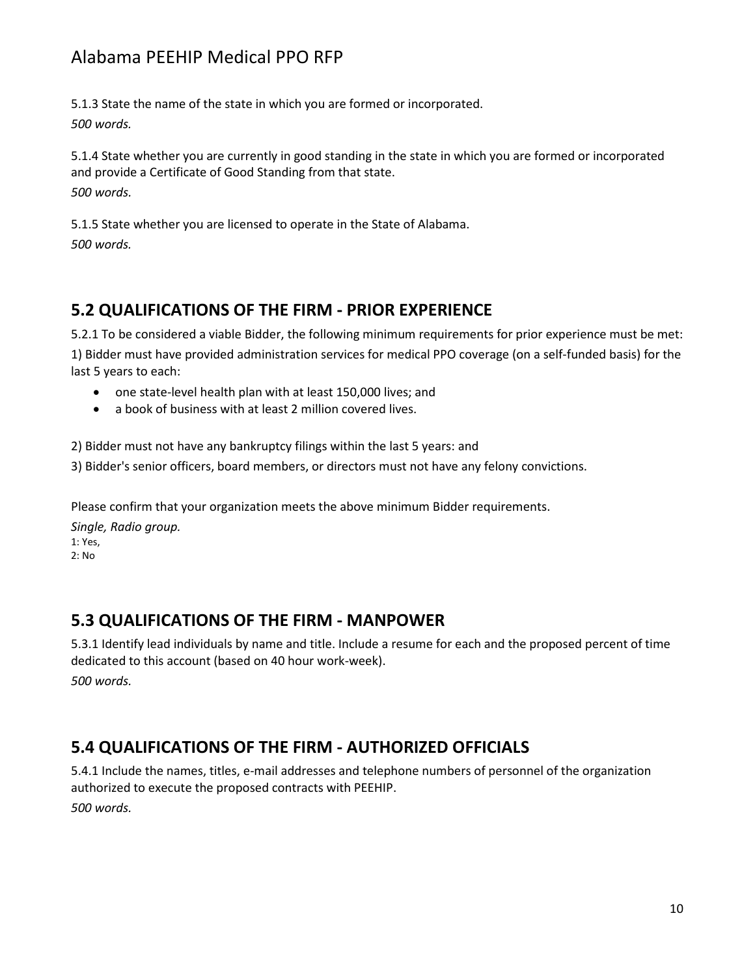5.1.3 State the name of the state in which you are formed or incorporated. *500 words.*

5.1.4 State whether you are currently in good standing in the state in which you are formed or incorporated and provide a Certificate of Good Standing from that state. *500 words.*

5.1.5 State whether you are licensed to operate in the State of Alabama. *500 words.*

#### **5.2 QUALIFICATIONS OF THE FIRM - PRIOR EXPERIENCE**

5.2.1 To be considered a viable Bidder, the following minimum requirements for prior experience must be met: 1) Bidder must have provided administration services for medical PPO coverage (on a self-funded basis) for the last 5 years to each:

- one state-level health plan with at least 150,000 lives; and
- a book of business with at least 2 million covered lives.

2) Bidder must not have any bankruptcy filings within the last 5 years: and

3) Bidder's senior officers, board members, or directors must not have any felony convictions.

Please confirm that your organization meets the above minimum Bidder requirements.

*Single, Radio group.* 1: Yes, 2: No

#### **5.3 QUALIFICATIONS OF THE FIRM - MANPOWER**

5.3.1 Identify lead individuals by name and title. Include a resume for each and the proposed percent of time dedicated to this account (based on 40 hour work-week). *500 words.*

#### **5.4 QUALIFICATIONS OF THE FIRM - AUTHORIZED OFFICIALS**

5.4.1 Include the names, titles, e-mail addresses and telephone numbers of personnel of the organization authorized to execute the proposed contracts with PEEHIP. *500 words.*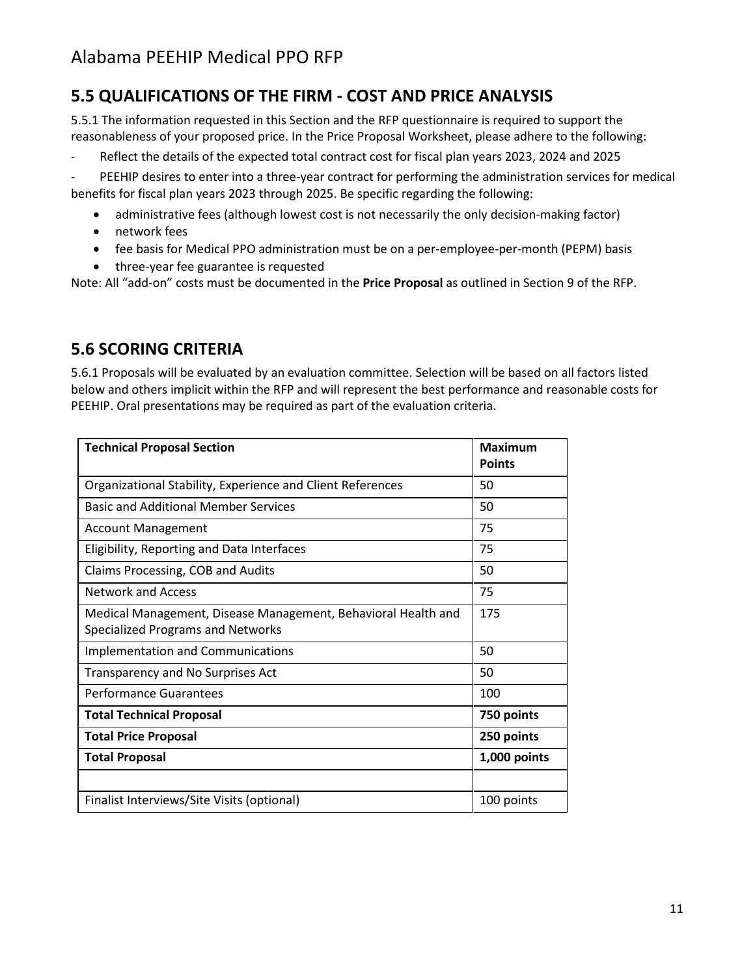### **5.5 QUALIFICATIONS OF THE FIRM - COST AND PRICE ANALYSIS**

5.5.1 The information requested in this Section and the RFP questionnaire is required to support the reasonableness of your proposed price. In the Price Proposal Worksheet, please adhere to the following:

- Reflect the details of the expected total contract cost for fiscal plan years 2023, 2024 and 2025

PEEHIP desires to enter into a three-year contract for performing the administration services for medical benefits for fiscal plan years 2023 through 2025. Be specific regarding the following:

- administrative fees (although lowest cost is not necessarily the only decision-making factor)
- network fees
- fee basis for Medical PPO administration must be on a per-employee-per-month (PEPM) basis
- three-year fee guarantee is requested

Note: All "add-on" costs must be documented in the **Price Proposal** as outlined in Section 9 of the RFP.

#### **5.6 SCORING CRITERIA**

5.6.1 Proposals will be evaluated by an evaluation committee. Selection will be based on all factors listed below and others implicit within the RFP and will represent the best performance and reasonable costs for PEEHIP. Oral presentations may be required as part of the evaluation criteria.

| <b>Technical Proposal Section</b>                                                                  | <b>Maximum</b><br><b>Points</b> |
|----------------------------------------------------------------------------------------------------|---------------------------------|
| Organizational Stability, Experience and Client References                                         | 50                              |
| <b>Basic and Additional Member Services</b>                                                        | 50                              |
| <b>Account Management</b>                                                                          | 75                              |
| Eligibility, Reporting and Data Interfaces                                                         | 75                              |
| Claims Processing, COB and Audits                                                                  | 50                              |
| <b>Network and Access</b>                                                                          | 75                              |
| Medical Management, Disease Management, Behavioral Health and<br>Specialized Programs and Networks | 175                             |
| <b>Implementation and Communications</b>                                                           | 50                              |
| Transparency and No Surprises Act                                                                  | 50                              |
| Performance Guarantees                                                                             | 100                             |
| <b>Total Technical Proposal</b>                                                                    | 750 points                      |
| <b>Total Price Proposal</b>                                                                        | 250 points                      |
| <b>Total Proposal</b>                                                                              | 1,000 points                    |
|                                                                                                    |                                 |
| Finalist Interviews/Site Visits (optional)                                                         | 100 points                      |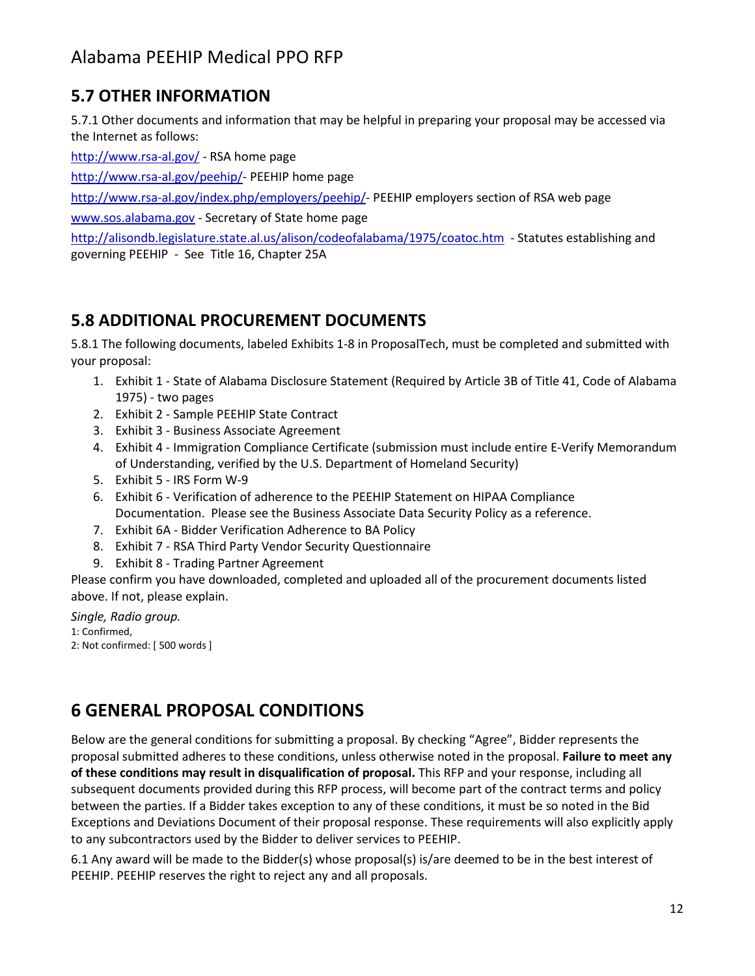#### **5.7 OTHER INFORMATION**

5.7.1 Other documents and information that may be helpful in preparing your proposal may be accessed via the Internet as follows:

<http://www.rsa-al.gov/>- RSA home page

[http://www.rsa-al.gov/peehip/-](http://www.rsa-al.gov/peehip/) PEEHIP home page

[http://www.rsa-al.gov/index.php/employers/peehip/-](http://www.rsa-al.gov/index.php/employers/peehip/) PEEHIP employers section of RSA web page

[www.sos.alabama.gov](http://www.sos.alabama.gov/) - Secretary of State home page

<http://alisondb.legislature.state.al.us/alison/codeofalabama/1975/coatoc.htm>- Statutes establishing and governing PEEHIP - See Title 16, Chapter 25A

#### **5.8 ADDITIONAL PROCUREMENT DOCUMENTS**

5.8.1 The following documents, labeled Exhibits 1-8 in ProposalTech, must be completed and submitted with your proposal:

- 1. Exhibit 1 State of Alabama Disclosure Statement (Required by Article 3B of Title 41, Code of Alabama 1975) - two pages
- 2. Exhibit 2 Sample PEEHIP State Contract
- 3. Exhibit 3 Business Associate Agreement
- 4. Exhibit 4 Immigration Compliance Certificate (submission must include entire E-Verify Memorandum of Understanding, verified by the U.S. Department of Homeland Security)
- 5. Exhibit 5 IRS Form W-9
- 6. Exhibit 6 Verification of adherence to the PEEHIP Statement on HIPAA Compliance Documentation. Please see the Business Associate Data Security Policy as a reference.
- 7. Exhibit 6A Bidder Verification Adherence to BA Policy
- 8. Exhibit 7 RSA Third Party Vendor Security Questionnaire
- 9. Exhibit 8 Trading Partner Agreement

Please confirm you have downloaded, completed and uploaded all of the procurement documents listed above. If not, please explain.

*Single, Radio group.* 1: Confirmed, 2: Not confirmed: [ 500 words ]

# **6 GENERAL PROPOSAL CONDITIONS**

Below are the general conditions for submitting a proposal. By checking "Agree", Bidder represents the proposal submitted adheres to these conditions, unless otherwise noted in the proposal. **Failure to meet any of these conditions may result in disqualification of proposal.** This RFP and your response, including all subsequent documents provided during this RFP process, will become part of the contract terms and policy between the parties. If a Bidder takes exception to any of these conditions, it must be so noted in the Bid Exceptions and Deviations Document of their proposal response. These requirements will also explicitly apply to any subcontractors used by the Bidder to deliver services to PEEHIP.

6.1 Any award will be made to the Bidder(s) whose proposal(s) is/are deemed to be in the best interest of PEEHIP. PEEHIP reserves the right to reject any and all proposals.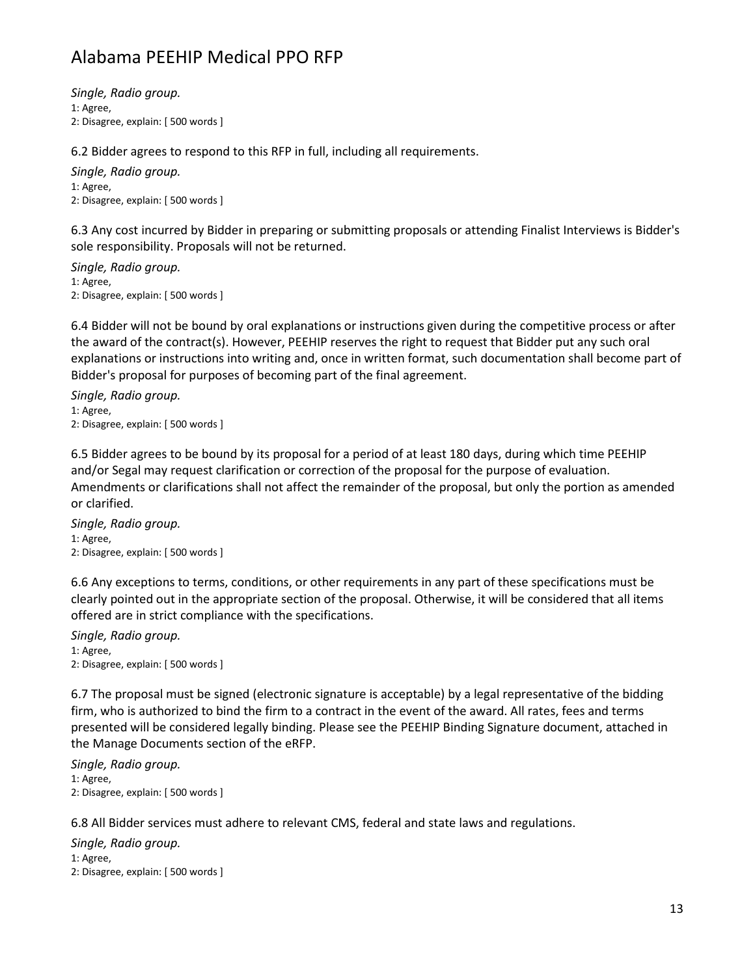*Single, Radio group.* 1: Agree, 2: Disagree, explain: [ 500 words ]

6.2 Bidder agrees to respond to this RFP in full, including all requirements.

*Single, Radio group.* 1: Agree, 2: Disagree, explain: [ 500 words ]

6.3 Any cost incurred by Bidder in preparing or submitting proposals or attending Finalist Interviews is Bidder's sole responsibility. Proposals will not be returned.

*Single, Radio group.* 1: Agree, 2: Disagree, explain: [ 500 words ]

6.4 Bidder will not be bound by oral explanations or instructions given during the competitive process or after the award of the contract(s). However, PEEHIP reserves the right to request that Bidder put any such oral explanations or instructions into writing and, once in written format, such documentation shall become part of Bidder's proposal for purposes of becoming part of the final agreement.

*Single, Radio group.* 1: Agree, 2: Disagree, explain: [ 500 words ]

6.5 Bidder agrees to be bound by its proposal for a period of at least 180 days, during which time PEEHIP and/or Segal may request clarification or correction of the proposal for the purpose of evaluation. Amendments or clarifications shall not affect the remainder of the proposal, but only the portion as amended or clarified.

*Single, Radio group.* 1: Agree, 2: Disagree, explain: [ 500 words ]

6.6 Any exceptions to terms, conditions, or other requirements in any part of these specifications must be clearly pointed out in the appropriate section of the proposal. Otherwise, it will be considered that all items offered are in strict compliance with the specifications.

*Single, Radio group.* 1: Agree, 2: Disagree, explain: [ 500 words ]

6.7 The proposal must be signed (electronic signature is acceptable) by a legal representative of the bidding firm, who is authorized to bind the firm to a contract in the event of the award. All rates, fees and terms presented will be considered legally binding. Please see the PEEHIP Binding Signature document, attached in the Manage Documents section of the eRFP.

*Single, Radio group.* 1: Agree, 2: Disagree, explain: [ 500 words ]

6.8 All Bidder services must adhere to relevant CMS, federal and state laws and regulations.

*Single, Radio group.* 1: Agree, 2: Disagree, explain: [ 500 words ]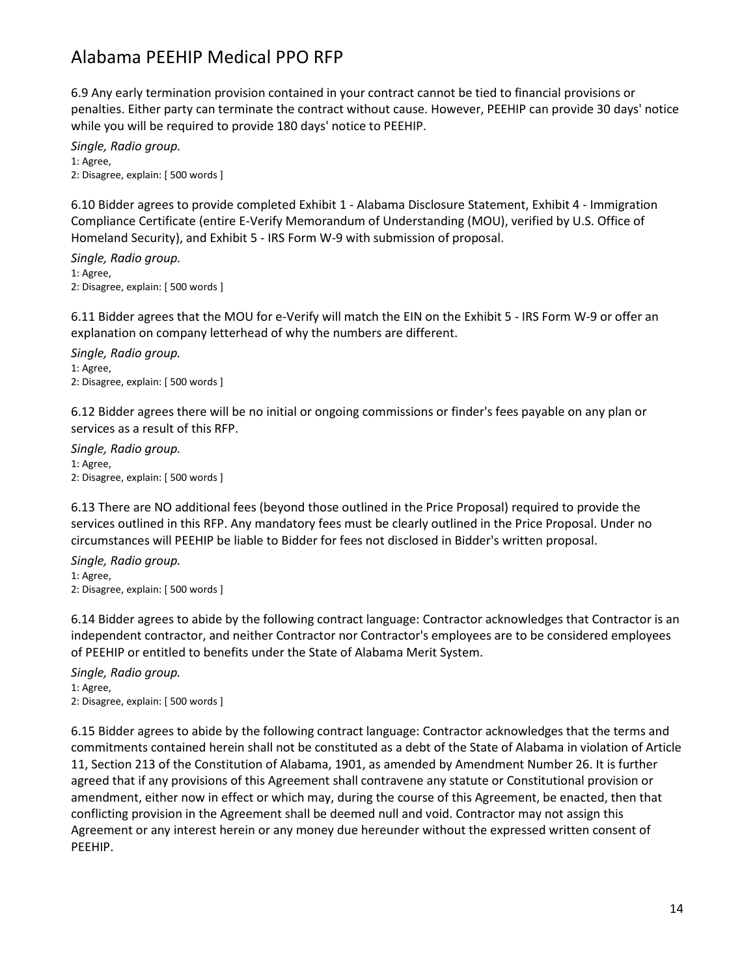6.9 Any early termination provision contained in your contract cannot be tied to financial provisions or penalties. Either party can terminate the contract without cause. However, PEEHIP can provide 30 days' notice while you will be required to provide 180 days' notice to PEEHIP.

*Single, Radio group.* 1: Agree, 2: Disagree, explain: [ 500 words ]

6.10 Bidder agrees to provide completed Exhibit 1 - Alabama Disclosure Statement, Exhibit 4 - Immigration Compliance Certificate (entire E-Verify Memorandum of Understanding (MOU), verified by U.S. Office of Homeland Security), and Exhibit 5 - IRS Form W-9 with submission of proposal.

*Single, Radio group.* 1: Agree, 2: Disagree, explain: [ 500 words ]

6.11 Bidder agrees that the MOU for e-Verify will match the EIN on the Exhibit 5 - IRS Form W-9 or offer an explanation on company letterhead of why the numbers are different.

*Single, Radio group.* 1: Agree, 2: Disagree, explain: [ 500 words ]

6.12 Bidder agrees there will be no initial or ongoing commissions or finder's fees payable on any plan or services as a result of this RFP.

*Single, Radio group.* 1: Agree, 2: Disagree, explain: [ 500 words ]

6.13 There are NO additional fees (beyond those outlined in the Price Proposal) required to provide the services outlined in this RFP. Any mandatory fees must be clearly outlined in the Price Proposal. Under no circumstances will PEEHIP be liable to Bidder for fees not disclosed in Bidder's written proposal.

*Single, Radio group.* 1: Agree, 2: Disagree, explain: [ 500 words ]

6.14 Bidder agrees to abide by the following contract language: Contractor acknowledges that Contractor is an independent contractor, and neither Contractor nor Contractor's employees are to be considered employees of PEEHIP or entitled to benefits under the State of Alabama Merit System.

*Single, Radio group.* 1: Agree, 2: Disagree, explain: [ 500 words ]

6.15 Bidder agrees to abide by the following contract language: Contractor acknowledges that the terms and commitments contained herein shall not be constituted as a debt of the State of Alabama in violation of Article 11, Section 213 of the Constitution of Alabama, 1901, as amended by Amendment Number 26. It is further agreed that if any provisions of this Agreement shall contravene any statute or Constitutional provision or amendment, either now in effect or which may, during the course of this Agreement, be enacted, then that conflicting provision in the Agreement shall be deemed null and void. Contractor may not assign this Agreement or any interest herein or any money due hereunder without the expressed written consent of PEEHIP.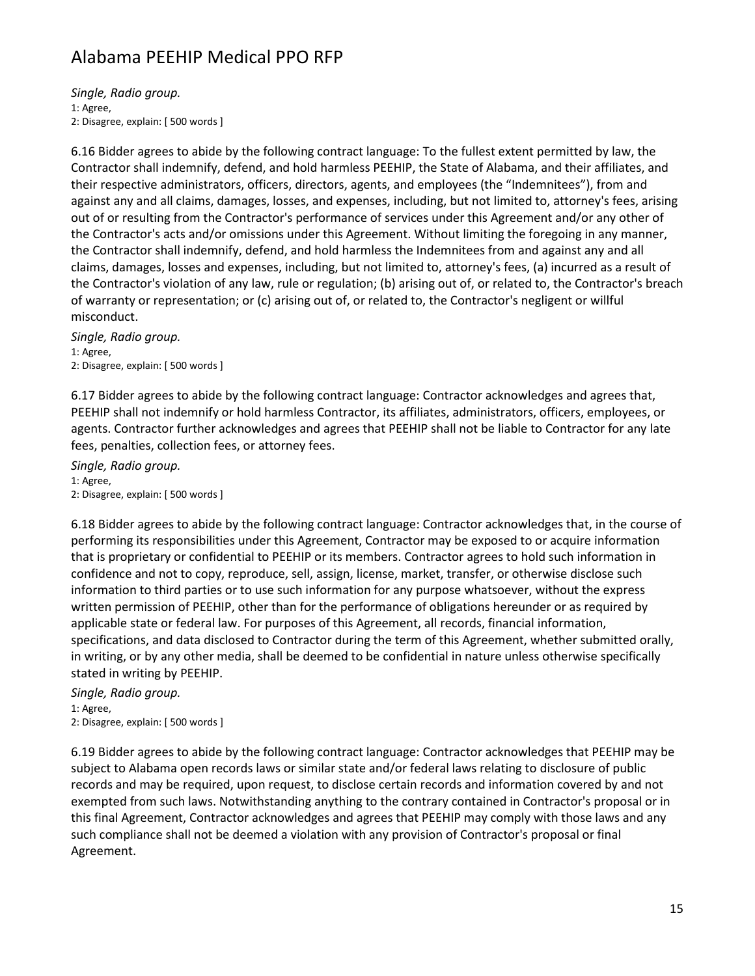*Single, Radio group.* 1: Agree, 2: Disagree, explain: [ 500 words ]

6.16 Bidder agrees to abide by the following contract language: To the fullest extent permitted by law, the Contractor shall indemnify, defend, and hold harmless PEEHIP, the State of Alabama, and their affiliates, and their respective administrators, officers, directors, agents, and employees (the "Indemnitees"), from and against any and all claims, damages, losses, and expenses, including, but not limited to, attorney's fees, arising out of or resulting from the Contractor's performance of services under this Agreement and/or any other of the Contractor's acts and/or omissions under this Agreement. Without limiting the foregoing in any manner, the Contractor shall indemnify, defend, and hold harmless the Indemnitees from and against any and all claims, damages, losses and expenses, including, but not limited to, attorney's fees, (a) incurred as a result of the Contractor's violation of any law, rule or regulation; (b) arising out of, or related to, the Contractor's breach of warranty or representation; or (c) arising out of, or related to, the Contractor's negligent or willful misconduct.

*Single, Radio group.* 1: Agree, 2: Disagree, explain: [ 500 words ]

6.17 Bidder agrees to abide by the following contract language: Contractor acknowledges and agrees that, PEEHIP shall not indemnify or hold harmless Contractor, its affiliates, administrators, officers, employees, or agents. Contractor further acknowledges and agrees that PEEHIP shall not be liable to Contractor for any late fees, penalties, collection fees, or attorney fees.

*Single, Radio group.* 1: Agree, 2: Disagree, explain: [ 500 words ]

6.18 Bidder agrees to abide by the following contract language: Contractor acknowledges that, in the course of performing its responsibilities under this Agreement, Contractor may be exposed to or acquire information that is proprietary or confidential to PEEHIP or its members. Contractor agrees to hold such information in confidence and not to copy, reproduce, sell, assign, license, market, transfer, or otherwise disclose such information to third parties or to use such information for any purpose whatsoever, without the express written permission of PEEHIP, other than for the performance of obligations hereunder or as required by applicable state or federal law. For purposes of this Agreement, all records, financial information, specifications, and data disclosed to Contractor during the term of this Agreement, whether submitted orally, in writing, or by any other media, shall be deemed to be confidential in nature unless otherwise specifically stated in writing by PEEHIP.

*Single, Radio group.* 1: Agree, 2: Disagree, explain: [ 500 words ]

6.19 Bidder agrees to abide by the following contract language: Contractor acknowledges that PEEHIP may be subject to Alabama open records laws or similar state and/or federal laws relating to disclosure of public records and may be required, upon request, to disclose certain records and information covered by and not exempted from such laws. Notwithstanding anything to the contrary contained in Contractor's proposal or in this final Agreement, Contractor acknowledges and agrees that PEEHIP may comply with those laws and any such compliance shall not be deemed a violation with any provision of Contractor's proposal or final Agreement.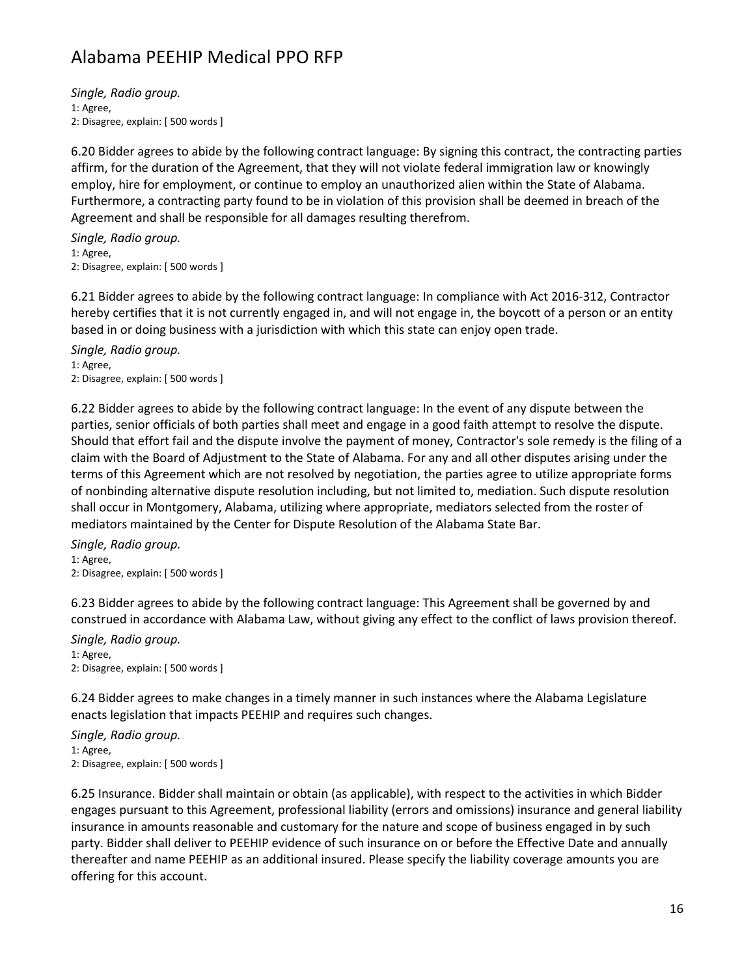*Single, Radio group.* 1: Agree, 2: Disagree, explain: [ 500 words ]

6.20 Bidder agrees to abide by the following contract language: By signing this contract, the contracting parties affirm, for the duration of the Agreement, that they will not violate federal immigration law or knowingly employ, hire for employment, or continue to employ an unauthorized alien within the State of Alabama. Furthermore, a contracting party found to be in violation of this provision shall be deemed in breach of the Agreement and shall be responsible for all damages resulting therefrom.

*Single, Radio group.* 1: Agree, 2: Disagree, explain: [ 500 words ]

6.21 Bidder agrees to abide by the following contract language: In compliance with Act 2016-312, Contractor hereby certifies that it is not currently engaged in, and will not engage in, the boycott of a person or an entity based in or doing business with a jurisdiction with which this state can enjoy open trade.

*Single, Radio group.* 1: Agree, 2: Disagree, explain: [ 500 words ]

6.22 Bidder agrees to abide by the following contract language: In the event of any dispute between the parties, senior officials of both parties shall meet and engage in a good faith attempt to resolve the dispute. Should that effort fail and the dispute involve the payment of money, Contractor's sole remedy is the filing of a claim with the Board of Adjustment to the State of Alabama. For any and all other disputes arising under the terms of this Agreement which are not resolved by negotiation, the parties agree to utilize appropriate forms of nonbinding alternative dispute resolution including, but not limited to, mediation. Such dispute resolution shall occur in Montgomery, Alabama, utilizing where appropriate, mediators selected from the roster of mediators maintained by the Center for Dispute Resolution of the Alabama State Bar.

*Single, Radio group.* 1: Agree, 2: Disagree, explain: [ 500 words ]

6.23 Bidder agrees to abide by the following contract language: This Agreement shall be governed by and construed in accordance with Alabama Law, without giving any effect to the conflict of laws provision thereof.

*Single, Radio group.* 1: Agree, 2: Disagree, explain: [ 500 words ]

6.24 Bidder agrees to make changes in a timely manner in such instances where the Alabama Legislature enacts legislation that impacts PEEHIP and requires such changes.

*Single, Radio group.* 1: Agree, 2: Disagree, explain: [ 500 words ]

6.25 Insurance. Bidder shall maintain or obtain (as applicable), with respect to the activities in which Bidder engages pursuant to this Agreement, professional liability (errors and omissions) insurance and general liability insurance in amounts reasonable and customary for the nature and scope of business engaged in by such party. Bidder shall deliver to PEEHIP evidence of such insurance on or before the Effective Date and annually thereafter and name PEEHIP as an additional insured. Please specify the liability coverage amounts you are offering for this account.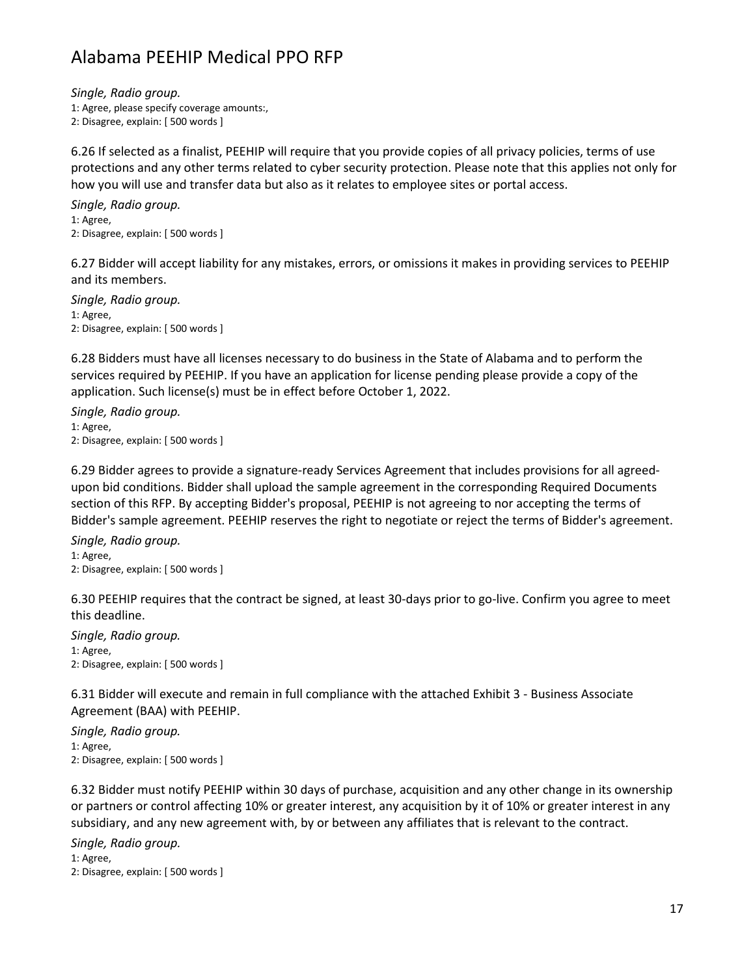*Single, Radio group.* 1: Agree, please specify coverage amounts:,

2: Disagree, explain: [ 500 words ]

6.26 If selected as a finalist, PEEHIP will require that you provide copies of all privacy policies, terms of use protections and any other terms related to cyber security protection. Please note that this applies not only for how you will use and transfer data but also as it relates to employee sites or portal access.

*Single, Radio group.* 1: Agree, 2: Disagree, explain: [ 500 words ]

6.27 Bidder will accept liability for any mistakes, errors, or omissions it makes in providing services to PEEHIP and its members.

*Single, Radio group.* 1: Agree, 2: Disagree, explain: [ 500 words ]

6.28 Bidders must have all licenses necessary to do business in the State of Alabama and to perform the services required by PEEHIP. If you have an application for license pending please provide a copy of the application. Such license(s) must be in effect before October 1, 2022.

*Single, Radio group.* 1: Agree, 2: Disagree, explain: [ 500 words ]

6.29 Bidder agrees to provide a signature-ready Services Agreement that includes provisions for all agreedupon bid conditions. Bidder shall upload the sample agreement in the corresponding Required Documents section of this RFP. By accepting Bidder's proposal, PEEHIP is not agreeing to nor accepting the terms of Bidder's sample agreement. PEEHIP reserves the right to negotiate or reject the terms of Bidder's agreement.

*Single, Radio group.* 1: Agree, 2: Disagree, explain: [ 500 words ]

6.30 PEEHIP requires that the contract be signed, at least 30-days prior to go-live. Confirm you agree to meet this deadline.

*Single, Radio group.* 1: Agree, 2: Disagree, explain: [ 500 words ]

6.31 Bidder will execute and remain in full compliance with the attached Exhibit 3 - Business Associate Agreement (BAA) with PEEHIP.

*Single, Radio group.* 1: Agree, 2: Disagree, explain: [ 500 words ]

6.32 Bidder must notify PEEHIP within 30 days of purchase, acquisition and any other change in its ownership or partners or control affecting 10% or greater interest, any acquisition by it of 10% or greater interest in any subsidiary, and any new agreement with, by or between any affiliates that is relevant to the contract.

*Single, Radio group.* 1: Agree, 2: Disagree, explain: [ 500 words ]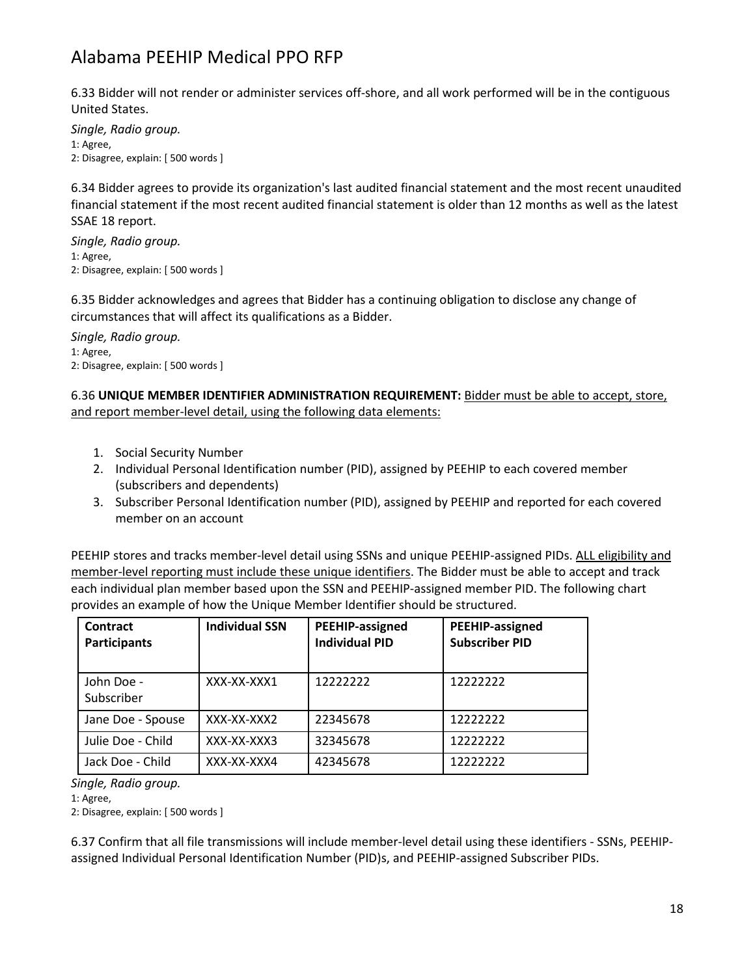6.33 Bidder will not render or administer services off-shore, and all work performed will be in the contiguous United States.

*Single, Radio group.* 1: Agree, 2: Disagree, explain: [ 500 words ]

6.34 Bidder agrees to provide its organization's last audited financial statement and the most recent unaudited financial statement if the most recent audited financial statement is older than 12 months as well as the latest SSAE 18 report.

*Single, Radio group.* 1: Agree, 2: Disagree, explain: [ 500 words ]

6.35 Bidder acknowledges and agrees that Bidder has a continuing obligation to disclose any change of circumstances that will affect its qualifications as a Bidder.

*Single, Radio group.* 1: Agree, 2: Disagree, explain: [ 500 words ]

6.36 **UNIQUE MEMBER IDENTIFIER ADMINISTRATION REQUIREMENT:** Bidder must be able to accept, store, and report member-level detail, using the following data elements:

- 1. Social Security Number
- 2. Individual Personal Identification number (PID), assigned by PEEHIP to each covered member (subscribers and dependents)
- 3. Subscriber Personal Identification number (PID), assigned by PEEHIP and reported for each covered member on an account

PEEHIP stores and tracks member-level detail using SSNs and unique PEEHIP-assigned PIDs. ALL eligibility and member-level reporting must include these unique identifiers. The Bidder must be able to accept and track each individual plan member based upon the SSN and PEEHIP-assigned member PID. The following chart provides an example of how the Unique Member Identifier should be structured.

| <b>Contract</b><br><b>Participants</b> | <b>Individual SSN</b> | PEEHIP-assigned<br><b>Individual PID</b> | PEEHIP-assigned<br><b>Subscriber PID</b> |
|----------------------------------------|-----------------------|------------------------------------------|------------------------------------------|
| John Doe -<br>Subscriber               | XXX-XX-XXX1           | 12222222                                 | 12222222                                 |
| Jane Doe - Spouse                      | XXX-XX-XXXX           | 22345678                                 | 12222222                                 |
| Julie Doe - Child                      | XXX-XX-XXX3           | 32345678                                 | 12222222                                 |
| Jack Doe - Child                       | XXX-XX-XXX4           | 42345678                                 | 12222222                                 |

*Single, Radio group.*

1: Agree,

2: Disagree, explain: [ 500 words ]

6.37 Confirm that all file transmissions will include member-level detail using these identifiers - SSNs, PEEHIPassigned Individual Personal Identification Number (PID)s, and PEEHIP-assigned Subscriber PIDs.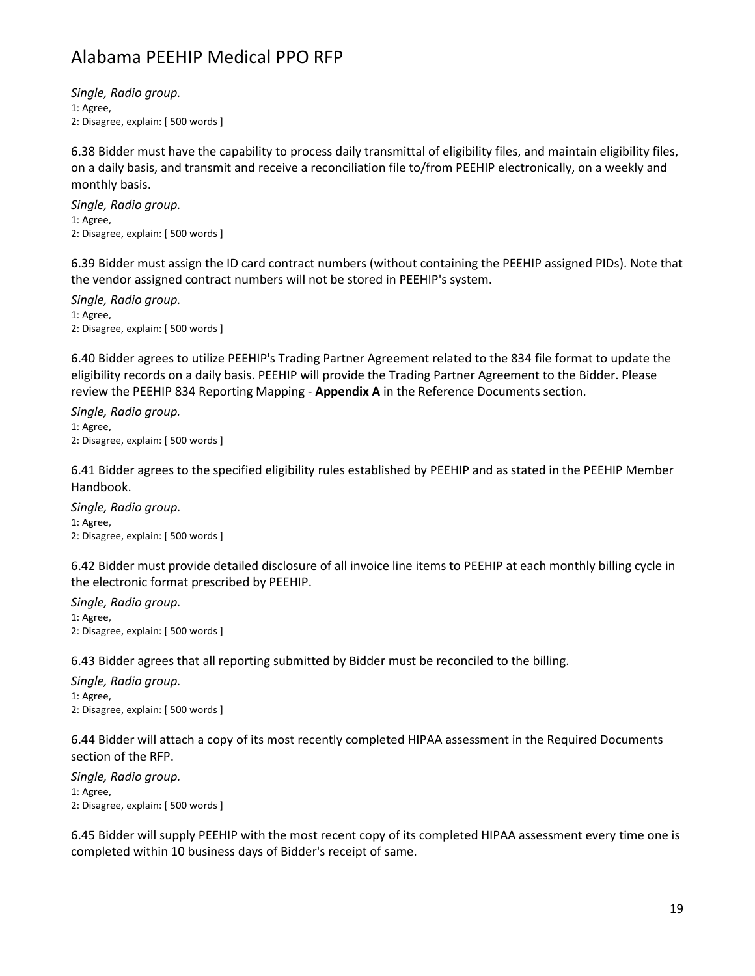*Single, Radio group.* 1: Agree, 2: Disagree, explain: [ 500 words ]

6.38 Bidder must have the capability to process daily transmittal of eligibility files, and maintain eligibility files, on a daily basis, and transmit and receive a reconciliation file to/from PEEHIP electronically, on a weekly and monthly basis.

*Single, Radio group.* 1: Agree, 2: Disagree, explain: [ 500 words ]

6.39 Bidder must assign the ID card contract numbers (without containing the PEEHIP assigned PIDs). Note that the vendor assigned contract numbers will not be stored in PEEHIP's system.

*Single, Radio group.* 1: Agree, 2: Disagree, explain: [ 500 words ]

6.40 Bidder agrees to utilize PEEHIP's Trading Partner Agreement related to the 834 file format to update the eligibility records on a daily basis. PEEHIP will provide the Trading Partner Agreement to the Bidder. Please review the PEEHIP 834 Reporting Mapping - **Appendix A** in the Reference Documents section.

*Single, Radio group.* 1: Agree, 2: Disagree, explain: [ 500 words ]

6.41 Bidder agrees to the specified eligibility rules established by PEEHIP and as stated in the PEEHIP Member Handbook.

*Single, Radio group.* 1: Agree, 2: Disagree, explain: [ 500 words ]

6.42 Bidder must provide detailed disclosure of all invoice line items to PEEHIP at each monthly billing cycle in the electronic format prescribed by PEEHIP.

*Single, Radio group.* 1: Agree, 2: Disagree, explain: [ 500 words ]

6.43 Bidder agrees that all reporting submitted by Bidder must be reconciled to the billing.

*Single, Radio group.* 1: Agree, 2: Disagree, explain: [ 500 words ]

6.44 Bidder will attach a copy of its most recently completed HIPAA assessment in the Required Documents section of the RFP.

*Single, Radio group.* 1: Agree, 2: Disagree, explain: [ 500 words ]

6.45 Bidder will supply PEEHIP with the most recent copy of its completed HIPAA assessment every time one is completed within 10 business days of Bidder's receipt of same.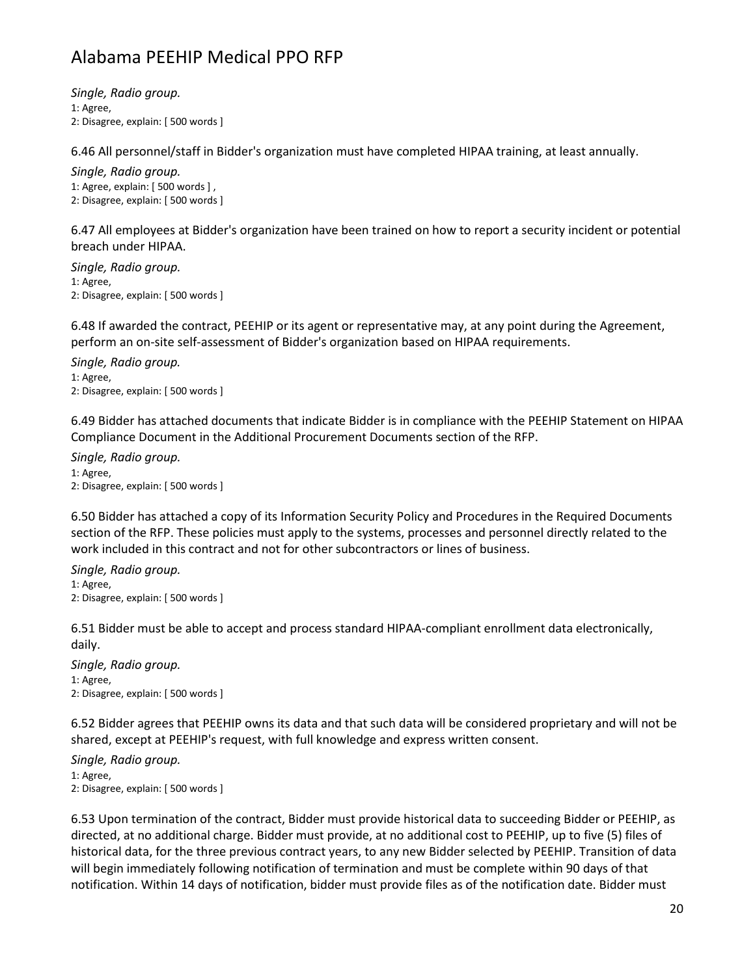*Single, Radio group.* 1: Agree, 2: Disagree, explain: [ 500 words ]

6.46 All personnel/staff in Bidder's organization must have completed HIPAA training, at least annually.

*Single, Radio group.* 1: Agree, explain: [ 500 words ] , 2: Disagree, explain: [ 500 words ]

6.47 All employees at Bidder's organization have been trained on how to report a security incident or potential breach under HIPAA.

*Single, Radio group.* 1: Agree, 2: Disagree, explain: [ 500 words ]

6.48 If awarded the contract, PEEHIP or its agent or representative may, at any point during the Agreement, perform an on-site self-assessment of Bidder's organization based on HIPAA requirements.

*Single, Radio group.* 1: Agree, 2: Disagree, explain: [ 500 words ]

6.49 Bidder has attached documents that indicate Bidder is in compliance with the PEEHIP Statement on HIPAA Compliance Document in the Additional Procurement Documents section of the RFP.

*Single, Radio group.* 1: Agree, 2: Disagree, explain: [ 500 words ]

6.50 Bidder has attached a copy of its Information Security Policy and Procedures in the Required Documents section of the RFP. These policies must apply to the systems, processes and personnel directly related to the work included in this contract and not for other subcontractors or lines of business.

*Single, Radio group.* 1: Agree, 2: Disagree, explain: [ 500 words ]

6.51 Bidder must be able to accept and process standard HIPAA-compliant enrollment data electronically, daily.

*Single, Radio group.* 1: Agree, 2: Disagree, explain: [ 500 words ]

6.52 Bidder agrees that PEEHIP owns its data and that such data will be considered proprietary and will not be shared, except at PEEHIP's request, with full knowledge and express written consent.

*Single, Radio group.* 1: Agree, 2: Disagree, explain: [ 500 words ]

6.53 Upon termination of the contract, Bidder must provide historical data to succeeding Bidder or PEEHIP, as directed, at no additional charge. Bidder must provide, at no additional cost to PEEHIP, up to five (5) files of historical data, for the three previous contract years, to any new Bidder selected by PEEHIP. Transition of data will begin immediately following notification of termination and must be complete within 90 days of that notification. Within 14 days of notification, bidder must provide files as of the notification date. Bidder must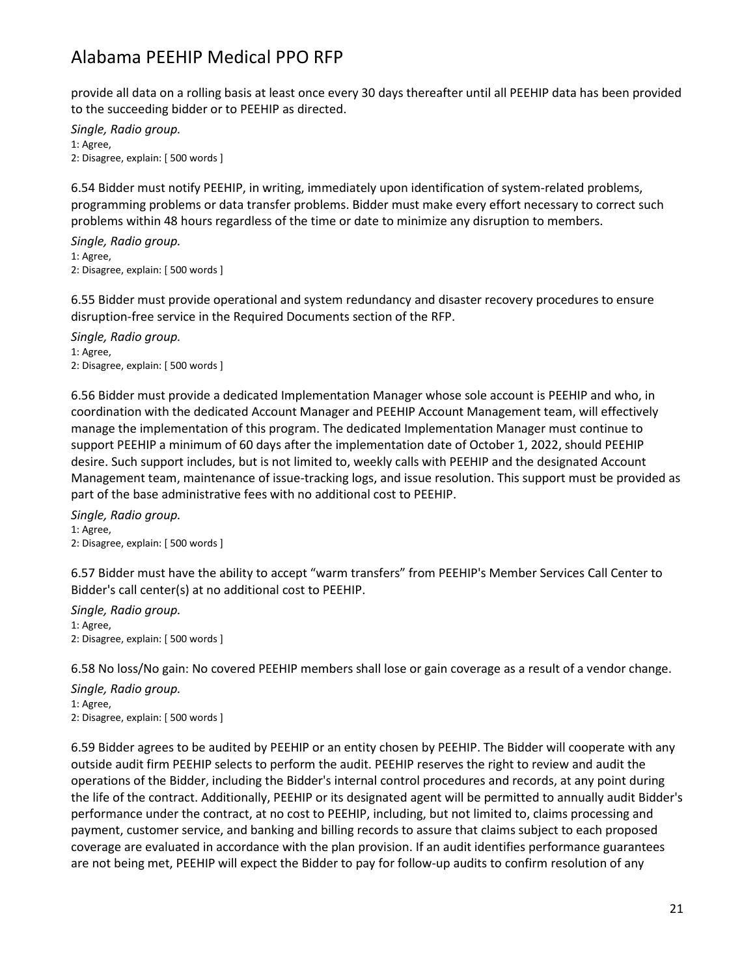provide all data on a rolling basis at least once every 30 days thereafter until all PEEHIP data has been provided to the succeeding bidder or to PEEHIP as directed.

*Single, Radio group.* 1: Agree, 2: Disagree, explain: [ 500 words ]

6.54 Bidder must notify PEEHIP, in writing, immediately upon identification of system-related problems, programming problems or data transfer problems. Bidder must make every effort necessary to correct such problems within 48 hours regardless of the time or date to minimize any disruption to members.

*Single, Radio group.* 1: Agree, 2: Disagree, explain: [ 500 words ]

6.55 Bidder must provide operational and system redundancy and disaster recovery procedures to ensure disruption-free service in the Required Documents section of the RFP.

*Single, Radio group.* 1: Agree, 2: Disagree, explain: [ 500 words ]

6.56 Bidder must provide a dedicated Implementation Manager whose sole account is PEEHIP and who, in coordination with the dedicated Account Manager and PEEHIP Account Management team, will effectively manage the implementation of this program. The dedicated Implementation Manager must continue to support PEEHIP a minimum of 60 days after the implementation date of October 1, 2022, should PEEHIP desire. Such support includes, but is not limited to, weekly calls with PEEHIP and the designated Account Management team, maintenance of issue-tracking logs, and issue resolution. This support must be provided as part of the base administrative fees with no additional cost to PEEHIP.

*Single, Radio group.* 1: Agree, 2: Disagree, explain: [ 500 words ]

6.57 Bidder must have the ability to accept "warm transfers" from PEEHIP's Member Services Call Center to Bidder's call center(s) at no additional cost to PEEHIP.

*Single, Radio group.* 1: Agree, 2: Disagree, explain: [ 500 words ]

6.58 No loss/No gain: No covered PEEHIP members shall lose or gain coverage as a result of a vendor change.

*Single, Radio group.* 1: Agree, 2: Disagree, explain: [ 500 words ]

6.59 Bidder agrees to be audited by PEEHIP or an entity chosen by PEEHIP. The Bidder will cooperate with any outside audit firm PEEHIP selects to perform the audit. PEEHIP reserves the right to review and audit the operations of the Bidder, including the Bidder's internal control procedures and records, at any point during the life of the contract. Additionally, PEEHIP or its designated agent will be permitted to annually audit Bidder's performance under the contract, at no cost to PEEHIP, including, but not limited to, claims processing and payment, customer service, and banking and billing records to assure that claims subject to each proposed coverage are evaluated in accordance with the plan provision. If an audit identifies performance guarantees are not being met, PEEHIP will expect the Bidder to pay for follow-up audits to confirm resolution of any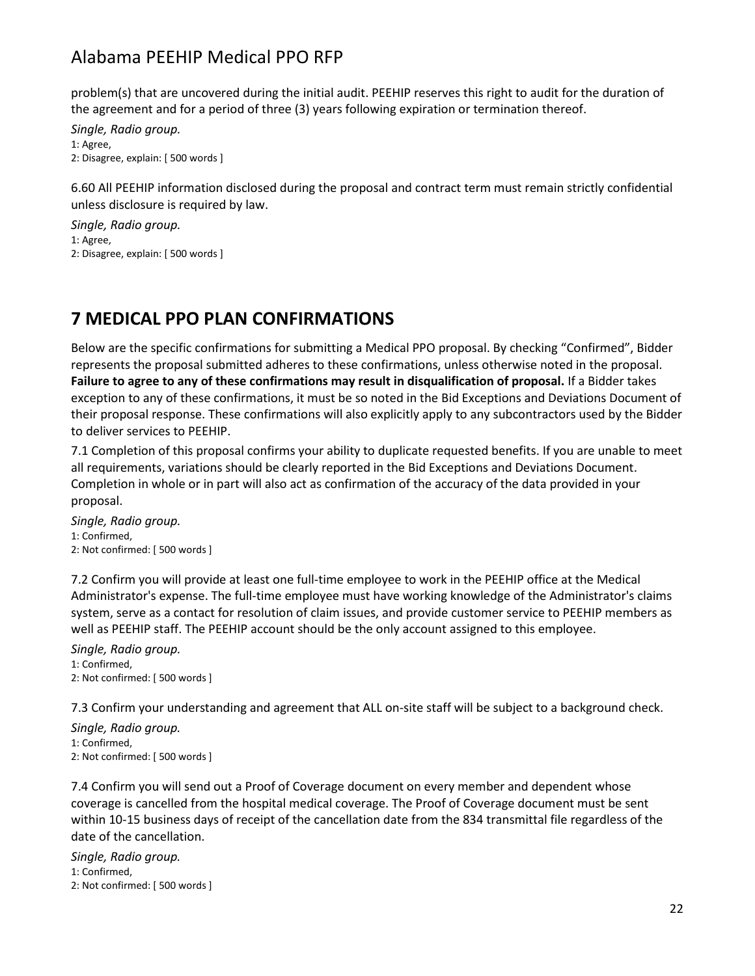problem(s) that are uncovered during the initial audit. PEEHIP reserves this right to audit for the duration of the agreement and for a period of three (3) years following expiration or termination thereof.

*Single, Radio group.* 1: Agree, 2: Disagree, explain: [ 500 words ]

6.60 All PEEHIP information disclosed during the proposal and contract term must remain strictly confidential unless disclosure is required by law.

*Single, Radio group.* 1: Agree, 2: Disagree, explain: [ 500 words ]

## **7 MEDICAL PPO PLAN CONFIRMATIONS**

Below are the specific confirmations for submitting a Medical PPO proposal. By checking "Confirmed", Bidder represents the proposal submitted adheres to these confirmations, unless otherwise noted in the proposal. **Failure to agree to any of these confirmations may result in disqualification of proposal.** If a Bidder takes exception to any of these confirmations, it must be so noted in the Bid Exceptions and Deviations Document of their proposal response. These confirmations will also explicitly apply to any subcontractors used by the Bidder to deliver services to PEEHIP.

7.1 Completion of this proposal confirms your ability to duplicate requested benefits. If you are unable to meet all requirements, variations should be clearly reported in the Bid Exceptions and Deviations Document. Completion in whole or in part will also act as confirmation of the accuracy of the data provided in your proposal.

*Single, Radio group.* 1: Confirmed, 2: Not confirmed: [ 500 words ]

7.2 Confirm you will provide at least one full-time employee to work in the PEEHIP office at the Medical Administrator's expense. The full-time employee must have working knowledge of the Administrator's claims system, serve as a contact for resolution of claim issues, and provide customer service to PEEHIP members as well as PEEHIP staff. The PEEHIP account should be the only account assigned to this employee.

*Single, Radio group.* 1: Confirmed, 2: Not confirmed: [ 500 words ]

7.3 Confirm your understanding and agreement that ALL on-site staff will be subject to a background check.

*Single, Radio group.* 1: Confirmed, 2: Not confirmed: [ 500 words ]

7.4 Confirm you will send out a Proof of Coverage document on every member and dependent whose coverage is cancelled from the hospital medical coverage. The Proof of Coverage document must be sent within 10-15 business days of receipt of the cancellation date from the 834 transmittal file regardless of the date of the cancellation.

*Single, Radio group.* 1: Confirmed, 2: Not confirmed: [ 500 words ]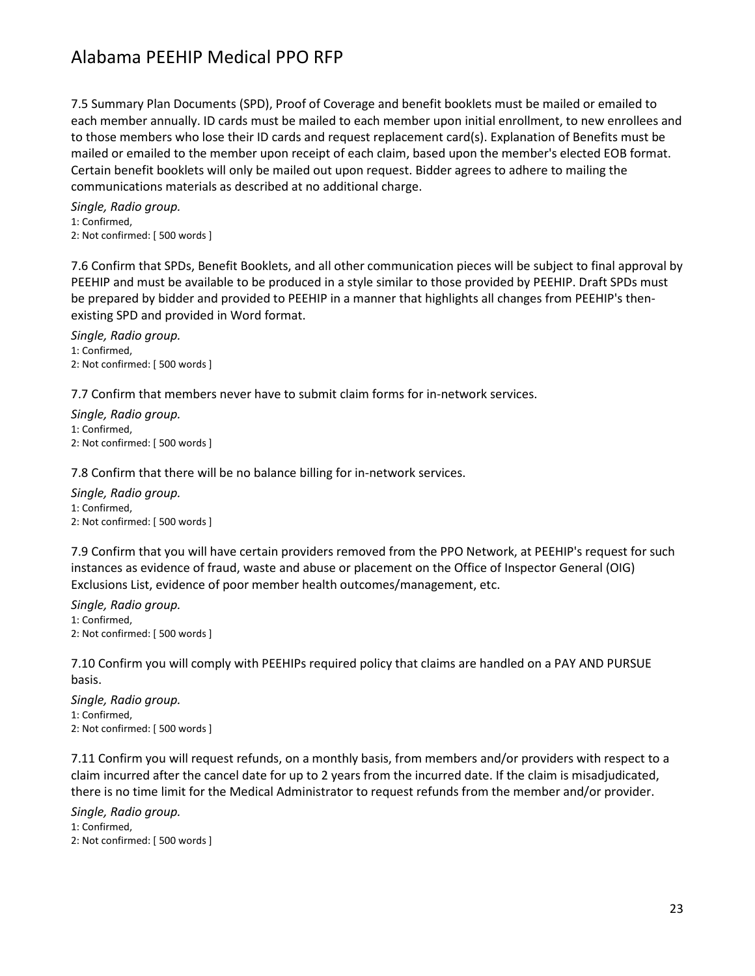7.5 Summary Plan Documents (SPD), Proof of Coverage and benefit booklets must be mailed or emailed to each member annually. ID cards must be mailed to each member upon initial enrollment, to new enrollees and to those members who lose their ID cards and request replacement card(s). Explanation of Benefits must be mailed or emailed to the member upon receipt of each claim, based upon the member's elected EOB format. Certain benefit booklets will only be mailed out upon request. Bidder agrees to adhere to mailing the communications materials as described at no additional charge.

*Single, Radio group.* 1: Confirmed, 2: Not confirmed: [ 500 words ]

7.6 Confirm that SPDs, Benefit Booklets, and all other communication pieces will be subject to final approval by PEEHIP and must be available to be produced in a style similar to those provided by PEEHIP. Draft SPDs must be prepared by bidder and provided to PEEHIP in a manner that highlights all changes from PEEHIP's thenexisting SPD and provided in Word format.

*Single, Radio group.* 1: Confirmed, 2: Not confirmed: [ 500 words ]

7.7 Confirm that members never have to submit claim forms for in-network services.

*Single, Radio group.* 1: Confirmed, 2: Not confirmed: [ 500 words ]

7.8 Confirm that there will be no balance billing for in-network services.

*Single, Radio group.* 1: Confirmed, 2: Not confirmed: [ 500 words ]

7.9 Confirm that you will have certain providers removed from the PPO Network, at PEEHIP's request for such instances as evidence of fraud, waste and abuse or placement on the Office of Inspector General (OIG) Exclusions List, evidence of poor member health outcomes/management, etc.

*Single, Radio group.* 1: Confirmed, 2: Not confirmed: [ 500 words ]

7.10 Confirm you will comply with PEEHIPs required policy that claims are handled on a PAY AND PURSUE basis.

*Single, Radio group.* 1: Confirmed, 2: Not confirmed: [ 500 words ]

7.11 Confirm you will request refunds, on a monthly basis, from members and/or providers with respect to a claim incurred after the cancel date for up to 2 years from the incurred date. If the claim is misadjudicated, there is no time limit for the Medical Administrator to request refunds from the member and/or provider.

*Single, Radio group.* 1: Confirmed, 2: Not confirmed: [ 500 words ]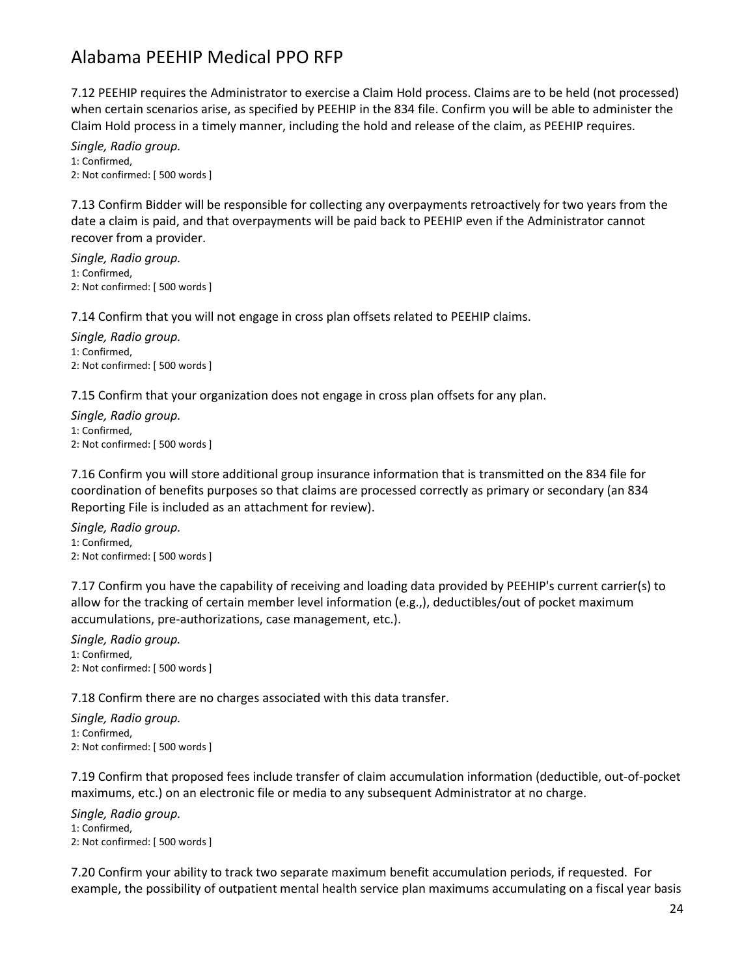7.12 PEEHIP requires the Administrator to exercise a Claim Hold process. Claims are to be held (not processed) when certain scenarios arise, as specified by PEEHIP in the 834 file. Confirm you will be able to administer the Claim Hold process in a timely manner, including the hold and release of the claim, as PEEHIP requires.

*Single, Radio group.* 1: Confirmed, 2: Not confirmed: [ 500 words ]

7.13 Confirm Bidder will be responsible for collecting any overpayments retroactively for two years from the date a claim is paid, and that overpayments will be paid back to PEEHIP even if the Administrator cannot recover from a provider.

*Single, Radio group.* 1: Confirmed, 2: Not confirmed: [ 500 words ]

7.14 Confirm that you will not engage in cross plan offsets related to PEEHIP claims.

*Single, Radio group.* 1: Confirmed, 2: Not confirmed: [ 500 words ]

7.15 Confirm that your organization does not engage in cross plan offsets for any plan.

*Single, Radio group.* 1: Confirmed, 2: Not confirmed: [ 500 words ]

7.16 Confirm you will store additional group insurance information that is transmitted on the 834 file for coordination of benefits purposes so that claims are processed correctly as primary or secondary (an 834 Reporting File is included as an attachment for review).

*Single, Radio group.* 1: Confirmed, 2: Not confirmed: [ 500 words ]

7.17 Confirm you have the capability of receiving and loading data provided by PEEHIP's current carrier(s) to allow for the tracking of certain member level information (e.g.,), deductibles/out of pocket maximum accumulations, pre-authorizations, case management, etc.).

*Single, Radio group.* 1: Confirmed, 2: Not confirmed: [ 500 words ]

7.18 Confirm there are no charges associated with this data transfer.

*Single, Radio group.* 1: Confirmed, 2: Not confirmed: [ 500 words ]

7.19 Confirm that proposed fees include transfer of claim accumulation information (deductible, out-of-pocket maximums, etc.) on an electronic file or media to any subsequent Administrator at no charge.

*Single, Radio group.* 1: Confirmed, 2: Not confirmed: [ 500 words ]

7.20 Confirm your ability to track two separate maximum benefit accumulation periods, if requested. For example, the possibility of outpatient mental health service plan maximums accumulating on a fiscal year basis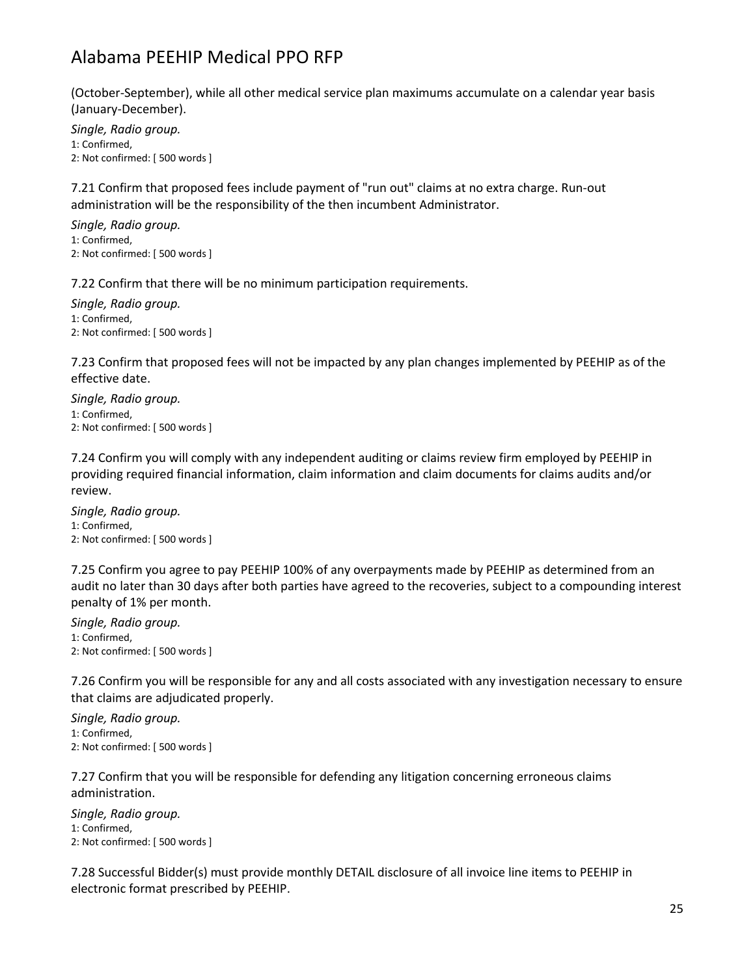(October-September), while all other medical service plan maximums accumulate on a calendar year basis (January-December).

*Single, Radio group.* 1: Confirmed, 2: Not confirmed: [ 500 words ]

7.21 Confirm that proposed fees include payment of "run out" claims at no extra charge. Run-out administration will be the responsibility of the then incumbent Administrator.

*Single, Radio group.* 1: Confirmed, 2: Not confirmed: [ 500 words ]

7.22 Confirm that there will be no minimum participation requirements.

*Single, Radio group.* 1: Confirmed, 2: Not confirmed: [ 500 words ]

7.23 Confirm that proposed fees will not be impacted by any plan changes implemented by PEEHIP as of the effective date.

*Single, Radio group.* 1: Confirmed, 2: Not confirmed: [ 500 words ]

7.24 Confirm you will comply with any independent auditing or claims review firm employed by PEEHIP in providing required financial information, claim information and claim documents for claims audits and/or review.

*Single, Radio group.* 1: Confirmed, 2: Not confirmed: [ 500 words ]

7.25 Confirm you agree to pay PEEHIP 100% of any overpayments made by PEEHIP as determined from an audit no later than 30 days after both parties have agreed to the recoveries, subject to a compounding interest penalty of 1% per month.

*Single, Radio group.* 1: Confirmed, 2: Not confirmed: [ 500 words ]

7.26 Confirm you will be responsible for any and all costs associated with any investigation necessary to ensure that claims are adjudicated properly.

*Single, Radio group.* 1: Confirmed, 2: Not confirmed: [ 500 words ]

7.27 Confirm that you will be responsible for defending any litigation concerning erroneous claims administration.

*Single, Radio group.* 1: Confirmed, 2: Not confirmed: [ 500 words ]

7.28 Successful Bidder(s) must provide monthly DETAIL disclosure of all invoice line items to PEEHIP in electronic format prescribed by PEEHIP.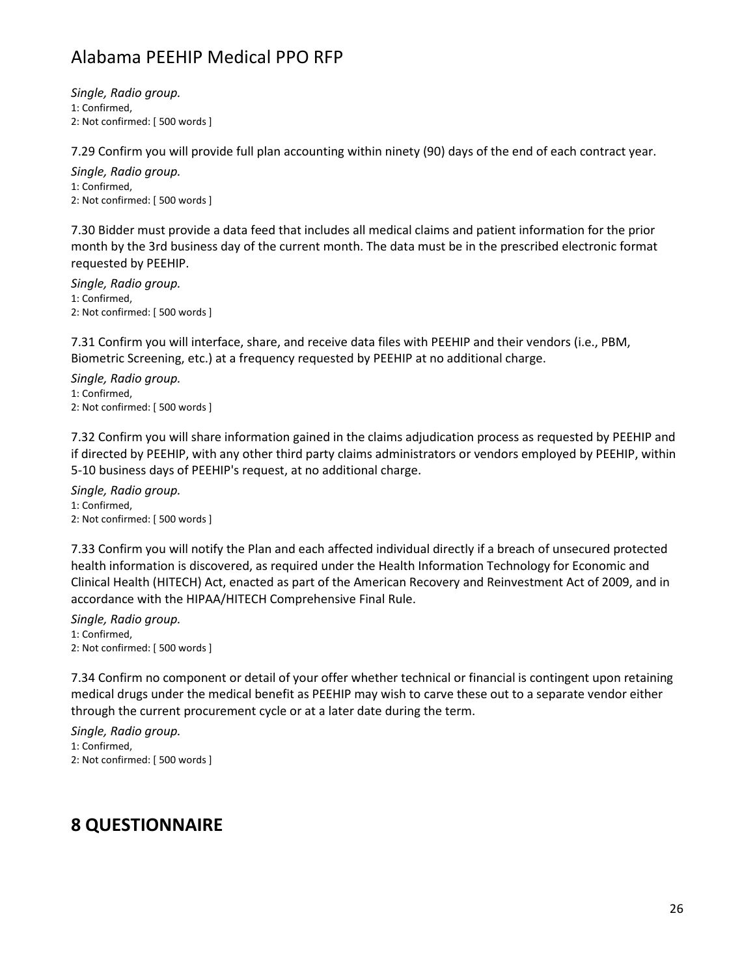*Single, Radio group.* 1: Confirmed, 2: Not confirmed: [ 500 words ]

7.29 Confirm you will provide full plan accounting within ninety (90) days of the end of each contract year.

*Single, Radio group.* 1: Confirmed, 2: Not confirmed: [ 500 words ]

7.30 Bidder must provide a data feed that includes all medical claims and patient information for the prior month by the 3rd business day of the current month. The data must be in the prescribed electronic format requested by PEEHIP.

*Single, Radio group.* 1: Confirmed, 2: Not confirmed: [ 500 words ]

7.31 Confirm you will interface, share, and receive data files with PEEHIP and their vendors (i.e., PBM, Biometric Screening, etc.) at a frequency requested by PEEHIP at no additional charge.

*Single, Radio group.* 1: Confirmed, 2: Not confirmed: [ 500 words ]

7.32 Confirm you will share information gained in the claims adjudication process as requested by PEEHIP and if directed by PEEHIP, with any other third party claims administrators or vendors employed by PEEHIP, within 5-10 business days of PEEHIP's request, at no additional charge.

*Single, Radio group.* 1: Confirmed, 2: Not confirmed: [ 500 words ]

7.33 Confirm you will notify the Plan and each affected individual directly if a breach of unsecured protected health information is discovered, as required under the Health Information Technology for Economic and Clinical Health (HITECH) Act, enacted as part of the American Recovery and Reinvestment Act of 2009, and in accordance with the HIPAA/HITECH Comprehensive Final Rule.

*Single, Radio group.* 1: Confirmed, 2: Not confirmed: [ 500 words ]

7.34 Confirm no component or detail of your offer whether technical or financial is contingent upon retaining medical drugs under the medical benefit as PEEHIP may wish to carve these out to a separate vendor either through the current procurement cycle or at a later date during the term.

*Single, Radio group.* 1: Confirmed, 2: Not confirmed: [ 500 words ]

#### **8 QUESTIONNAIRE**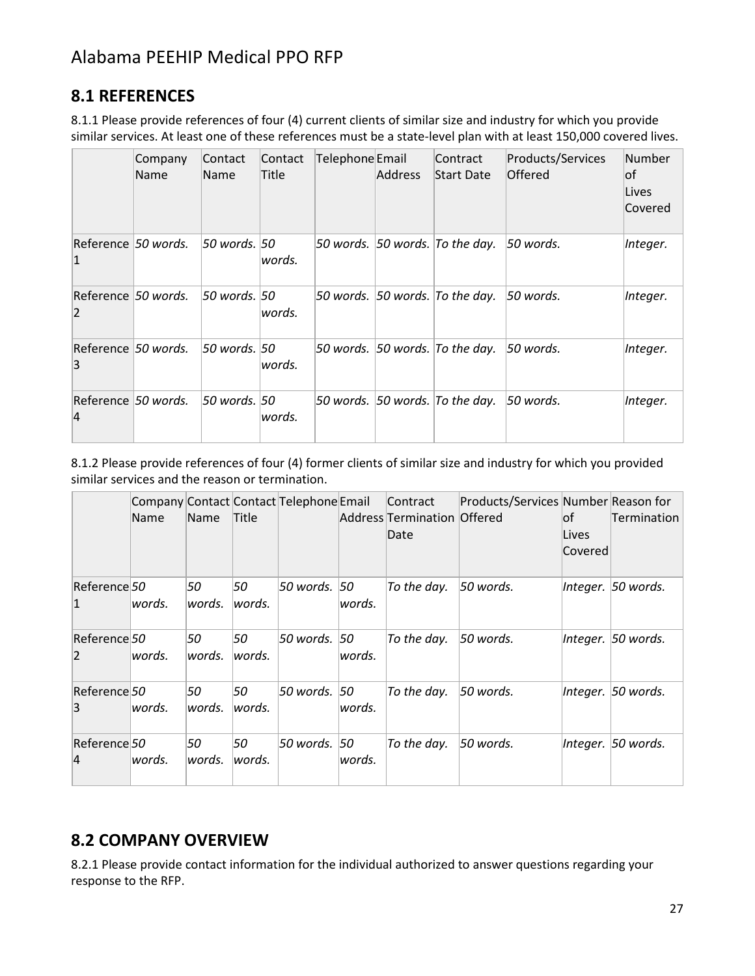#### **8.1 REFERENCES**

8.1.1 Please provide references of four (4) current clients of similar size and industry for which you provide similar services. At least one of these references must be a state-level plan with at least 150,000 covered lives.

|                                       | Company<br>Name | Contact<br>Name | Contact<br>Title | Telephone Email | <b>Address</b> | Contract<br><b>Start Date</b>              | Products/Services<br>Offered | Number<br>lof<br>Lives<br>Covered |
|---------------------------------------|-----------------|-----------------|------------------|-----------------|----------------|--------------------------------------------|------------------------------|-----------------------------------|
| Reference 50 words.<br>$\vert$ 1      |                 | 50 words. 50    | words.           |                 |                | 50 words. 50 words. To the day.            | 50 words.                    | Integer.                          |
| Reference 50 words.<br> 2             |                 | 50 words. 50    | words.           |                 |                | 50 words. $ 50$ words. To the day.         | 50 words.                    | Integer.                          |
| Reference 50 words.<br>3              |                 | 50 words. 50    | words.           |                 |                | 50 words. $ 50 \text{ words.}$ To the day. | 50 words.                    | Integer.                          |
| Reference 50 words.<br>$\overline{4}$ |                 | 50 words. 50    | words.           |                 |                | 50 words. $ 50$ words. To the day.         | 50 words.                    | Integer.                          |

8.1.2 Please provide references of four (4) former clients of similar size and industry for which you provided similar services and the reason or termination.

|                                | Name    | Name          | Title        | Company Contact Contact Telephone Email |         | Contract<br>Address Termination Offered<br>Date | Products/Services Number Reason for | lof.<br>Lives<br>Covered | Termination        |
|--------------------------------|---------|---------------|--------------|-----------------------------------------|---------|-------------------------------------------------|-------------------------------------|--------------------------|--------------------|
| Reference 50<br>$\mathbf{1}$   | words.  | 50<br>lwords. | 50<br>words. | 50 words. 50                            | lwords. | To the day.                                     | 50 words.                           |                          | Integer. 50 words. |
| Reference 50<br>$\overline{2}$ | lwords. | 50<br>words.  | 50<br>words. | 50 words. 50                            | lwords. | To the day.                                     | 50 words.                           |                          | Integer. 50 words. |
| Reference 50<br>3              | lwords. | 50<br>words.  | 50<br>words. | 50 words. 50                            | lwords. | To the day.                                     | $50$ words.                         |                          | Integer. 50 words. |
| Reference 50<br>$\overline{4}$ | lwords. | 50<br>lwords. | 50<br>words. | 50 words.  50                           | lwords. | To the day.                                     | $50$ words.                         |                          | Integer. 50 words. |

#### **8.2 COMPANY OVERVIEW**

8.2.1 Please provide contact information for the individual authorized to answer questions regarding your response to the RFP.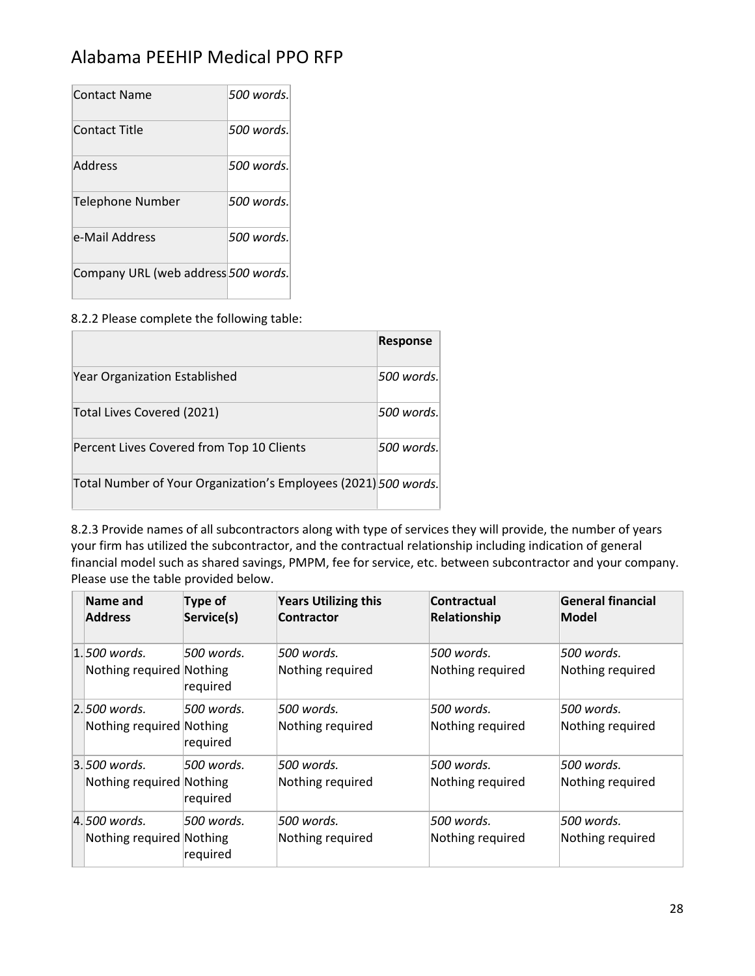| <b>Contact Name</b>                 | 500 words.  |
|-------------------------------------|-------------|
| Contact Title                       | 500 words.  |
| Address                             | .500 words. |
| Telephone Number                    | 500 words.  |
| e-Mail Address                      | 500 words.  |
| Company URL (web address 500 words. |             |

8.2.2 Please complete the following table:

|                                                                 | <b>Response</b> |
|-----------------------------------------------------------------|-----------------|
| Year Organization Established                                   | 500 words.      |
| Total Lives Covered (2021)                                      | 500 words.      |
| Percent Lives Covered from Top 10 Clients                       | 500 words.      |
| Total Number of Your Organization's Employees (2021) 500 words. |                 |

8.2.3 Provide names of all subcontractors along with type of services they will provide, the number of years your firm has utilized the subcontractor, and the contractual relationship including indication of general financial model such as shared savings, PMPM, fee for service, etc. between subcontractor and your company. Please use the table provided below.

| Name and                 | Type of     | <b>Years Utilizing this</b> | Contractual      | General financial |
|--------------------------|-------------|-----------------------------|------------------|-------------------|
| <b>Address</b>           | Service(s)  | Contractor                  | Relationship     | Model             |
| $1.500$ words.           | 500 words.  | 500 words.                  | 500 words.       | 500 words.        |
| Nothing required Nothing | required    | Nothing required            | Nothing required | Nothing required  |
| $2.500$ words.           | 1500 words. | 500 words.                  | .500 words.      | 500 words.        |
| Nothing required Nothing | required    | Nothing required            | Nothing required | Nothing required  |
| $3.500$ words.           | 1500 words. | 500 words.                  | 500 words.       | 500 words.        |
| Nothing required Nothing | required    | Nothing required            | Nothing required | Nothing required  |
| 4.500 words.             | 500 words.  | 500 words.                  | 500 words.       | 500 words.        |
| Nothing required Nothing | required    | Nothing required            | Nothing required | Nothing required  |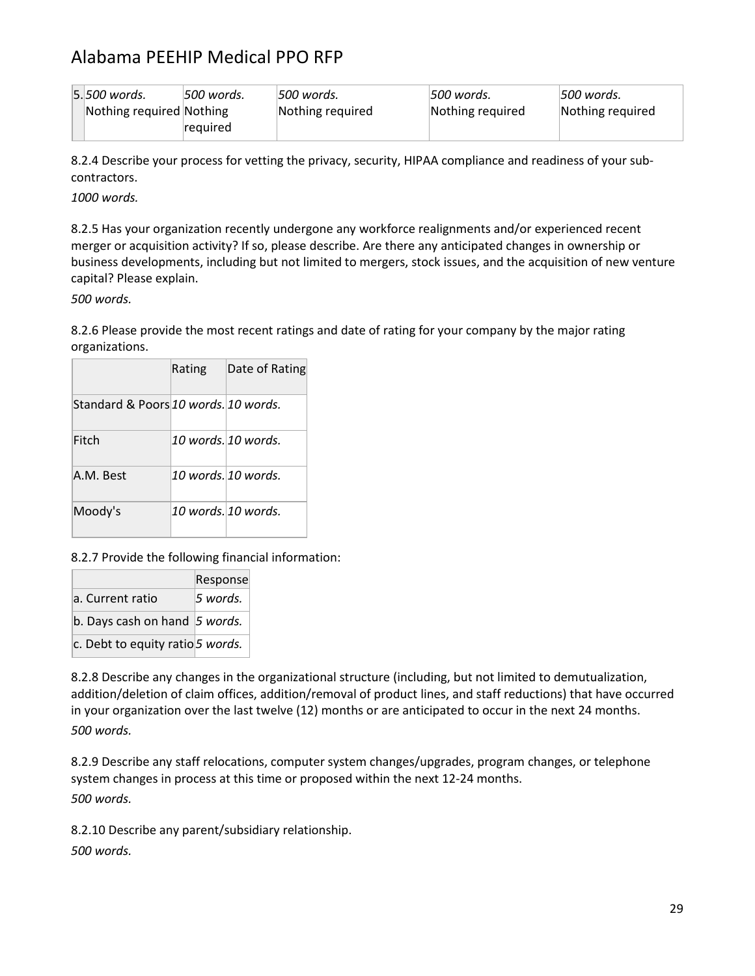| 5.500 words.             | 500 words. | 500 words.       | 500 words.       | 500 words.       |
|--------------------------|------------|------------------|------------------|------------------|
| Nothing required Nothing |            | Nothing required | Nothing required | Nothing required |
|                          | required   |                  |                  |                  |

8.2.4 Describe your process for vetting the privacy, security, HIPAA compliance and readiness of your subcontractors.

*1000 words.*

8.2.5 Has your organization recently undergone any workforce realignments and/or experienced recent merger or acquisition activity? If so, please describe. Are there any anticipated changes in ownership or business developments, including but not limited to mergers, stock issues, and the acquisition of new venture capital? Please explain.

*500 words.*

8.2.6 Please provide the most recent ratings and date of rating for your company by the major rating organizations.

|                                      | Rating | Date of Rating       |
|--------------------------------------|--------|----------------------|
| Standard & Poors 10 words. 10 words. |        |                      |
| Fitch                                |        | 10 words. 10 words.  |
| A.M. Best                            |        | 10 words $10$ words. |
| Moody's                              |        | 10 words. 10 words.  |

#### 8.2.7 Provide the following financial information:

|                                       | Response |
|---------------------------------------|----------|
| a. Current ratio                      | 5 words. |
| b. Days cash on hand $\vert$ 5 words. |          |
| c. Debt to equity ratio 5 words.      |          |

8.2.8 Describe any changes in the organizational structure (including, but not limited to demutualization, addition/deletion of claim offices, addition/removal of product lines, and staff reductions) that have occurred in your organization over the last twelve (12) months or are anticipated to occur in the next 24 months. *500 words.*

8.2.9 Describe any staff relocations, computer system changes/upgrades, program changes, or telephone system changes in process at this time or proposed within the next 12-24 months. *500 words.*

8.2.10 Describe any parent/subsidiary relationship. *500 words.*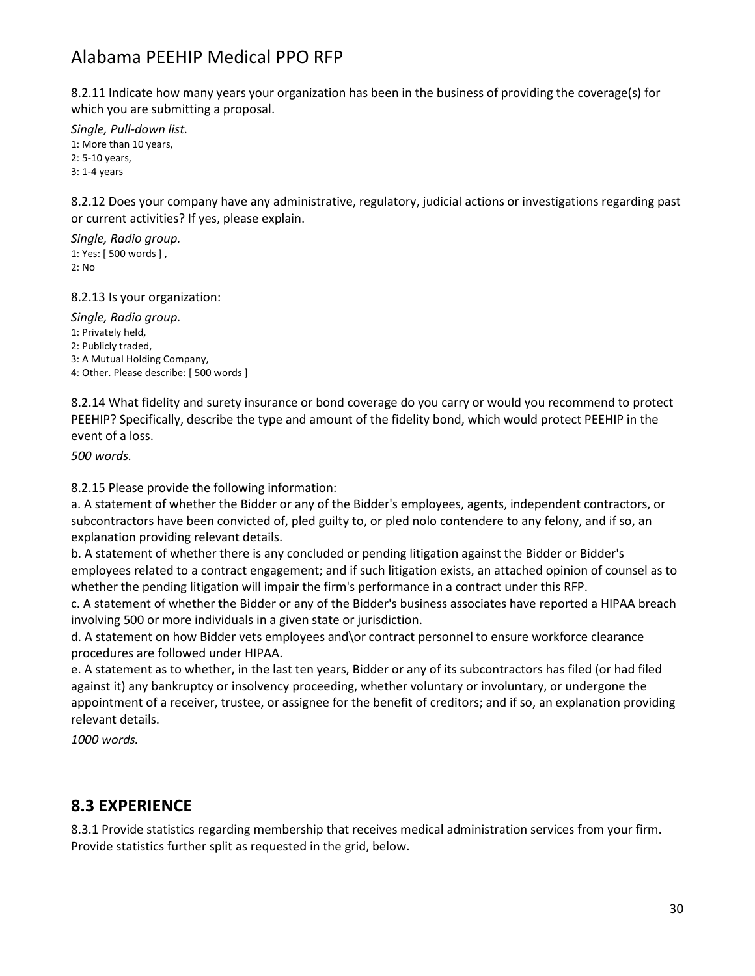8.2.11 Indicate how many years your organization has been in the business of providing the coverage(s) for which you are submitting a proposal.

*Single, Pull-down list.* 1: More than 10 years, 2: 5-10 years, 3: 1-4 years

8.2.12 Does your company have any administrative, regulatory, judicial actions or investigations regarding past or current activities? If yes, please explain.

*Single, Radio group.* 1: Yes: [ 500 words ] , 2: No

8.2.13 Is your organization:

*Single, Radio group.* 1: Privately held, 2: Publicly traded, 3: A Mutual Holding Company, 4: Other. Please describe: [ 500 words ]

8.2.14 What fidelity and surety insurance or bond coverage do you carry or would you recommend to protect PEEHIP? Specifically, describe the type and amount of the fidelity bond, which would protect PEEHIP in the event of a loss.

*500 words.*

8.2.15 Please provide the following information:

a. A statement of whether the Bidder or any of the Bidder's employees, agents, independent contractors, or subcontractors have been convicted of, pled guilty to, or pled nolo contendere to any felony, and if so, an explanation providing relevant details.

b. A statement of whether there is any concluded or pending litigation against the Bidder or Bidder's employees related to a contract engagement; and if such litigation exists, an attached opinion of counsel as to whether the pending litigation will impair the firm's performance in a contract under this RFP.

c. A statement of whether the Bidder or any of the Bidder's business associates have reported a HIPAA breach involving 500 or more individuals in a given state or jurisdiction.

d. A statement on how Bidder vets employees and\or contract personnel to ensure workforce clearance procedures are followed under HIPAA.

e. A statement as to whether, in the last ten years, Bidder or any of its subcontractors has filed (or had filed against it) any bankruptcy or insolvency proceeding, whether voluntary or involuntary, or undergone the appointment of a receiver, trustee, or assignee for the benefit of creditors; and if so, an explanation providing relevant details.

*1000 words.*

#### **8.3 EXPERIENCE**

8.3.1 Provide statistics regarding membership that receives medical administration services from your firm. Provide statistics further split as requested in the grid, below.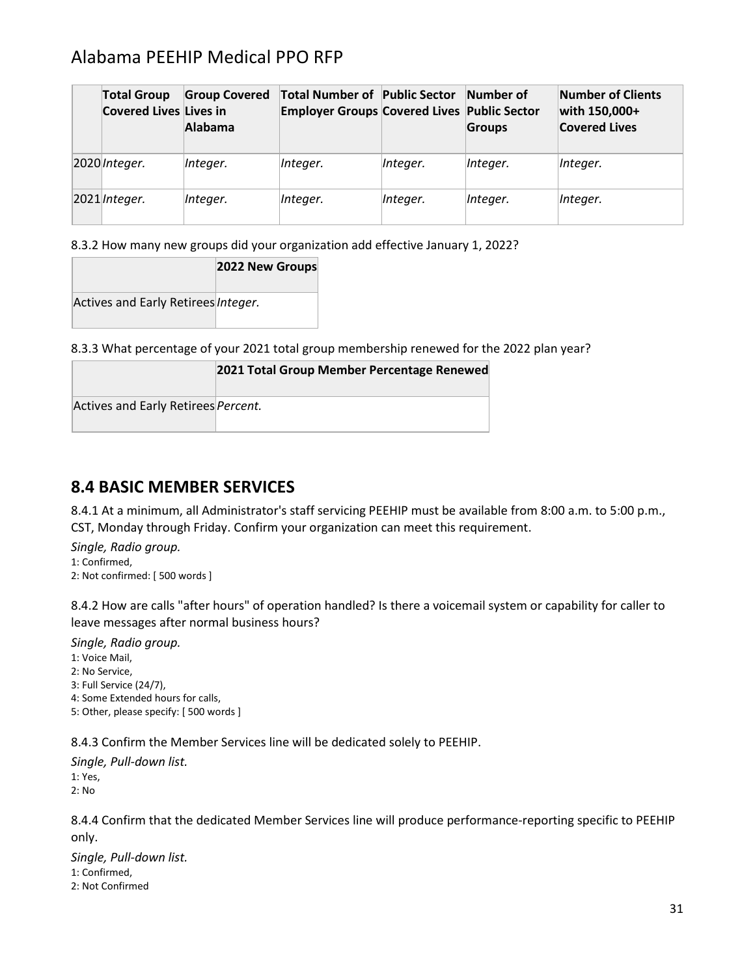| <b>Total Group</b><br><b>Covered Lives Lives in</b> | <b>Group Covered</b><br>Alabama | Total Number of Public Sector Number of<br><b>Employer Groups Covered Lives Public Sector</b> |          | Groups   | Number of Clients<br>with 150,000+<br><b>Covered Lives</b> |
|-----------------------------------------------------|---------------------------------|-----------------------------------------------------------------------------------------------|----------|----------|------------------------------------------------------------|
| 2020 Integer.                                       | Integer.                        | Integer.                                                                                      | Integer. | Integer. | Integer.                                                   |
| $2021$ <i>Integer.</i>                              | Integer.                        | Integer.                                                                                      | Integer. | Integer. | Integer.                                                   |

8.3.2 How many new groups did your organization add effective January 1, 2022?

|                                     | 2022 New Groups |
|-------------------------------------|-----------------|
| Actives and Early Retirees Integer. |                 |

8.3.3 What percentage of your 2021 total group membership renewed for the 2022 plan year?

|                                     | 2021 Total Group Member Percentage Renewed |
|-------------------------------------|--------------------------------------------|
| Actives and Early Retirees Percent. |                                            |

#### **8.4 BASIC MEMBER SERVICES**

8.4.1 At a minimum, all Administrator's staff servicing PEEHIP must be available from 8:00 a.m. to 5:00 p.m., CST, Monday through Friday. Confirm your organization can meet this requirement.

*Single, Radio group.* 1: Confirmed, 2: Not confirmed: [ 500 words ]

8.4.2 How are calls "after hours" of operation handled? Is there a voicemail system or capability for caller to leave messages after normal business hours?

*Single, Radio group.*

1: Voice Mail, 2: No Service, 3: Full Service (24/7), 4: Some Extended hours for calls, 5: Other, please specify: [ 500 words ]

8.4.3 Confirm the Member Services line will be dedicated solely to PEEHIP.

*Single, Pull-down list.* 1: Yes, 2: No

8.4.4 Confirm that the dedicated Member Services line will produce performance-reporting specific to PEEHIP only.

*Single, Pull-down list.* 1: Confirmed, 2: Not Confirmed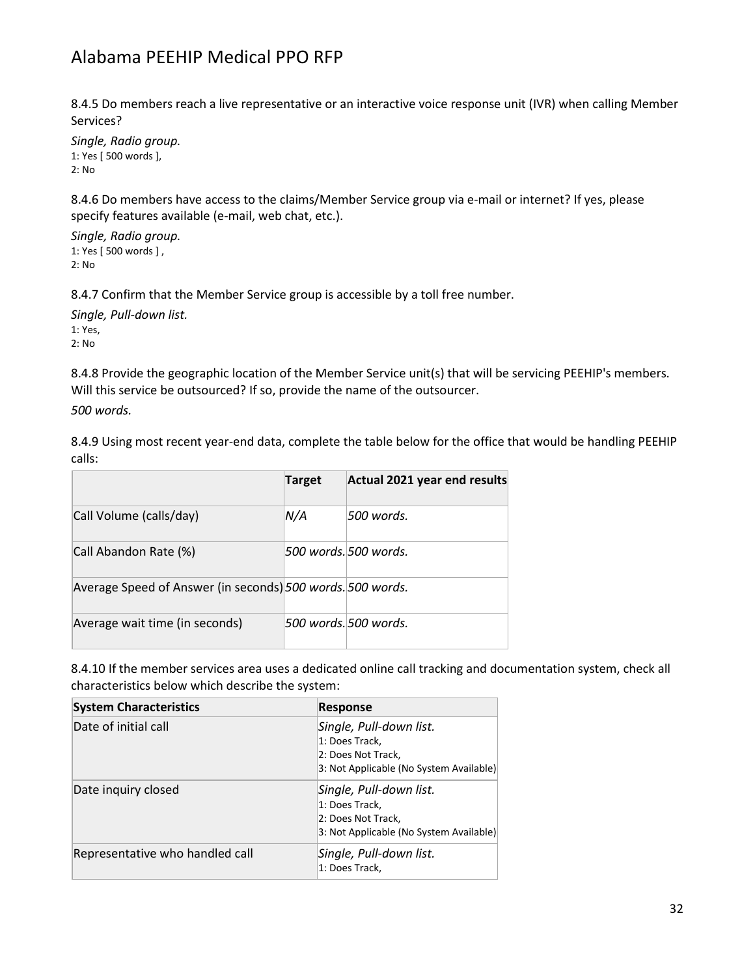8.4.5 Do members reach a live representative or an interactive voice response unit (IVR) when calling Member Services?

*Single, Radio group.* 1: Yes [ 500 words ], 2: No

8.4.6 Do members have access to the claims/Member Service group via e-mail or internet? If yes, please specify features available (e-mail, web chat, etc.).

*Single, Radio group.* 1: Yes [ 500 words ] , 2: No

8.4.7 Confirm that the Member Service group is accessible by a toll free number.

*Single, Pull-down list.* 1: Yes, 2: No

8.4.8 Provide the geographic location of the Member Service unit(s) that will be servicing PEEHIP's members. Will this service be outsourced? If so, provide the name of the outsourcer.

*500 words.*

8.4.9 Using most recent year-end data, complete the table below for the office that would be handling PEEHIP calls:

|                                                            | <b>Target</b> | Actual 2021 year end results |
|------------------------------------------------------------|---------------|------------------------------|
| Call Volume (calls/day)                                    | N/A           | .500 words.                  |
| Call Abandon Rate (%)                                      |               | 500 words. 500 words.        |
| Average Speed of Answer (in seconds) 500 words. 500 words. |               |                              |
| Average wait time (in seconds)                             |               | 500 words. 500 words.        |

8.4.10 If the member services area uses a dedicated online call tracking and documentation system, check all characteristics below which describe the system:

| <b>System Characteristics</b>   | <b>Response</b>                                                                                            |
|---------------------------------|------------------------------------------------------------------------------------------------------------|
| Date of initial call            | Single, Pull-down list.<br>1: Does Track,<br>2: Does Not Track.<br>3: Not Applicable (No System Available) |
| Date inquiry closed             | Single, Pull-down list.<br>1: Does Track,<br>2: Does Not Track,<br>3: Not Applicable (No System Available) |
| Representative who handled call | Single, Pull-down list.<br>1: Does Track,                                                                  |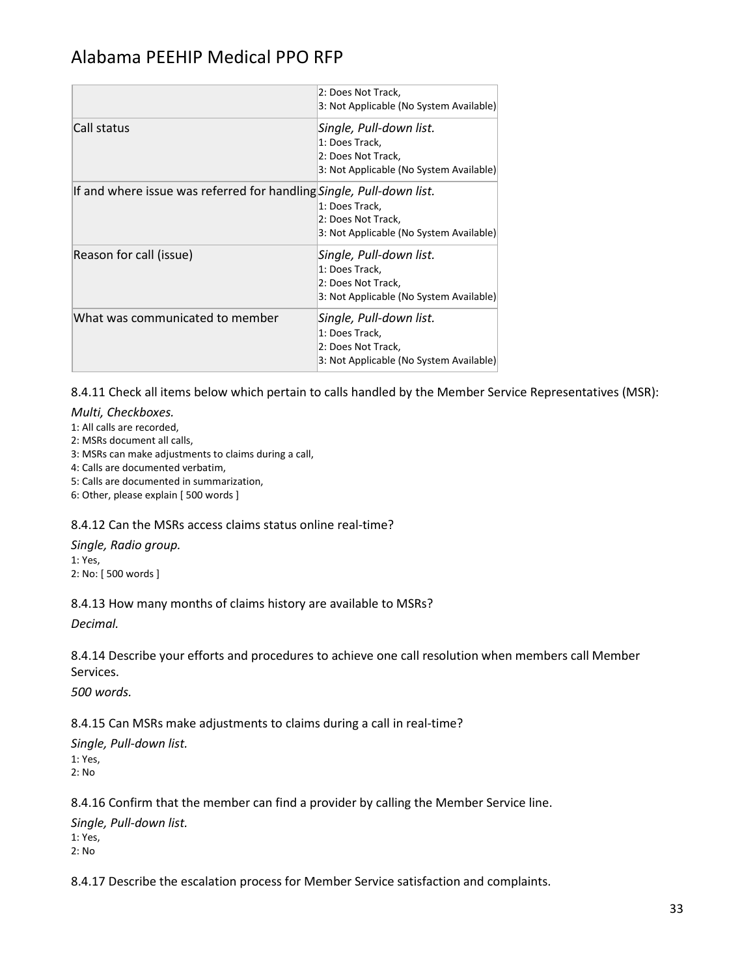|                                                                      | 2: Does Not Track,<br>3: Not Applicable (No System Available)                                              |
|----------------------------------------------------------------------|------------------------------------------------------------------------------------------------------------|
| Call status                                                          | Single, Pull-down list.<br>1: Does Track,<br>2: Does Not Track,<br>3: Not Applicable (No System Available) |
| If and where issue was referred for handling Single, Pull-down list. | 1: Does Track,<br>2: Does Not Track,<br>3: Not Applicable (No System Available)                            |
| Reason for call (issue)                                              | Single, Pull-down list.<br>1: Does Track,<br>2: Does Not Track,<br>3: Not Applicable (No System Available) |
| What was communicated to member                                      | Single, Pull-down list.<br>1: Does Track,<br>2: Does Not Track,<br>3: Not Applicable (No System Available) |

8.4.11 Check all items below which pertain to calls handled by the Member Service Representatives (MSR):

#### *Multi, Checkboxes.*

- 1: All calls are recorded,
- 2: MSRs document all calls,
- 3: MSRs can make adjustments to claims during a call,
- 4: Calls are documented verbatim,
- 5: Calls are documented in summarization,
- 6: Other, please explain [ 500 words ]

#### 8.4.12 Can the MSRs access claims status online real-time?

#### *Single, Radio group.* 1: Yes,

2: No: [ 500 words ]

#### 8.4.13 How many months of claims history are available to MSRs?

*Decimal.*

8.4.14 Describe your efforts and procedures to achieve one call resolution when members call Member Services.

*500 words.*

#### 8.4.15 Can MSRs make adjustments to claims during a call in real-time?

*Single, Pull-down list.* 1: Yes, 2: No

8.4.16 Confirm that the member can find a provider by calling the Member Service line.

*Single, Pull-down list.* 1: Yes, 2: No

8.4.17 Describe the escalation process for Member Service satisfaction and complaints.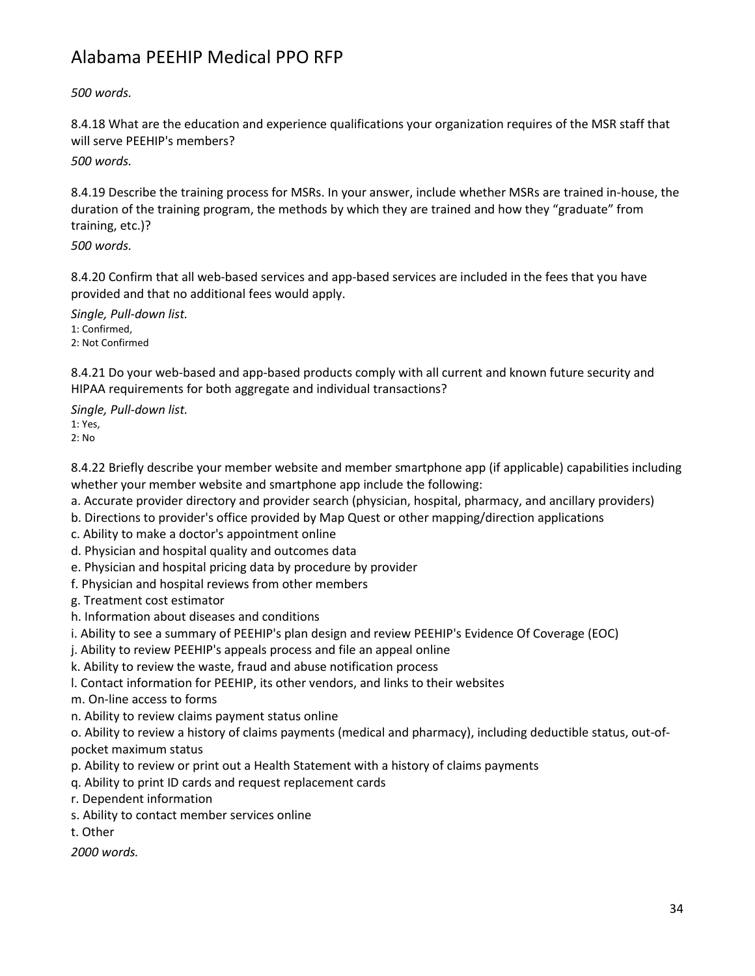*500 words.*

8.4.18 What are the education and experience qualifications your organization requires of the MSR staff that will serve PEEHIP's members?

*500 words.*

8.4.19 Describe the training process for MSRs. In your answer, include whether MSRs are trained in-house, the duration of the training program, the methods by which they are trained and how they "graduate" from training, etc.)?

*500 words.*

8.4.20 Confirm that all web-based services and app-based services are included in the fees that you have provided and that no additional fees would apply.

*Single, Pull-down list.* 1: Confirmed, 2: Not Confirmed

8.4.21 Do your web-based and app-based products comply with all current and known future security and HIPAA requirements for both aggregate and individual transactions?

*Single, Pull-down list.* 1: Yes,

2: No

8.4.22 Briefly describe your member website and member smartphone app (if applicable) capabilities including whether your member website and smartphone app include the following:

a. Accurate provider directory and provider search (physician, hospital, pharmacy, and ancillary providers)

- b. Directions to provider's office provided by Map Quest or other mapping/direction applications
- c. Ability to make a doctor's appointment online
- d. Physician and hospital quality and outcomes data
- e. Physician and hospital pricing data by procedure by provider
- f. Physician and hospital reviews from other members
- g. Treatment cost estimator
- h. Information about diseases and conditions
- i. Ability to see a summary of PEEHIP's plan design and review PEEHIP's Evidence Of Coverage (EOC)
- j. Ability to review PEEHIP's appeals process and file an appeal online
- k. Ability to review the waste, fraud and abuse notification process
- l. Contact information for PEEHIP, its other vendors, and links to their websites
- m. On-line access to forms
- n. Ability to review claims payment status online

o. Ability to review a history of claims payments (medical and pharmacy), including deductible status, out-ofpocket maximum status

- p. Ability to review or print out a Health Statement with a history of claims payments
- q. Ability to print ID cards and request replacement cards
- r. Dependent information
- s. Ability to contact member services online
- t. Other

*2000 words.*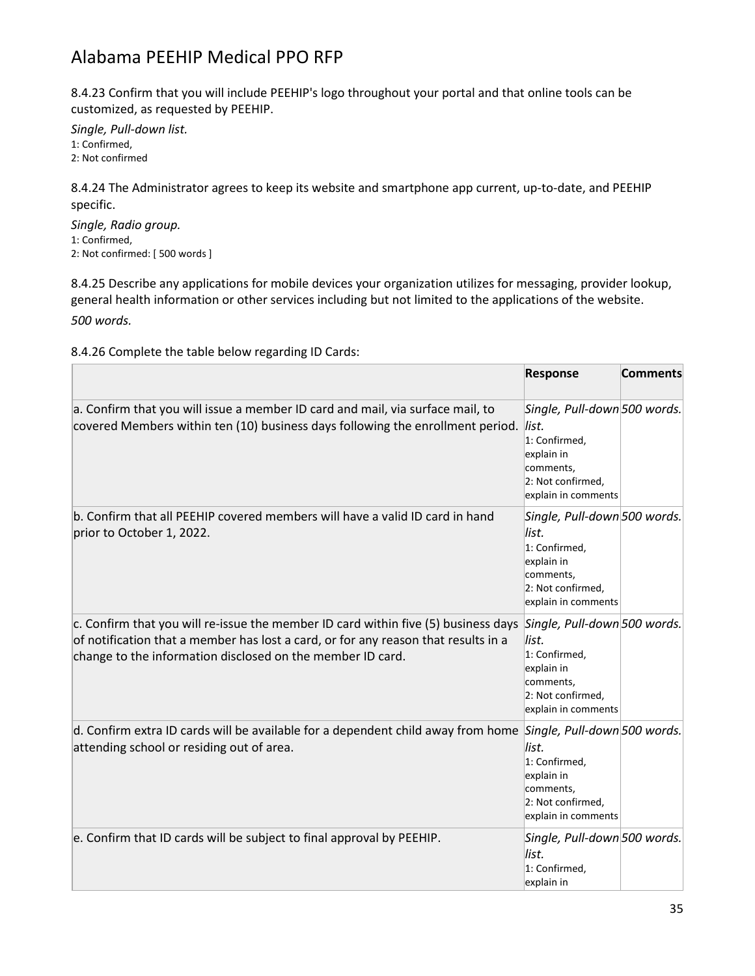8.4.23 Confirm that you will include PEEHIP's logo throughout your portal and that online tools can be customized, as requested by PEEHIP.

*Single, Pull-down list.* 1: Confirmed, 2: Not confirmed

8.4.24 The Administrator agrees to keep its website and smartphone app current, up-to-date, and PEEHIP specific.

*Single, Radio group.* 1: Confirmed, 2: Not confirmed: [ 500 words ]

8.4.25 Describe any applications for mobile devices your organization utilizes for messaging, provider lookup, general health information or other services including but not limited to the applications of the website. *500 words.*

8.4.26 Complete the table below regarding ID Cards:

|                                                                                                                                                                                                                                                                     | <b>Response</b>                                                                                                               | <b>Comments</b> |
|---------------------------------------------------------------------------------------------------------------------------------------------------------------------------------------------------------------------------------------------------------------------|-------------------------------------------------------------------------------------------------------------------------------|-----------------|
| a. Confirm that you will issue a member ID card and mail, via surface mail, to<br>covered Members within ten (10) business days following the enrollment period. list.                                                                                              | Single, Pull-down 500 words.<br>1: Confirmed,<br>explain in<br>comments,<br>2: Not confirmed,<br>explain in comments          |                 |
| b. Confirm that all PEEHIP covered members will have a valid ID card in hand<br>prior to October 1, 2022.                                                                                                                                                           | Single, Pull-down 500 words.<br>list.<br>1: Confirmed,<br>explain in<br>comments,<br>2: Not confirmed,<br>explain in comments |                 |
| c. Confirm that you will re-issue the member ID card within five (5) business days Single, Pull-down 500 words.<br>of notification that a member has lost a card, or for any reason that results in a<br>change to the information disclosed on the member ID card. | list.<br>1: Confirmed,<br>explain in<br>comments,<br>2: Not confirmed,<br>explain in comments                                 |                 |
| d. Confirm extra ID cards will be available for a dependent child away from home Single, Pull-down 500 words.<br>attending school or residing out of area.                                                                                                          | list.<br>1: Confirmed,<br>explain in<br>comments,<br>2: Not confirmed,<br>explain in comments                                 |                 |
| e. Confirm that ID cards will be subject to final approval by PEEHIP.                                                                                                                                                                                               | Single, Pull-down 500 words.<br>list.<br>1: Confirmed,<br>explain in                                                          |                 |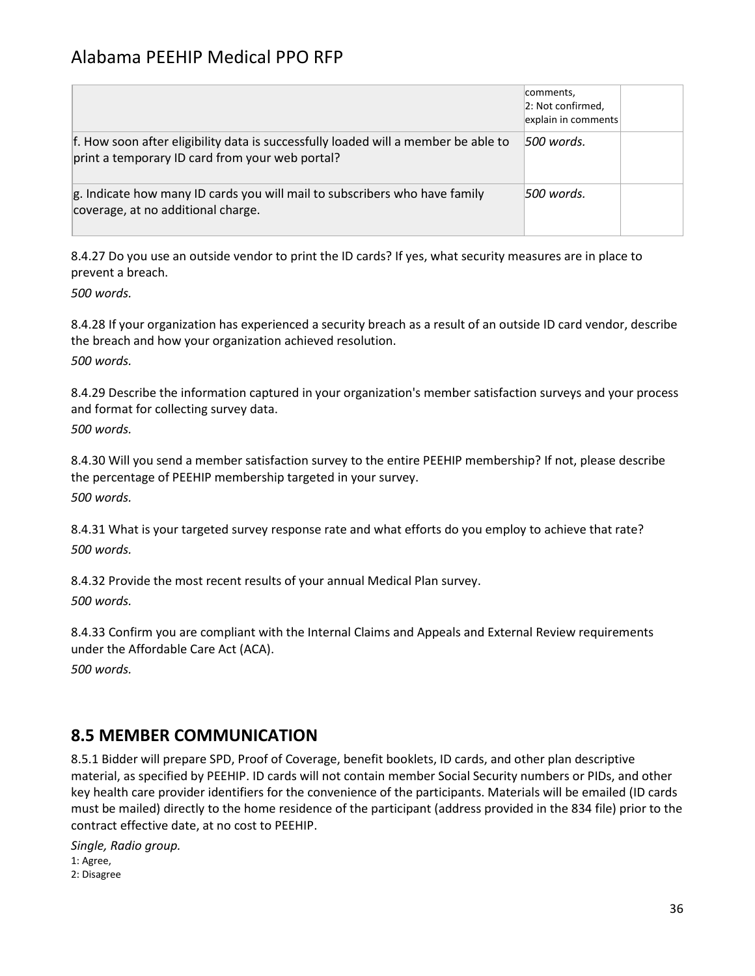|                                                                                                                                       | comments,<br>2: Not confirmed,<br>explain in comments |  |
|---------------------------------------------------------------------------------------------------------------------------------------|-------------------------------------------------------|--|
| f. How soon after eligibility data is successfully loaded will a member be able to<br>print a temporary ID card from your web portal? | 1500 words.                                           |  |
| g. Indicate how many ID cards you will mail to subscribers who have family<br>coverage, at no additional charge.                      | 500 words.                                            |  |

8.4.27 Do you use an outside vendor to print the ID cards? If yes, what security measures are in place to prevent a breach.

*500 words.*

8.4.28 If your organization has experienced a security breach as a result of an outside ID card vendor, describe the breach and how your organization achieved resolution. *500 words.*

8.4.29 Describe the information captured in your organization's member satisfaction surveys and your process and format for collecting survey data. *500 words.*

8.4.30 Will you send a member satisfaction survey to the entire PEEHIP membership? If not, please describe the percentage of PEEHIP membership targeted in your survey. *500 words.*

8.4.31 What is your targeted survey response rate and what efforts do you employ to achieve that rate? *500 words.*

8.4.32 Provide the most recent results of your annual Medical Plan survey. *500 words.*

8.4.33 Confirm you are compliant with the Internal Claims and Appeals and External Review requirements under the Affordable Care Act (ACA).

*500 words.*

#### **8.5 MEMBER COMMUNICATION**

8.5.1 Bidder will prepare SPD, Proof of Coverage, benefit booklets, ID cards, and other plan descriptive material, as specified by PEEHIP. ID cards will not contain member Social Security numbers or PIDs, and other key health care provider identifiers for the convenience of the participants. Materials will be emailed (ID cards must be mailed) directly to the home residence of the participant (address provided in the 834 file) prior to the contract effective date, at no cost to PEEHIP.

*Single, Radio group.* 1: Agree, 2: Disagree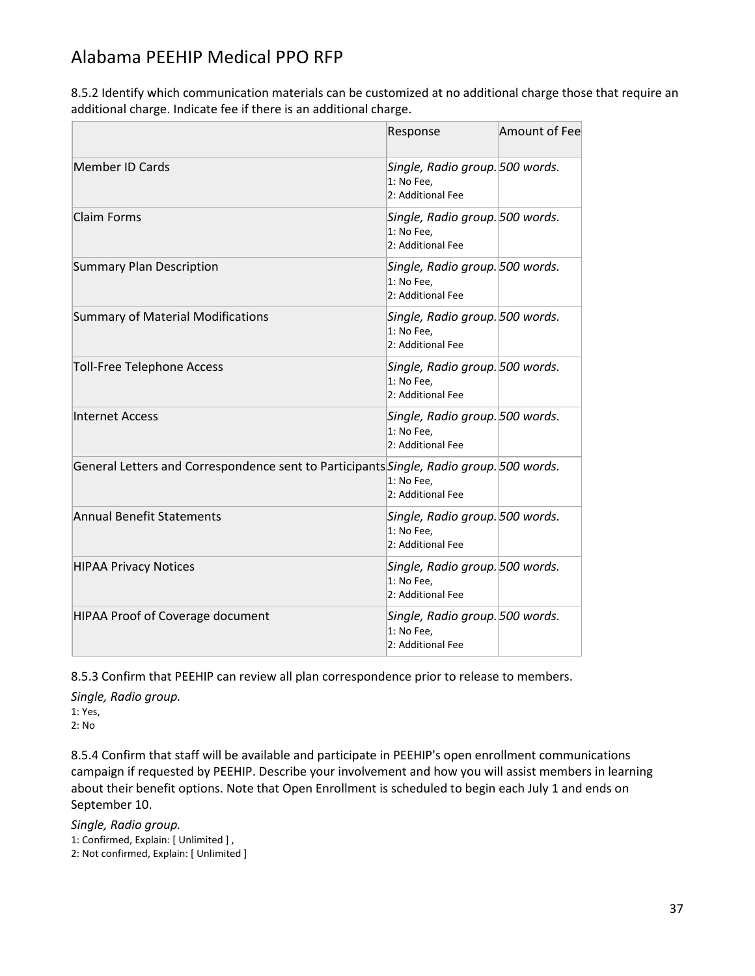8.5.2 Identify which communication materials can be customized at no additional charge those that require an additional charge. Indicate fee if there is an additional charge.

|                                                                                         | Response                                                           | Amount of Fee |
|-----------------------------------------------------------------------------------------|--------------------------------------------------------------------|---------------|
| <b>Member ID Cards</b>                                                                  | Single, Radio group. 500 words.<br>1: No Fee,<br>2: Additional Fee |               |
| <b>Claim Forms</b>                                                                      | Single, Radio group. 500 words.<br>1: No Fee,<br>2: Additional Fee |               |
| <b>Summary Plan Description</b>                                                         | Single, Radio group. 500 words.<br>1: No Fee,<br>2: Additional Fee |               |
| <b>Summary of Material Modifications</b>                                                | Single, Radio group. 500 words.<br>1: No Fee,<br>2: Additional Fee |               |
| <b>Toll-Free Telephone Access</b>                                                       | Single, Radio group. 500 words.<br>1: No Fee.<br>2: Additional Fee |               |
| <b>Internet Access</b>                                                                  | Single, Radio group. 500 words.<br>1: No Fee.<br>2: Additional Fee |               |
| General Letters and Correspondence sent to Participants Single, Radio group. 500 words. | 1: No Fee.<br>2: Additional Fee                                    |               |
| <b>Annual Benefit Statements</b>                                                        | Single, Radio group. 500 words.<br>1: No Fee.<br>2: Additional Fee |               |
| <b>HIPAA Privacy Notices</b>                                                            | Single, Radio group. 500 words.<br>1: No Fee.<br>2: Additional Fee |               |
| HIPAA Proof of Coverage document                                                        | Single, Radio group. 500 words.<br>1: No Fee,<br>2: Additional Fee |               |

8.5.3 Confirm that PEEHIP can review all plan correspondence prior to release to members.

*Single, Radio group.* 1: Yes, 2: No

8.5.4 Confirm that staff will be available and participate in PEEHIP's open enrollment communications campaign if requested by PEEHIP. Describe your involvement and how you will assist members in learning about their benefit options. Note that Open Enrollment is scheduled to begin each July 1 and ends on September 10.

*Single, Radio group.* 1: Confirmed, Explain: [ Unlimited ] , 2: Not confirmed, Explain: [ Unlimited ]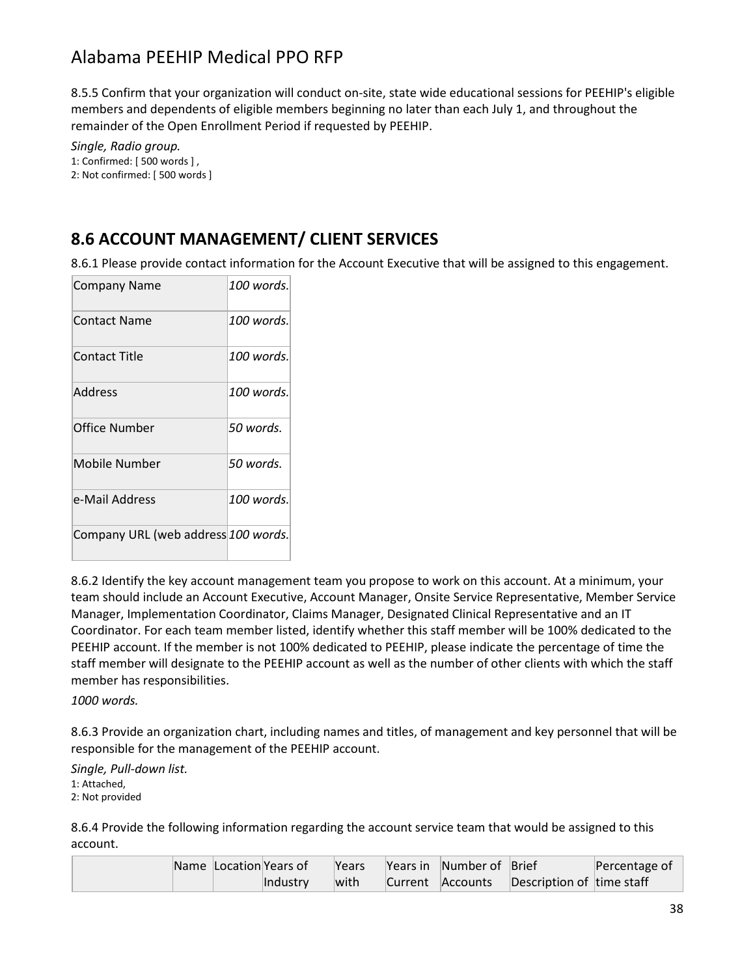8.5.5 Confirm that your organization will conduct on-site, state wide educational sessions for PEEHIP's eligible members and dependents of eligible members beginning no later than each July 1, and throughout the remainder of the Open Enrollment Period if requested by PEEHIP.

*Single, Radio group.* 1: Confirmed: [ 500 words ] , 2: Not confirmed: [ 500 words ]

### **8.6 ACCOUNT MANAGEMENT/ CLIENT SERVICES**

8.6.1 Please provide contact information for the Account Executive that will be assigned to this engagement.

| <b>Company Name</b>                 | 100 words. |
|-------------------------------------|------------|
| Contact Name                        | 100 words. |
| <b>Contact Title</b>                | 100 words. |
| Address                             | 100 words. |
| Office Number                       | 50 words.  |
| Mobile Number                       | 50 words.  |
| e-Mail Address                      | 100 words. |
| Company URL (web address 100 words. |            |

8.6.2 Identify the key account management team you propose to work on this account. At a minimum, your team should include an Account Executive, Account Manager, Onsite Service Representative, Member Service Manager, Implementation Coordinator, Claims Manager, Designated Clinical Representative and an IT Coordinator. For each team member listed, identify whether this staff member will be 100% dedicated to the PEEHIP account. If the member is not 100% dedicated to PEEHIP, please indicate the percentage of time the staff member will designate to the PEEHIP account as well as the number of other clients with which the staff member has responsibilities.

*1000 words.*

8.6.3 Provide an organization chart, including names and titles, of management and key personnel that will be responsible for the management of the PEEHIP account.

*Single, Pull-down list.* 1: Attached, 2: Not provided

8.6.4 Provide the following information regarding the account service team that would be assigned to this account.

|  | Name Location Years of |          | Years | Years in Number of Brief |                           | Percentage of |
|--|------------------------|----------|-------|--------------------------|---------------------------|---------------|
|  |                        | Industry | with  | Current Accounts         | Description of time staff |               |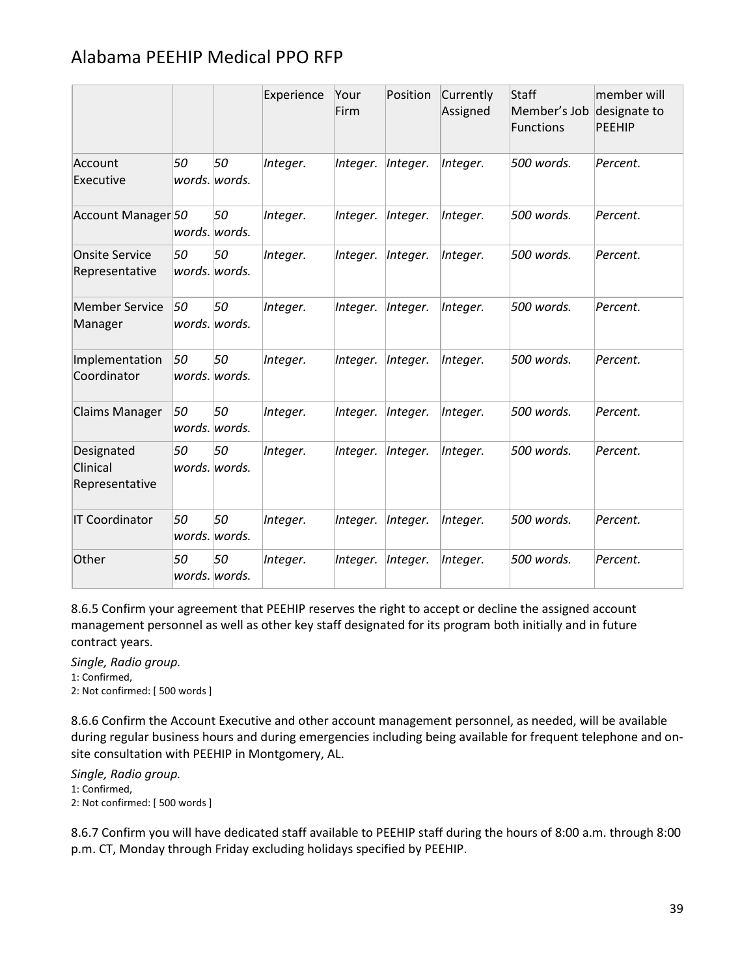|                                          |    |                     | Experience | Your<br>Firm | Position | Currently<br>Assigned | <b>Staff</b><br>Member's Job<br><b>Functions</b> | member will<br>designate to<br><b>PEEHIP</b> |
|------------------------------------------|----|---------------------|------------|--------------|----------|-----------------------|--------------------------------------------------|----------------------------------------------|
| Account<br>Executive                     | 50 | 50<br>words. words. | Integer.   | Integer.     | Integer. | Integer.              | 500 words.                                       | Percent.                                     |
| Account Manager 50                       |    | 50<br>words. words. | Integer.   | Integer.     | Integer. | Integer.              | 500 words.                                       | Percent.                                     |
| <b>Onsite Service</b><br>Representative  | 50 | 50<br>words. words. | Integer.   | Integer.     | Integer. | Integer.              | 500 words.                                       | Percent.                                     |
| <b>Member Service</b><br>Manager         | 50 | 50<br>words. words. | Integer.   | Integer.     | Integer. | Integer.              | 500 words.                                       | Percent.                                     |
| Implementation<br>Coordinator            | 50 | 50<br>words. words. | Integer.   | Integer.     | Integer. | Integer.              | 500 words.                                       | Percent.                                     |
| Claims Manager                           | 50 | 50<br>words. words. | Integer.   | Integer.     | Integer. | Integer.              | 500 words.                                       | Percent.                                     |
| Designated<br>Clinical<br>Representative | 50 | 50<br>words. words. | Integer.   | Integer.     | Integer. | Integer.              | 500 words.                                       | Percent.                                     |
| <b>IT Coordinator</b>                    | 50 | 50<br>words. words. | Integer.   | Integer.     | Integer. | Integer.              | 500 words.                                       | Percent.                                     |
| Other                                    | 50 | 50<br>words. words. | Integer.   | Integer.     | Integer. | Integer.              | 500 words.                                       | Percent.                                     |

8.6.5 Confirm your agreement that PEEHIP reserves the right to accept or decline the assigned account management personnel as well as other key staff designated for its program both initially and in future contract years.

*Single, Radio group.*

1: Confirmed,

2: Not confirmed: [ 500 words ]

8.6.6 Confirm the Account Executive and other account management personnel, as needed, will be available during regular business hours and during emergencies including being available for frequent telephone and onsite consultation with PEEHIP in Montgomery, AL.

*Single, Radio group.* 1: Confirmed, 2: Not confirmed: [ 500 words ]

8.6.7 Confirm you will have dedicated staff available to PEEHIP staff during the hours of 8:00 a.m. through 8:00 p.m. CT, Monday through Friday excluding holidays specified by PEEHIP.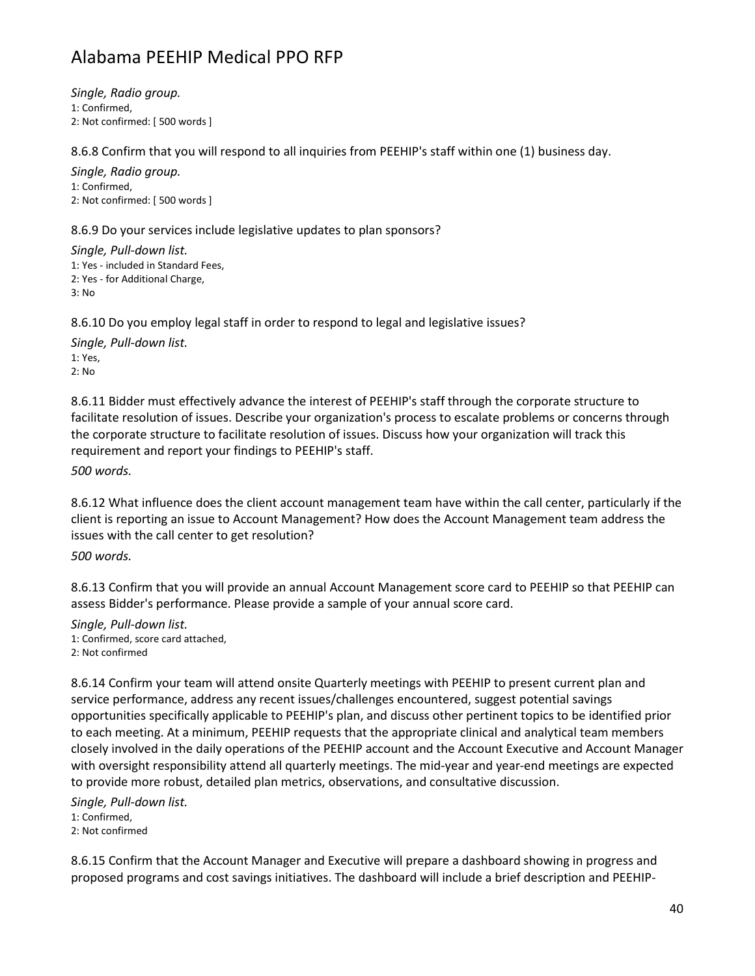*Single, Radio group.* 1: Confirmed, 2: Not confirmed: [ 500 words ]

8.6.8 Confirm that you will respond to all inquiries from PEEHIP's staff within one (1) business day.

*Single, Radio group.* 1: Confirmed, 2: Not confirmed: [ 500 words ]

8.6.9 Do your services include legislative updates to plan sponsors?

*Single, Pull-down list.* 1: Yes - included in Standard Fees, 2: Yes - for Additional Charge, 3: No

8.6.10 Do you employ legal staff in order to respond to legal and legislative issues?

*Single, Pull-down list.* 1: Yes, 2: No

8.6.11 Bidder must effectively advance the interest of PEEHIP's staff through the corporate structure to facilitate resolution of issues. Describe your organization's process to escalate problems or concerns through the corporate structure to facilitate resolution of issues. Discuss how your organization will track this requirement and report your findings to PEEHIP's staff.

*500 words.*

8.6.12 What influence does the client account management team have within the call center, particularly if the client is reporting an issue to Account Management? How does the Account Management team address the issues with the call center to get resolution?

*500 words.*

8.6.13 Confirm that you will provide an annual Account Management score card to PEEHIP so that PEEHIP can assess Bidder's performance. Please provide a sample of your annual score card.

*Single, Pull-down list.* 1: Confirmed, score card attached, 2: Not confirmed

8.6.14 Confirm your team will attend onsite Quarterly meetings with PEEHIP to present current plan and service performance, address any recent issues/challenges encountered, suggest potential savings opportunities specifically applicable to PEEHIP's plan, and discuss other pertinent topics to be identified prior to each meeting. At a minimum, PEEHIP requests that the appropriate clinical and analytical team members closely involved in the daily operations of the PEEHIP account and the Account Executive and Account Manager with oversight responsibility attend all quarterly meetings. The mid-year and year-end meetings are expected to provide more robust, detailed plan metrics, observations, and consultative discussion.

*Single, Pull-down list.* 1: Confirmed, 2: Not confirmed

8.6.15 Confirm that the Account Manager and Executive will prepare a dashboard showing in progress and proposed programs and cost savings initiatives. The dashboard will include a brief description and PEEHIP-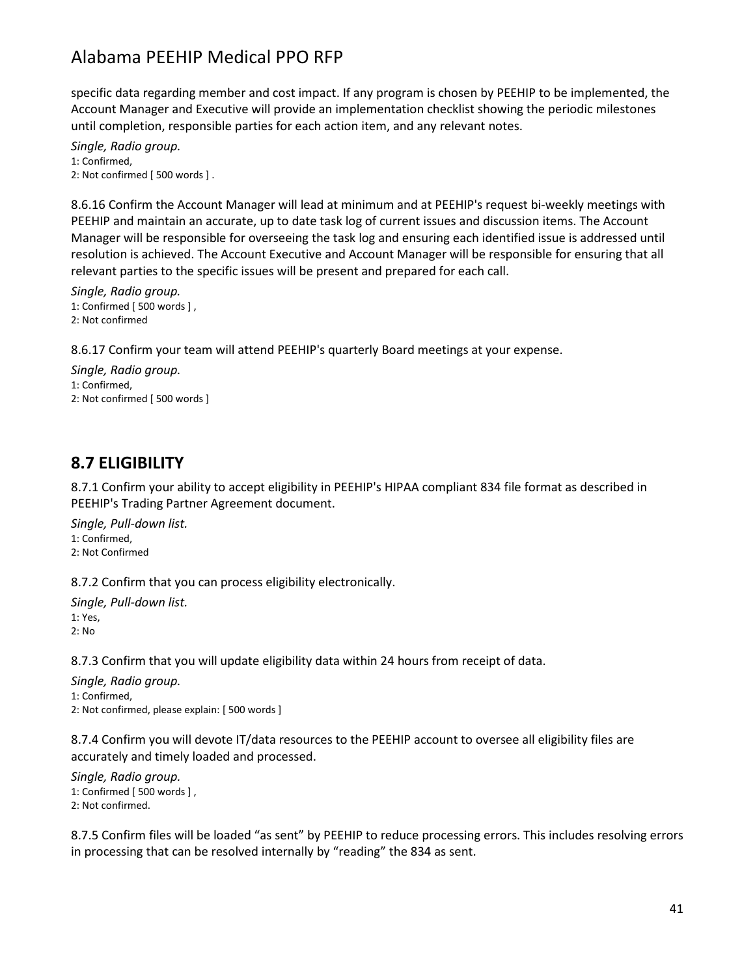specific data regarding member and cost impact. If any program is chosen by PEEHIP to be implemented, the Account Manager and Executive will provide an implementation checklist showing the periodic milestones until completion, responsible parties for each action item, and any relevant notes.

*Single, Radio group.* 1: Confirmed, 2: Not confirmed [ 500 words ] .

8.6.16 Confirm the Account Manager will lead at minimum and at PEEHIP's request bi-weekly meetings with PEEHIP and maintain an accurate, up to date task log of current issues and discussion items. The Account Manager will be responsible for overseeing the task log and ensuring each identified issue is addressed until resolution is achieved. The Account Executive and Account Manager will be responsible for ensuring that all relevant parties to the specific issues will be present and prepared for each call.

*Single, Radio group.* 1: Confirmed [ 500 words ] , 2: Not confirmed

8.6.17 Confirm your team will attend PEEHIP's quarterly Board meetings at your expense.

*Single, Radio group.* 1: Confirmed, 2: Not confirmed [ 500 words ]

### **8.7 ELIGIBILITY**

8.7.1 Confirm your ability to accept eligibility in PEEHIP's HIPAA compliant 834 file format as described in PEEHIP's Trading Partner Agreement document.

*Single, Pull-down list.* 1: Confirmed, 2: Not Confirmed

8.7.2 Confirm that you can process eligibility electronically.

*Single, Pull-down list.* 1: Yes, 2: No

8.7.3 Confirm that you will update eligibility data within 24 hours from receipt of data.

*Single, Radio group.* 1: Confirmed, 2: Not confirmed, please explain: [ 500 words ]

8.7.4 Confirm you will devote IT/data resources to the PEEHIP account to oversee all eligibility files are accurately and timely loaded and processed.

*Single, Radio group.* 1: Confirmed [ 500 words ] , 2: Not confirmed.

8.7.5 Confirm files will be loaded "as sent" by PEEHIP to reduce processing errors. This includes resolving errors in processing that can be resolved internally by "reading" the 834 as sent.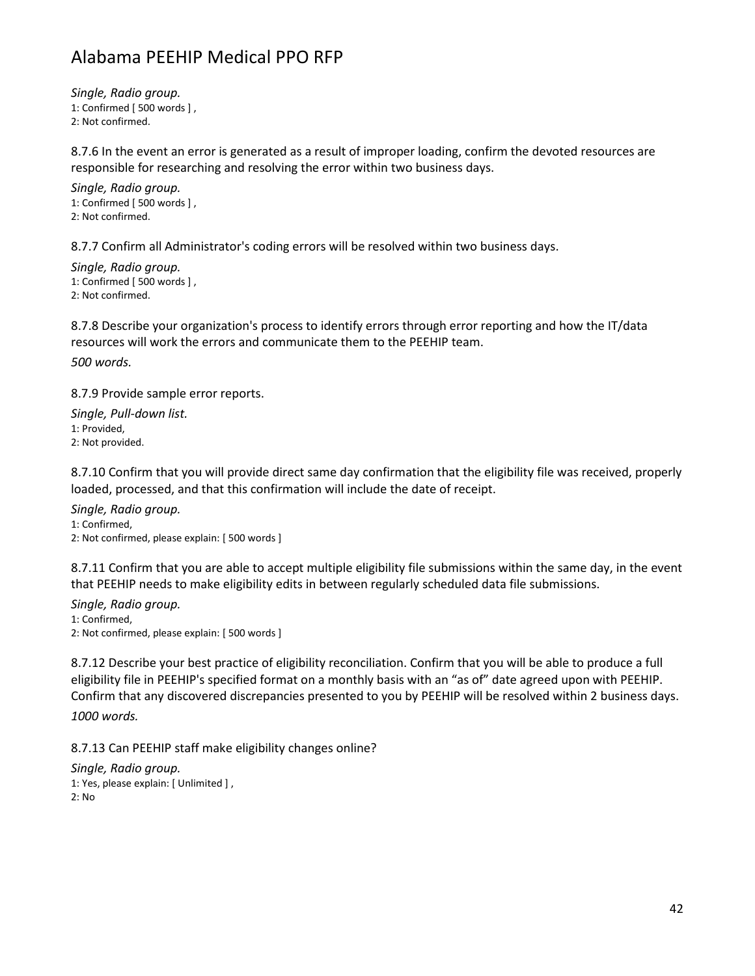*Single, Radio group.* 1: Confirmed [ 500 words ] , 2: Not confirmed.

8.7.6 In the event an error is generated as a result of improper loading, confirm the devoted resources are responsible for researching and resolving the error within two business days.

*Single, Radio group.* 1: Confirmed [ 500 words ] , 2: Not confirmed.

8.7.7 Confirm all Administrator's coding errors will be resolved within two business days.

*Single, Radio group.* 1: Confirmed [ 500 words ] , 2: Not confirmed.

8.7.8 Describe your organization's process to identify errors through error reporting and how the IT/data resources will work the errors and communicate them to the PEEHIP team.

*500 words.*

8.7.9 Provide sample error reports.

*Single, Pull-down list.* 1: Provided, 2: Not provided.

8.7.10 Confirm that you will provide direct same day confirmation that the eligibility file was received, properly loaded, processed, and that this confirmation will include the date of receipt.

*Single, Radio group.* 1: Confirmed, 2: Not confirmed, please explain: [ 500 words ]

8.7.11 Confirm that you are able to accept multiple eligibility file submissions within the same day, in the event that PEEHIP needs to make eligibility edits in between regularly scheduled data file submissions.

*Single, Radio group.* 1: Confirmed, 2: Not confirmed, please explain: [ 500 words ]

8.7.12 Describe your best practice of eligibility reconciliation. Confirm that you will be able to produce a full eligibility file in PEEHIP's specified format on a monthly basis with an "as of" date agreed upon with PEEHIP. Confirm that any discovered discrepancies presented to you by PEEHIP will be resolved within 2 business days.

*1000 words.*

8.7.13 Can PEEHIP staff make eligibility changes online?

*Single, Radio group.* 1: Yes, please explain: [ Unlimited ] , 2: No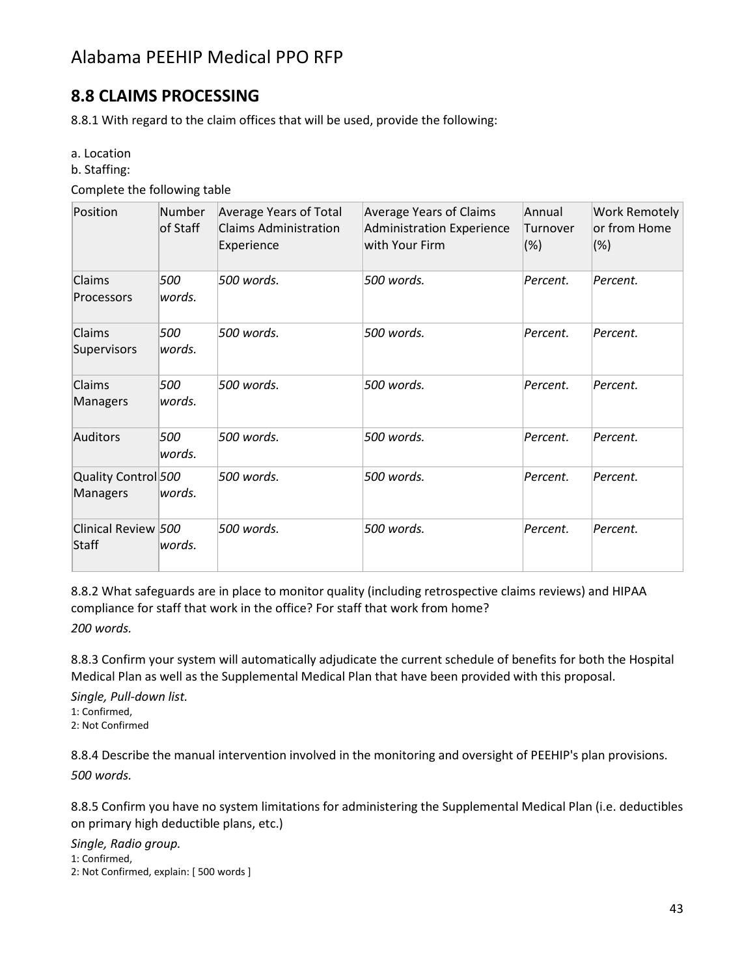### **8.8 CLAIMS PROCESSING**

8.8.1 With regard to the claim offices that will be used, provide the following:

a. Location

b. Staffing:

Complete the following table

| Position                        | Number<br>of Staff | Average Years of Total<br><b>Claims Administration</b><br>Experience | <b>Average Years of Claims</b><br>Administration Experience<br>with Your Firm | Annual<br>Turnover<br>$(\%)$ | <b>Work Remotely</b><br>or from Home<br>(%) |
|---------------------------------|--------------------|----------------------------------------------------------------------|-------------------------------------------------------------------------------|------------------------------|---------------------------------------------|
| Claims<br>Processors            | 500<br>words.      | 500 words.                                                           | 500 words.                                                                    | Percent.                     | Percent.                                    |
| Claims<br>Supervisors           | 500<br>words.      | 500 words.                                                           | 500 words.                                                                    | Percent.                     | Percent.                                    |
| Claims<br>Managers              | 500<br>words.      | 500 words.                                                           | 500 words.                                                                    | Percent.                     | Percent.                                    |
| Auditors                        | 500<br>words.      | 500 words.                                                           | 500 words.                                                                    | Percent.                     | Percent.                                    |
| Quality Control 500<br>Managers | words.             | 500 words.                                                           | 500 words.                                                                    | Percent.                     | Percent.                                    |
| Clinical Review 500<br>Staff    | words.             | 500 words.                                                           | 500 words.                                                                    | Percent.                     | Percent.                                    |

8.8.2 What safeguards are in place to monitor quality (including retrospective claims reviews) and HIPAA compliance for staff that work in the office? For staff that work from home? *200 words.*

8.8.3 Confirm your system will automatically adjudicate the current schedule of benefits for both the Hospital Medical Plan as well as the Supplemental Medical Plan that have been provided with this proposal.

*Single, Pull-down list.*

1: Confirmed,

2: Not Confirmed

8.8.4 Describe the manual intervention involved in the monitoring and oversight of PEEHIP's plan provisions. *500 words.*

8.8.5 Confirm you have no system limitations for administering the Supplemental Medical Plan (i.e. deductibles on primary high deductible plans, etc.)

*Single, Radio group.*

1: Confirmed,

2: Not Confirmed, explain: [ 500 words ]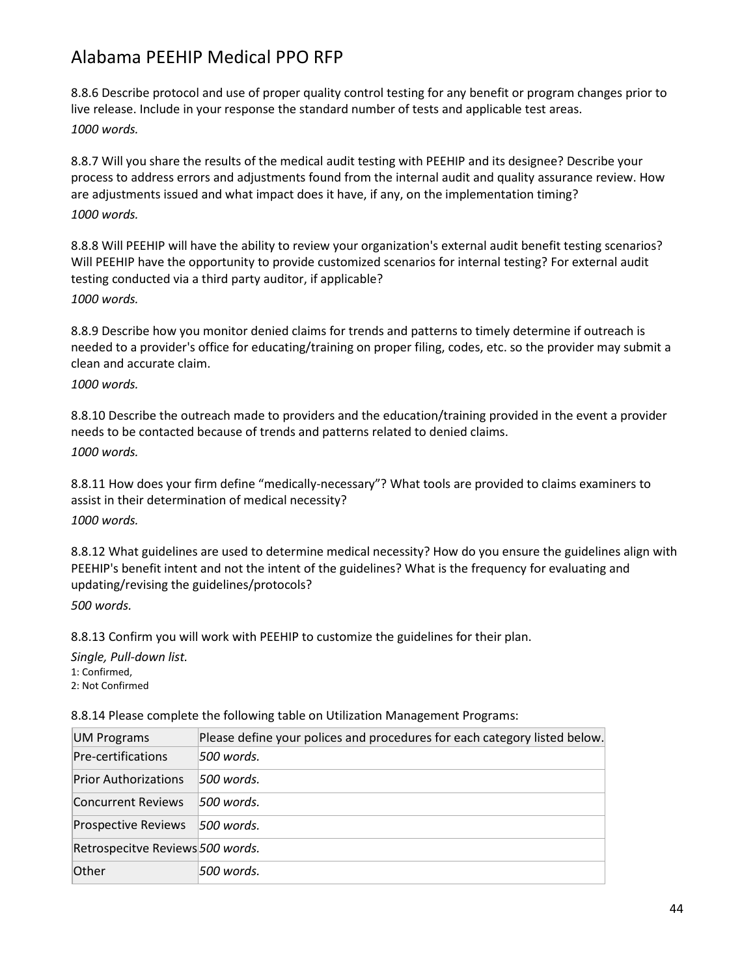8.8.6 Describe protocol and use of proper quality control testing for any benefit or program changes prior to live release. Include in your response the standard number of tests and applicable test areas. *1000 words.*

8.8.7 Will you share the results of the medical audit testing with PEEHIP and its designee? Describe your process to address errors and adjustments found from the internal audit and quality assurance review. How are adjustments issued and what impact does it have, if any, on the implementation timing? *1000 words.*

8.8.8 Will PEEHIP will have the ability to review your organization's external audit benefit testing scenarios? Will PEEHIP have the opportunity to provide customized scenarios for internal testing? For external audit testing conducted via a third party auditor, if applicable? *1000 words.*

8.8.9 Describe how you monitor denied claims for trends and patterns to timely determine if outreach is needed to a provider's office for educating/training on proper filing, codes, etc. so the provider may submit a clean and accurate claim.

*1000 words.*

8.8.10 Describe the outreach made to providers and the education/training provided in the event a provider needs to be contacted because of trends and patterns related to denied claims. *1000 words.*

8.8.11 How does your firm define "medically-necessary"? What tools are provided to claims examiners to assist in their determination of medical necessity?

*1000 words.*

8.8.12 What guidelines are used to determine medical necessity? How do you ensure the guidelines align with PEEHIP's benefit intent and not the intent of the guidelines? What is the frequency for evaluating and updating/revising the guidelines/protocols?

*500 words.*

8.8.13 Confirm you will work with PEEHIP to customize the guidelines for their plan.

*Single, Pull-down list.* 1: Confirmed, 2: Not Confirmed

8.8.14 Please complete the following table on Utilization Management Programs:

| <b>UM Programs</b>               | Please define your polices and procedures for each category listed below. |
|----------------------------------|---------------------------------------------------------------------------|
| Pre-certifications               | 500 words.                                                                |
| <b>Prior Authorizations</b>      | 1500 words.                                                               |
| Concurrent Reviews               | 500 words.                                                                |
| <b>Prospective Reviews</b>       | $ 500$ words.                                                             |
| Retrospecitve Reviews 500 words. |                                                                           |
| Other                            | 500 words.                                                                |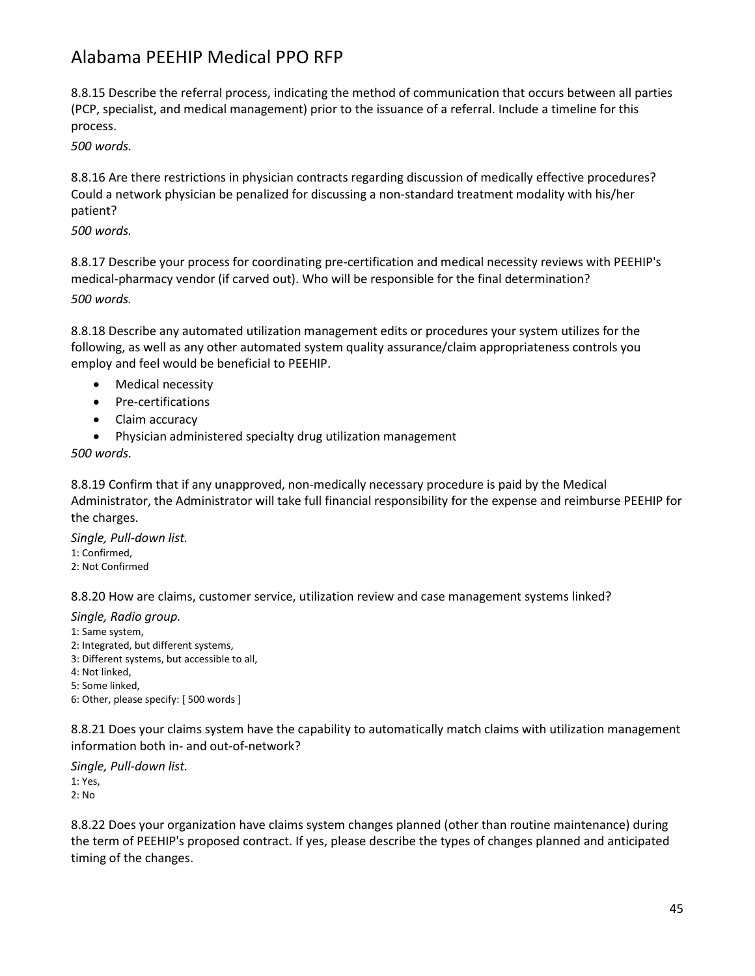8.8.15 Describe the referral process, indicating the method of communication that occurs between all parties (PCP, specialist, and medical management) prior to the issuance of a referral. Include a timeline for this process.

*500 words.*

8.8.16 Are there restrictions in physician contracts regarding discussion of medically effective procedures? Could a network physician be penalized for discussing a non-standard treatment modality with his/her patient?

*500 words.*

8.8.17 Describe your process for coordinating pre-certification and medical necessity reviews with PEEHIP's medical-pharmacy vendor (if carved out). Who will be responsible for the final determination? *500 words.*

8.8.18 Describe any automated utilization management edits or procedures your system utilizes for the following, as well as any other automated system quality assurance/claim appropriateness controls you employ and feel would be beneficial to PEEHIP.

- Medical necessity
- Pre-certifications
- Claim accuracy
- Physician administered specialty drug utilization management

*500 words.*

8.8.19 Confirm that if any unapproved, non-medically necessary procedure is paid by the Medical Administrator, the Administrator will take full financial responsibility for the expense and reimburse PEEHIP for the charges.

*Single, Pull-down list.* 1: Confirmed, 2: Not Confirmed

8.8.20 How are claims, customer service, utilization review and case management systems linked?

*Single, Radio group.*

- 1: Same system,
- 2: Integrated, but different systems,
- 3: Different systems, but accessible to all,
- 4: Not linked,
- 5: Some linked,
- 6: Other, please specify: [ 500 words ]

8.8.21 Does your claims system have the capability to automatically match claims with utilization management information both in- and out-of-network?

*Single, Pull-down list.* 1: Yes, 2: No

8.8.22 Does your organization have claims system changes planned (other than routine maintenance) during the term of PEEHIP's proposed contract. If yes, please describe the types of changes planned and anticipated timing of the changes.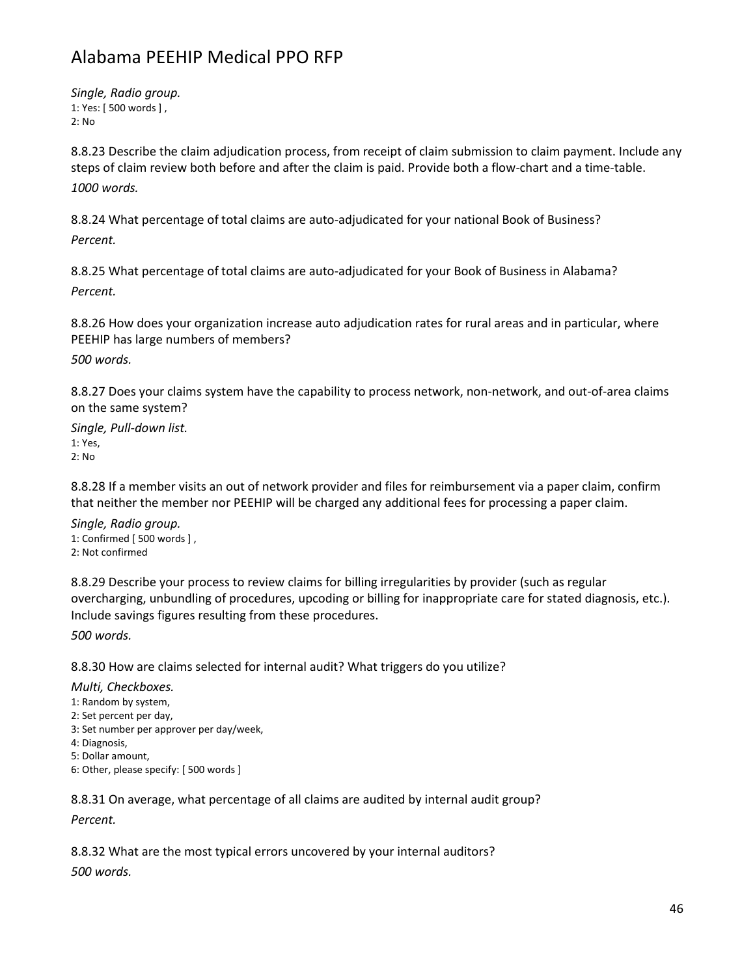*Single, Radio group.* 1: Yes: [ 500 words ] , 2: No

8.8.23 Describe the claim adjudication process, from receipt of claim submission to claim payment. Include any steps of claim review both before and after the claim is paid. Provide both a flow-chart and a time-table. *1000 words.*

8.8.24 What percentage of total claims are auto-adjudicated for your national Book of Business? *Percent.*

8.8.25 What percentage of total claims are auto-adjudicated for your Book of Business in Alabama? *Percent.*

8.8.26 How does your organization increase auto adjudication rates for rural areas and in particular, where PEEHIP has large numbers of members?

*500 words.*

8.8.27 Does your claims system have the capability to process network, non-network, and out-of-area claims on the same system?

*Single, Pull-down list.* 1: Yes, 2: No

8.8.28 If a member visits an out of network provider and files for reimbursement via a paper claim, confirm that neither the member nor PEEHIP will be charged any additional fees for processing a paper claim.

*Single, Radio group.* 1: Confirmed [ 500 words ] , 2: Not confirmed

8.8.29 Describe your process to review claims for billing irregularities by provider (such as regular overcharging, unbundling of procedures, upcoding or billing for inappropriate care for stated diagnosis, etc.). Include savings figures resulting from these procedures.

*500 words.*

8.8.30 How are claims selected for internal audit? What triggers do you utilize?

*Multi, Checkboxes.*

1: Random by system,

2: Set percent per day,

- 3: Set number per approver per day/week,
- 4: Diagnosis,

5: Dollar amount,

6: Other, please specify: [ 500 words ]

8.8.31 On average, what percentage of all claims are audited by internal audit group? *Percent.*

8.8.32 What are the most typical errors uncovered by your internal auditors?

*500 words.*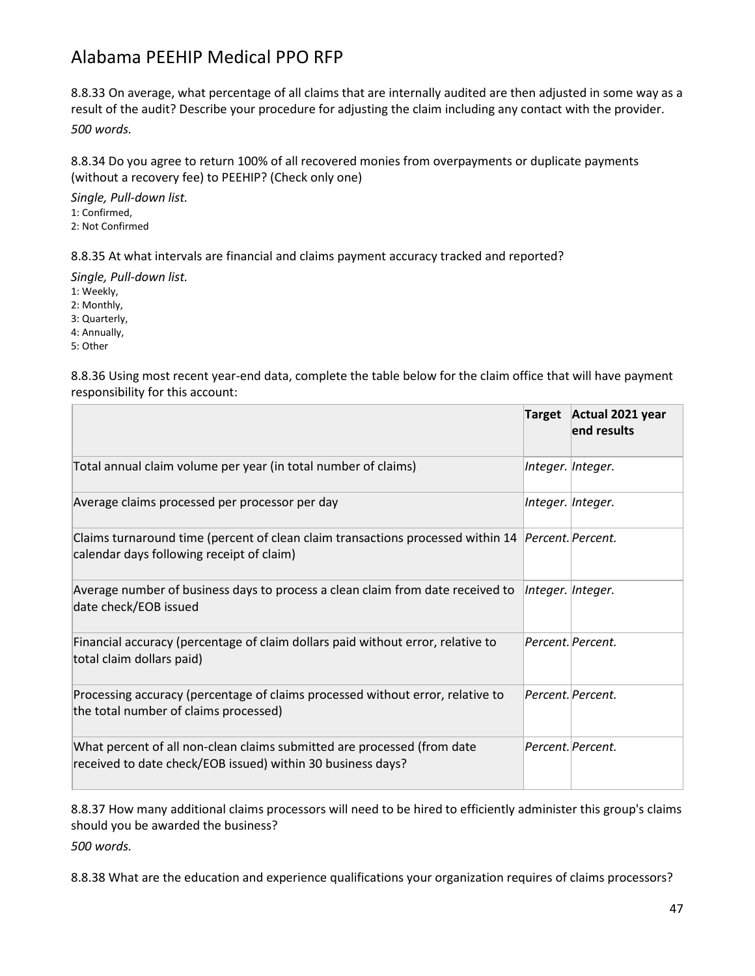8.8.33 On average, what percentage of all claims that are internally audited are then adjusted in some way as a result of the audit? Describe your procedure for adjusting the claim including any contact with the provider. *500 words.*

8.8.34 Do you agree to return 100% of all recovered monies from overpayments or duplicate payments (without a recovery fee) to PEEHIP? (Check only one)

*Single, Pull-down list.* 1: Confirmed, 2: Not Confirmed

8.8.35 At what intervals are financial and claims payment accuracy tracked and reported?

*Single, Pull-down list.*

1: Weekly,

2: Monthly,

3: Quarterly,

4: Annually,

5: Other

8.8.36 Using most recent year-end data, complete the table below for the claim office that will have payment responsibility for this account:

|                                                                                                                                                | <b>Target</b>     | Actual 2021 year<br>end results |
|------------------------------------------------------------------------------------------------------------------------------------------------|-------------------|---------------------------------|
| Total annual claim volume per year (in total number of claims)                                                                                 | Integer. Integer. |                                 |
| Average claims processed per processor per day                                                                                                 | Integer. Integer. |                                 |
| Claims turnaround time (percent of clean claim transactions processed within 14 Percent. Percent.<br>calendar days following receipt of claim) |                   |                                 |
| Average number of business days to process a clean claim from date received to<br>date check/EOB issued                                        | Integer. Integer. |                                 |
| Financial accuracy (percentage of claim dollars paid without error, relative to<br>total claim dollars paid)                                   |                   | Percent. Percent.               |
| Processing accuracy (percentage of claims processed without error, relative to<br>the total number of claims processed)                        |                   | Percent. Percent.               |
| What percent of all non-clean claims submitted are processed (from date<br>received to date check/EOB issued) within 30 business days?         |                   | Percent. Percent.               |

8.8.37 How many additional claims processors will need to be hired to efficiently administer this group's claims should you be awarded the business? *500 words.*

8.8.38 What are the education and experience qualifications your organization requires of claims processors?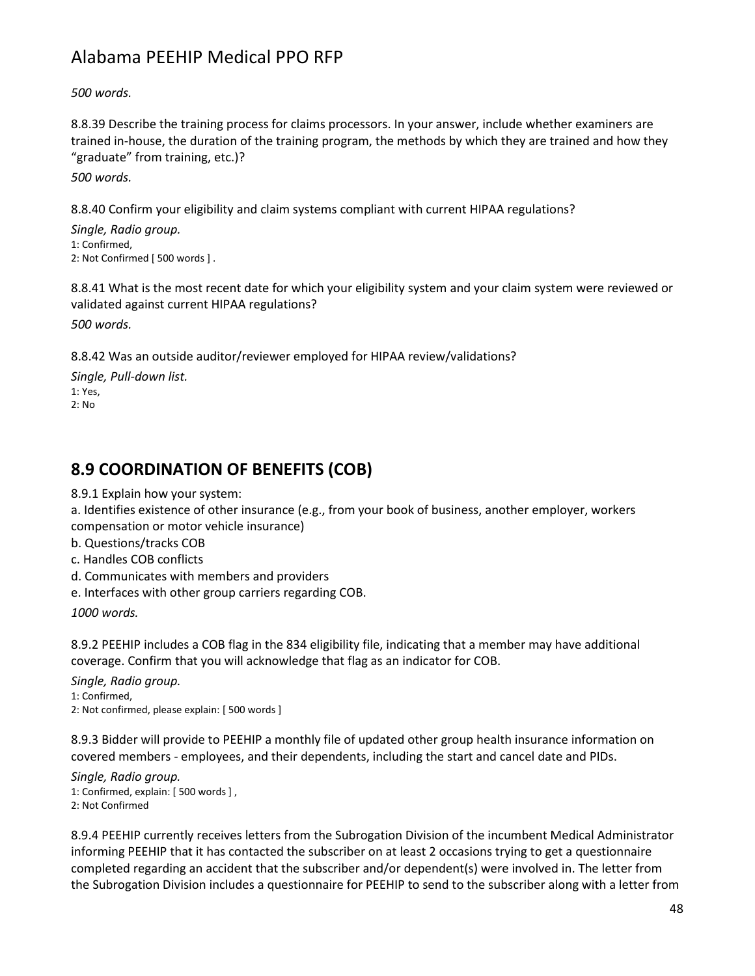*500 words.*

8.8.39 Describe the training process for claims processors. In your answer, include whether examiners are trained in-house, the duration of the training program, the methods by which they are trained and how they "graduate" from training, etc.)?

*500 words.*

8.8.40 Confirm your eligibility and claim systems compliant with current HIPAA regulations?

*Single, Radio group.* 1: Confirmed, 2: Not Confirmed [ 500 words ] .

8.8.41 What is the most recent date for which your eligibility system and your claim system were reviewed or validated against current HIPAA regulations?

*500 words.*

8.8.42 Was an outside auditor/reviewer employed for HIPAA review/validations?

*Single, Pull-down list.* 1: Yes, 2: No

### **8.9 COORDINATION OF BENEFITS (COB)**

8.9.1 Explain how your system:

a. Identifies existence of other insurance (e.g., from your book of business, another employer, workers compensation or motor vehicle insurance)

b. Questions/tracks COB

- c. Handles COB conflicts
- d. Communicates with members and providers
- e. Interfaces with other group carriers regarding COB.

*1000 words.*

8.9.2 PEEHIP includes a COB flag in the 834 eligibility file, indicating that a member may have additional coverage. Confirm that you will acknowledge that flag as an indicator for COB.

*Single, Radio group.*

1: Confirmed,

2: Not confirmed, please explain: [ 500 words ]

8.9.3 Bidder will provide to PEEHIP a monthly file of updated other group health insurance information on covered members - employees, and their dependents, including the start and cancel date and PIDs.

*Single, Radio group.* 1: Confirmed, explain: [ 500 words ] , 2: Not Confirmed

8.9.4 PEEHIP currently receives letters from the Subrogation Division of the incumbent Medical Administrator informing PEEHIP that it has contacted the subscriber on at least 2 occasions trying to get a questionnaire completed regarding an accident that the subscriber and/or dependent(s) were involved in. The letter from the Subrogation Division includes a questionnaire for PEEHIP to send to the subscriber along with a letter from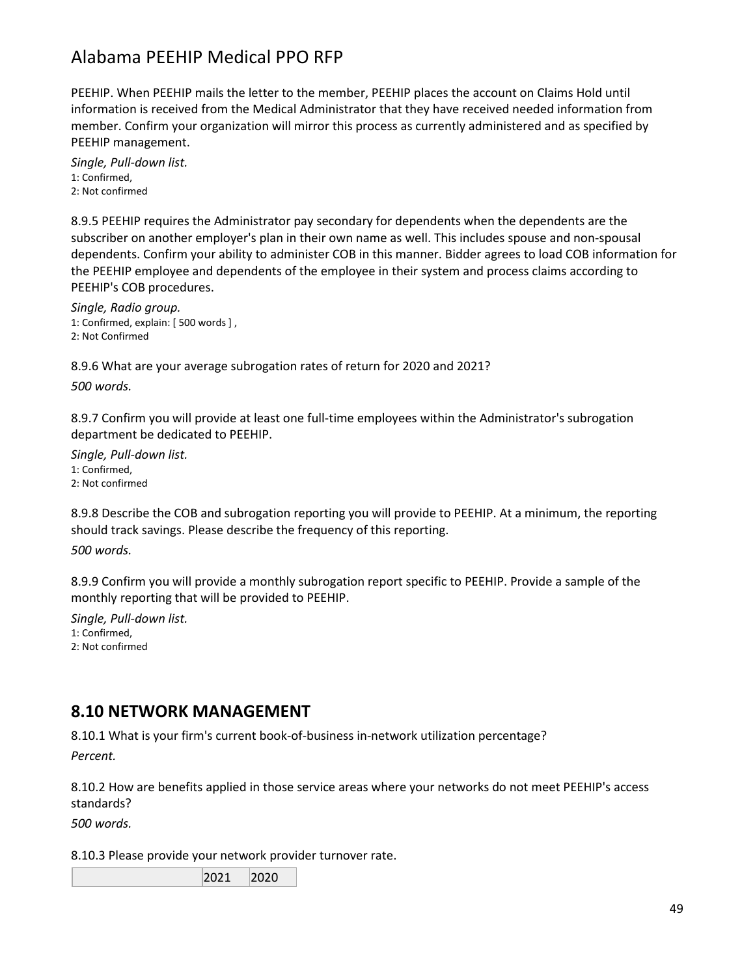PEEHIP. When PEEHIP mails the letter to the member, PEEHIP places the account on Claims Hold until information is received from the Medical Administrator that they have received needed information from member. Confirm your organization will mirror this process as currently administered and as specified by PEEHIP management.

*Single, Pull-down list.* 1: Confirmed, 2: Not confirmed

8.9.5 PEEHIP requires the Administrator pay secondary for dependents when the dependents are the subscriber on another employer's plan in their own name as well. This includes spouse and non-spousal dependents. Confirm your ability to administer COB in this manner. Bidder agrees to load COB information for the PEEHIP employee and dependents of the employee in their system and process claims according to PEEHIP's COB procedures.

*Single, Radio group.* 1: Confirmed, explain: [ 500 words ] , 2: Not Confirmed

8.9.6 What are your average subrogation rates of return for 2020 and 2021?

*500 words.*

8.9.7 Confirm you will provide at least one full-time employees within the Administrator's subrogation department be dedicated to PEEHIP.

*Single, Pull-down list.* 1: Confirmed, 2: Not confirmed

8.9.8 Describe the COB and subrogation reporting you will provide to PEEHIP. At a minimum, the reporting should track savings. Please describe the frequency of this reporting.

*500 words.*

8.9.9 Confirm you will provide a monthly subrogation report specific to PEEHIP. Provide a sample of the monthly reporting that will be provided to PEEHIP.

*Single, Pull-down list.* 1: Confirmed, 2: Not confirmed

#### **8.10 NETWORK MANAGEMENT**

8.10.1 What is your firm's current book-of-business in-network utilization percentage?

*Percent.*

8.10.2 How are benefits applied in those service areas where your networks do not meet PEEHIP's access standards?

*500 words.*

8.10.3 Please provide your network provider turnover rate.

2021 2020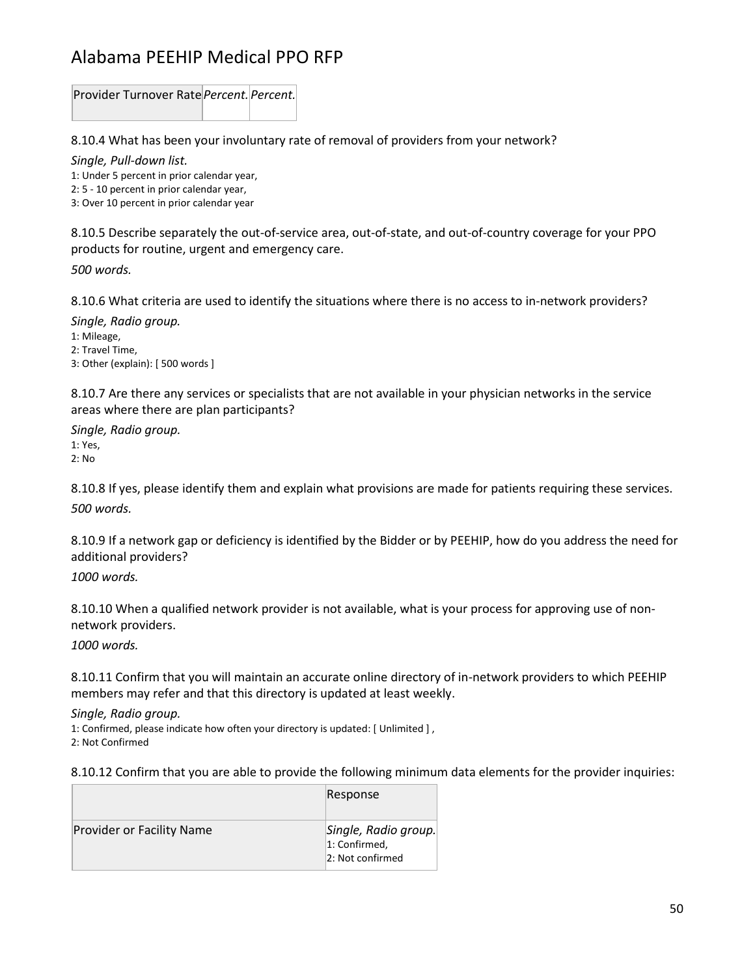Provider Turnover Rate*Percent. Percent.*

8.10.4 What has been your involuntary rate of removal of providers from your network?

*Single, Pull-down list.*

1: Under 5 percent in prior calendar year,

2: 5 - 10 percent in prior calendar year,

3: Over 10 percent in prior calendar year

8.10.5 Describe separately the out-of-service area, out-of-state, and out-of-country coverage for your PPO products for routine, urgent and emergency care. *500 words.*

8.10.6 What criteria are used to identify the situations where there is no access to in-network providers?

*Single, Radio group.* 1: Mileage, 2: Travel Time, 3: Other (explain): [ 500 words ]

8.10.7 Are there any services or specialists that are not available in your physician networks in the service areas where there are plan participants?

*Single, Radio group.* 1: Yes, 2: No

8.10.8 If yes, please identify them and explain what provisions are made for patients requiring these services. *500 words.*

8.10.9 If a network gap or deficiency is identified by the Bidder or by PEEHIP, how do you address the need for additional providers?

*1000 words.*

8.10.10 When a qualified network provider is not available, what is your process for approving use of nonnetwork providers.

*1000 words.*

8.10.11 Confirm that you will maintain an accurate online directory of in-network providers to which PEEHIP members may refer and that this directory is updated at least weekly.

*Single, Radio group.*

1: Confirmed, please indicate how often your directory is updated: [ Unlimited ] , 2: Not Confirmed

8.10.12 Confirm that you are able to provide the following minimum data elements for the provider inquiries:

|                                  | Response                                                  |
|----------------------------------|-----------------------------------------------------------|
| <b>Provider or Facility Name</b> | Single, Radio group.<br>1: Confirmed,<br>2: Not confirmed |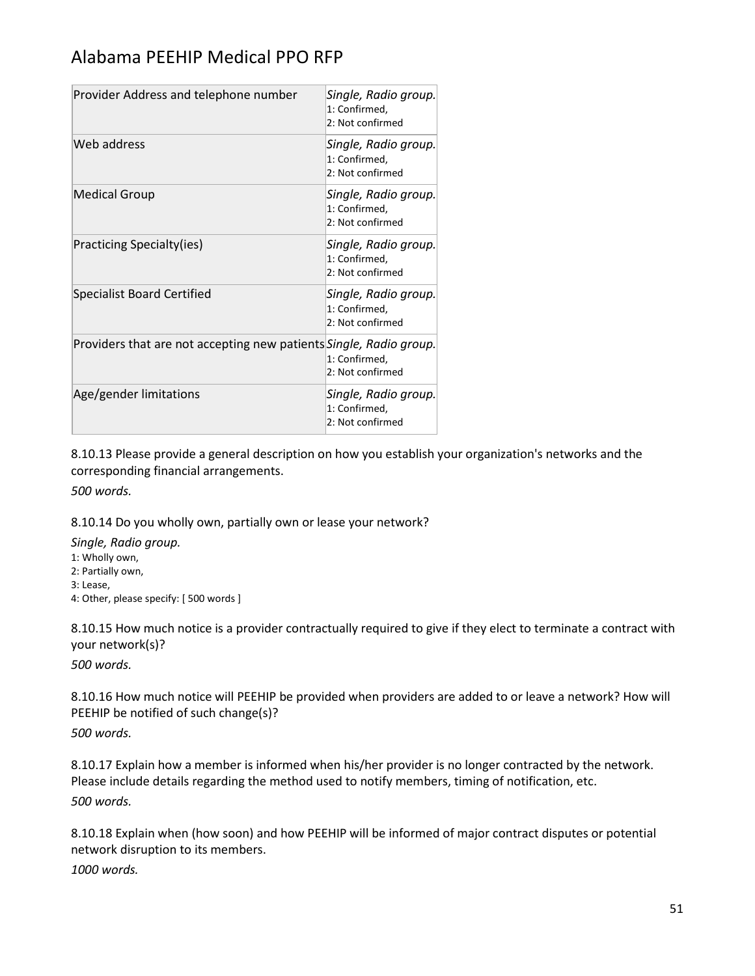| Provider Address and telephone number                              | Single, Radio group.<br>1: Confirmed,<br>2: Not confirmed |
|--------------------------------------------------------------------|-----------------------------------------------------------|
| Web address                                                        | Single, Radio group.<br>1: Confirmed,<br>2: Not confirmed |
| <b>Medical Group</b>                                               | Single, Radio group.<br>1: Confirmed,<br>2: Not confirmed |
| <b>Practicing Specialty(ies)</b>                                   | Single, Radio group.<br>1: Confirmed,<br>2: Not confirmed |
| <b>Specialist Board Certified</b>                                  | Single, Radio group.<br>1: Confirmed,<br>2: Not confirmed |
| Providers that are not accepting new patients Single, Radio group. | 1: Confirmed,<br>2: Not confirmed                         |
| Age/gender limitations                                             | Single, Radio group.<br>1: Confirmed,<br>2: Not confirmed |

8.10.13 Please provide a general description on how you establish your organization's networks and the corresponding financial arrangements.

*500 words.*

8.10.14 Do you wholly own, partially own or lease your network?

*Single, Radio group.*

1: Wholly own,

2: Partially own,

3: Lease,

4: Other, please specify: [ 500 words ]

8.10.15 How much notice is a provider contractually required to give if they elect to terminate a contract with your network(s)?

*500 words.*

8.10.16 How much notice will PEEHIP be provided when providers are added to or leave a network? How will PEEHIP be notified of such change(s)?

*500 words.*

8.10.17 Explain how a member is informed when his/her provider is no longer contracted by the network. Please include details regarding the method used to notify members, timing of notification, etc. *500 words.*

8.10.18 Explain when (how soon) and how PEEHIP will be informed of major contract disputes or potential network disruption to its members.

*1000 words.*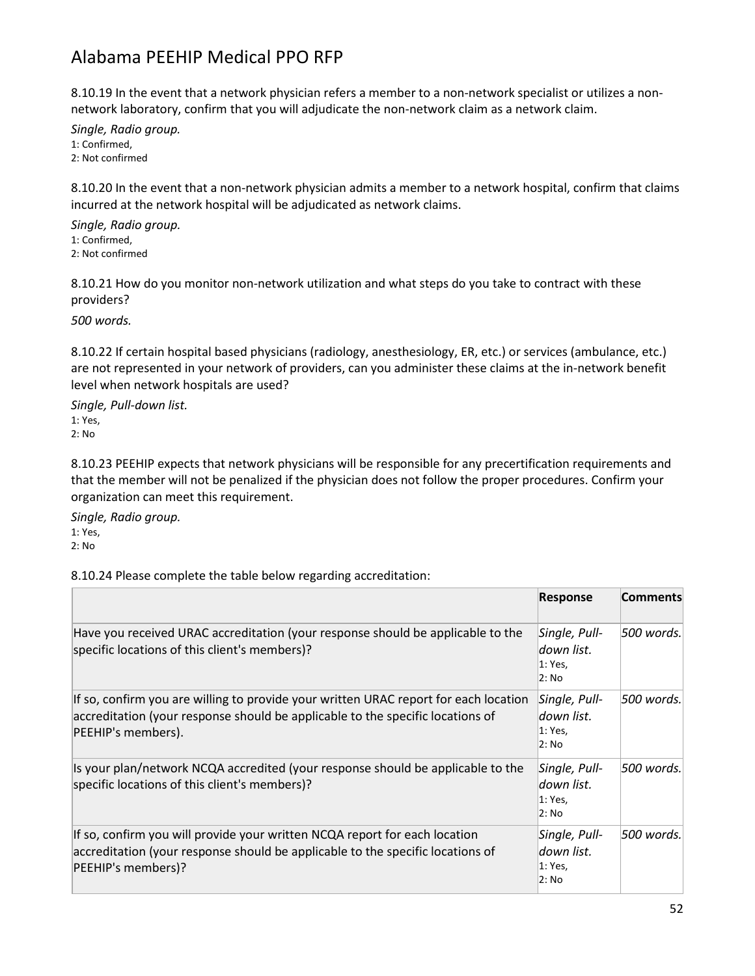8.10.19 In the event that a network physician refers a member to a non-network specialist or utilizes a nonnetwork laboratory, confirm that you will adjudicate the non-network claim as a network claim.

*Single, Radio group.* 1: Confirmed, 2: Not confirmed

8.10.20 In the event that a non-network physician admits a member to a network hospital, confirm that claims incurred at the network hospital will be adjudicated as network claims.

*Single, Radio group.* 1: Confirmed, 2: Not confirmed

8.10.21 How do you monitor non-network utilization and what steps do you take to contract with these providers?

*500 words.*

8.10.22 If certain hospital based physicians (radiology, anesthesiology, ER, etc.) or services (ambulance, etc.) are not represented in your network of providers, can you administer these claims at the in-network benefit level when network hospitals are used?

*Single, Pull-down list.* 1: Yes, 2: No

8.10.23 PEEHIP expects that network physicians will be responsible for any precertification requirements and that the member will not be penalized if the physician does not follow the proper procedures. Confirm your organization can meet this requirement.

*Single, Radio group.* 1: Yes,

2: No

8.10.24 Please complete the table below regarding accreditation:

|                                                                                                                                                                                              | <b>Response</b>                                  | <b>Comments</b> |
|----------------------------------------------------------------------------------------------------------------------------------------------------------------------------------------------|--------------------------------------------------|-----------------|
| Have you received URAC accreditation (your response should be applicable to the<br>specific locations of this client's members)?                                                             | Single, Pull-<br>down list.<br>1: Yes,<br>2: No  | 500 words.      |
| If so, confirm you are willing to provide your written URAC report for each location<br>accreditation (your response should be applicable to the specific locations of<br>PEEHIP's members). | Single, Pull-<br>down list.<br>1: Yes,<br>2: No  | 500 words.      |
| Is your plan/network NCQA accredited (your response should be applicable to the<br>specific locations of this client's members)?                                                             | Single, Pull-<br>down list.<br>1: Yes,<br>2: No  | 500 words.      |
| If so, confirm you will provide your written NCQA report for each location<br>accreditation (your response should be applicable to the specific locations of<br>PEEHIP's members)?           | Single, Pull-<br>ldown list.<br>1: Yes,<br>2: No | 500 words.      |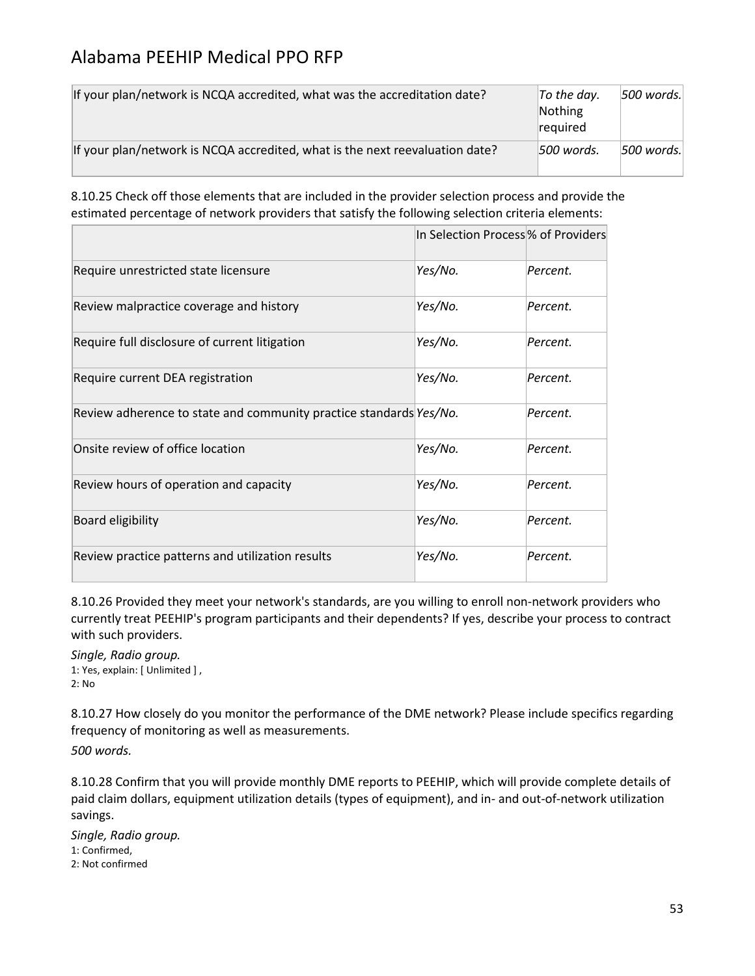| If your plan/network is NCQA accredited, what was the accreditation date?    | $ $ To the day.<br>Nothing<br><b>required</b> | $ 500$ words. |
|------------------------------------------------------------------------------|-----------------------------------------------|---------------|
| If your plan/network is NCQA accredited, what is the next reevaluation date? | 500 words.                                    | $ 500$ words. |

8.10.25 Check off those elements that are included in the provider selection process and provide the estimated percentage of network providers that satisfy the following selection criteria elements:

|                                                                    |         | In Selection Process % of Providers |
|--------------------------------------------------------------------|---------|-------------------------------------|
| Require unrestricted state licensure                               | Yes/No. | Percent.                            |
| Review malpractice coverage and history                            | Yes/No. | Percent.                            |
| Require full disclosure of current litigation                      | Yes/No. | Percent.                            |
| Require current DEA registration                                   | Yes/No. | Percent.                            |
| Review adherence to state and community practice standards Yes/No. |         | Percent.                            |
| Onsite review of office location                                   | Yes/No. | Percent.                            |
| Review hours of operation and capacity                             | Yes/No. | Percent.                            |
| Board eligibility                                                  | Yes/No. | Percent.                            |
| Review practice patterns and utilization results                   | Yes/No. | Percent.                            |

8.10.26 Provided they meet your network's standards, are you willing to enroll non-network providers who currently treat PEEHIP's program participants and their dependents? If yes, describe your process to contract with such providers.

*Single, Radio group.* 1: Yes, explain: [ Unlimited ] , 2: No

8.10.27 How closely do you monitor the performance of the DME network? Please include specifics regarding frequency of monitoring as well as measurements.

*500 words.*

8.10.28 Confirm that you will provide monthly DME reports to PEEHIP, which will provide complete details of paid claim dollars, equipment utilization details (types of equipment), and in- and out-of-network utilization savings.

*Single, Radio group.* 1: Confirmed, 2: Not confirmed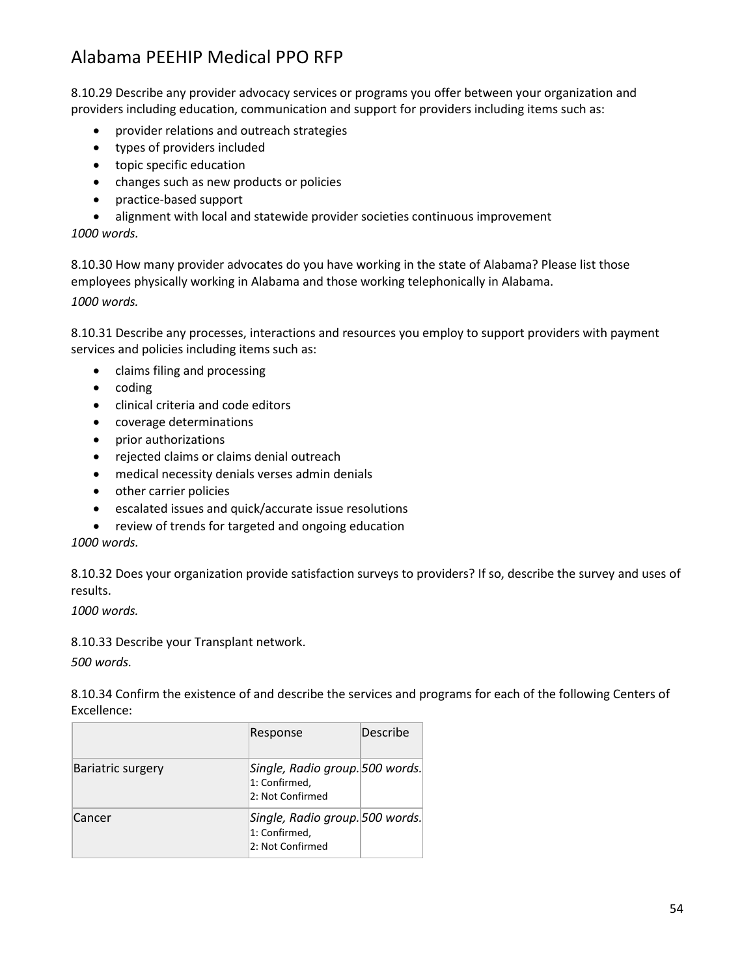8.10.29 Describe any provider advocacy services or programs you offer between your organization and providers including education, communication and support for providers including items such as:

- provider relations and outreach strategies
- types of providers included
- topic specific education
- changes such as new products or policies
- practice-based support
- alignment with local and statewide provider societies continuous improvement

*1000 words.*

8.10.30 How many provider advocates do you have working in the state of Alabama? Please list those employees physically working in Alabama and those working telephonically in Alabama. *1000 words.*

8.10.31 Describe any processes, interactions and resources you employ to support providers with payment services and policies including items such as:

- claims filing and processing
- coding
- clinical criteria and code editors
- coverage determinations
- prior authorizations
- rejected claims or claims denial outreach
- medical necessity denials verses admin denials
- other carrier policies
- escalated issues and quick/accurate issue resolutions
- review of trends for targeted and ongoing education

*1000 words.*

8.10.32 Does your organization provide satisfaction surveys to providers? If so, describe the survey and uses of results.

*1000 words.*

8.10.33 Describe your Transplant network.

*500 words.*

8.10.34 Confirm the existence of and describe the services and programs for each of the following Centers of Excellence:

|                          | Response                                                             | Describe |
|--------------------------|----------------------------------------------------------------------|----------|
| <b>Bariatric surgery</b> | Single, Radio group. 500 words.<br>1: Confirmed,<br>2: Not Confirmed |          |
| Cancer                   | Single, Radio group. 500 words.<br>1: Confirmed,<br>2: Not Confirmed |          |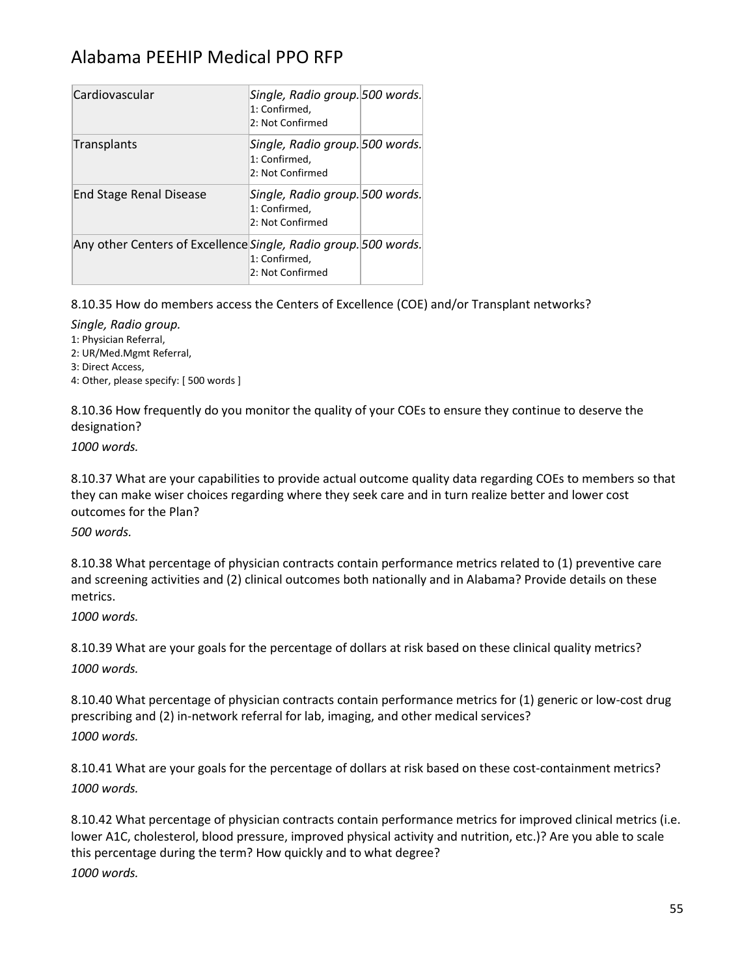| Cardiovascular                                                  | Single, Radio group. 500 words.<br>1: Confirmed,<br>2: Not Confirmed |
|-----------------------------------------------------------------|----------------------------------------------------------------------|
| Transplants                                                     | Single, Radio group. 500 words.<br>1: Confirmed.<br>2: Not Confirmed |
| <b>End Stage Renal Disease</b>                                  | Single, Radio group. 500 words.<br>1: Confirmed,<br>2: Not Confirmed |
| Any other Centers of Excellence Single, Radio group. 500 words. | 1: Confirmed,<br>2: Not Confirmed                                    |

8.10.35 How do members access the Centers of Excellence (COE) and/or Transplant networks?

*Single, Radio group.*

1: Physician Referral,

2: UR/Med.Mgmt Referral,

3: Direct Access,

4: Other, please specify: [ 500 words ]

8.10.36 How frequently do you monitor the quality of your COEs to ensure they continue to deserve the designation?

*1000 words.*

8.10.37 What are your capabilities to provide actual outcome quality data regarding COEs to members so that they can make wiser choices regarding where they seek care and in turn realize better and lower cost outcomes for the Plan?

*500 words.*

8.10.38 What percentage of physician contracts contain performance metrics related to (1) preventive care and screening activities and (2) clinical outcomes both nationally and in Alabama? Provide details on these metrics.

*1000 words.*

8.10.39 What are your goals for the percentage of dollars at risk based on these clinical quality metrics? *1000 words.*

8.10.40 What percentage of physician contracts contain performance metrics for (1) generic or low-cost drug prescribing and (2) in-network referral for lab, imaging, and other medical services? *1000 words.*

8.10.41 What are your goals for the percentage of dollars at risk based on these cost-containment metrics? *1000 words.*

8.10.42 What percentage of physician contracts contain performance metrics for improved clinical metrics (i.e. lower A1C, cholesterol, blood pressure, improved physical activity and nutrition, etc.)? Are you able to scale this percentage during the term? How quickly and to what degree? *1000 words.*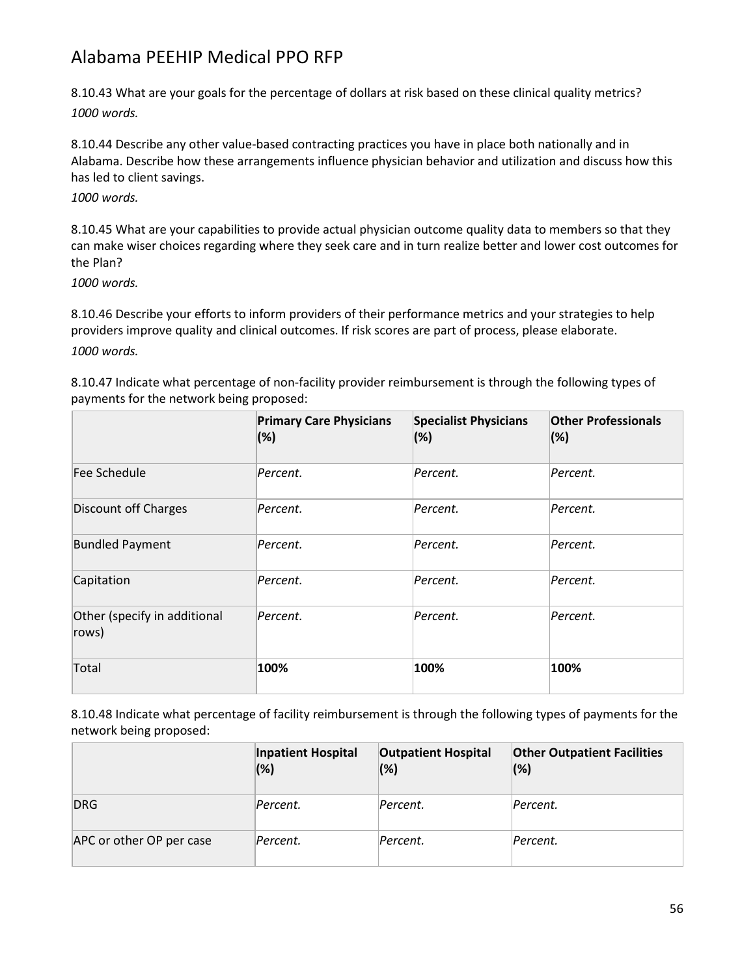8.10.43 What are your goals for the percentage of dollars at risk based on these clinical quality metrics? *1000 words.*

8.10.44 Describe any other value-based contracting practices you have in place both nationally and in Alabama. Describe how these arrangements influence physician behavior and utilization and discuss how this has led to client savings.

*1000 words.*

8.10.45 What are your capabilities to provide actual physician outcome quality data to members so that they can make wiser choices regarding where they seek care and in turn realize better and lower cost outcomes for the Plan?

*1000 words.*

8.10.46 Describe your efforts to inform providers of their performance metrics and your strategies to help providers improve quality and clinical outcomes. If risk scores are part of process, please elaborate. *1000 words.*

8.10.47 Indicate what percentage of non-facility provider reimbursement is through the following types of payments for the network being proposed:

|                                       | <b>Primary Care Physicians</b><br>(%) | <b>Specialist Physicians</b><br>(%) | <b>Other Professionals</b><br>(%) |
|---------------------------------------|---------------------------------------|-------------------------------------|-----------------------------------|
| Fee Schedule                          | Percent.                              | Percent.                            | Percent.                          |
| <b>Discount off Charges</b>           | Percent.                              | Percent.                            | Percent.                          |
| <b>Bundled Payment</b>                | Percent.                              | Percent.                            | Percent.                          |
| Capitation                            | Percent.                              | Percent.                            | Percent.                          |
| Other (specify in additional<br>rows) | Percent.                              | Percent.                            | Percent.                          |
| Total                                 | 100%                                  | 100%                                | 100%                              |

8.10.48 Indicate what percentage of facility reimbursement is through the following types of payments for the network being proposed:

|                          | Inpatient Hospital<br>$(\%)$ | <b>Outpatient Hospital</b><br>(%) | <b>Other Outpatient Facilities</b><br>(%) |
|--------------------------|------------------------------|-----------------------------------|-------------------------------------------|
| DRG                      | Percent.                     | Percent.                          | Percent.                                  |
| APC or other OP per case | Percent.                     | Percent.                          | Percent.                                  |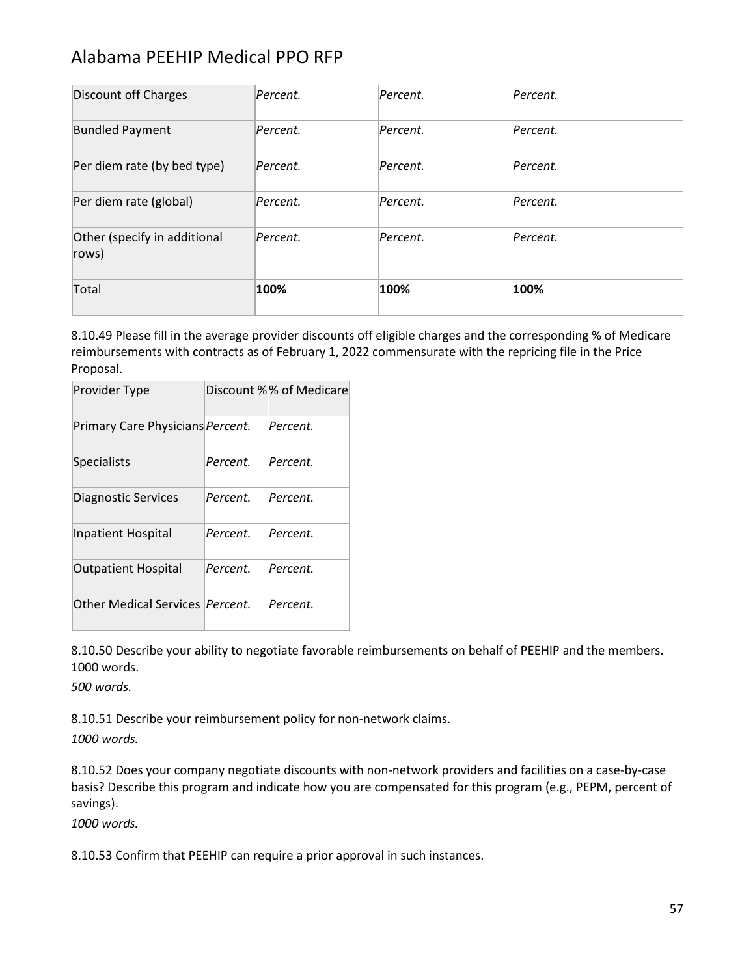| Discount off Charges                  | Percent. | Percent. | Percent. |
|---------------------------------------|----------|----------|----------|
| <b>Bundled Payment</b>                | Percent. | Percent. | Percent. |
| Per diem rate (by bed type)           | Percent. | Percent. | Percent. |
| Per diem rate (global)                | Percent. | Percent. | Percent. |
| Other (specify in additional<br>rows) | Percent. | Percent. | Percent. |
| Total                                 | 100%     | 100%     | 100%     |

8.10.49 Please fill in the average provider discounts off eligible charges and the corresponding % of Medicare reimbursements with contracts as of February 1, 2022 commensurate with the repricing file in the Price Proposal.

| Provider Type                           |          | Discount %% of Medicare |
|-----------------------------------------|----------|-------------------------|
| Primary Care Physicians Percent.        |          | Percent.                |
| <b>Specialists</b>                      | Percent. | Percent.                |
| Diagnostic Services                     | Percent. | Percent.                |
| <b>Inpatient Hospital</b>               | Percent. | Percent.                |
| <b>Outpatient Hospital</b>              | Percent. | Percent.                |
| Other Medical Services <i>Percent</i> . |          | Percent.                |

8.10.50 Describe your ability to negotiate favorable reimbursements on behalf of PEEHIP and the members. 1000 words.

*500 words.*

8.10.51 Describe your reimbursement policy for non-network claims.

*1000 words.*

8.10.52 Does your company negotiate discounts with non-network providers and facilities on a case-by-case basis? Describe this program and indicate how you are compensated for this program (e.g., PEPM, percent of savings).

*1000 words.*

8.10.53 Confirm that PEEHIP can require a prior approval in such instances.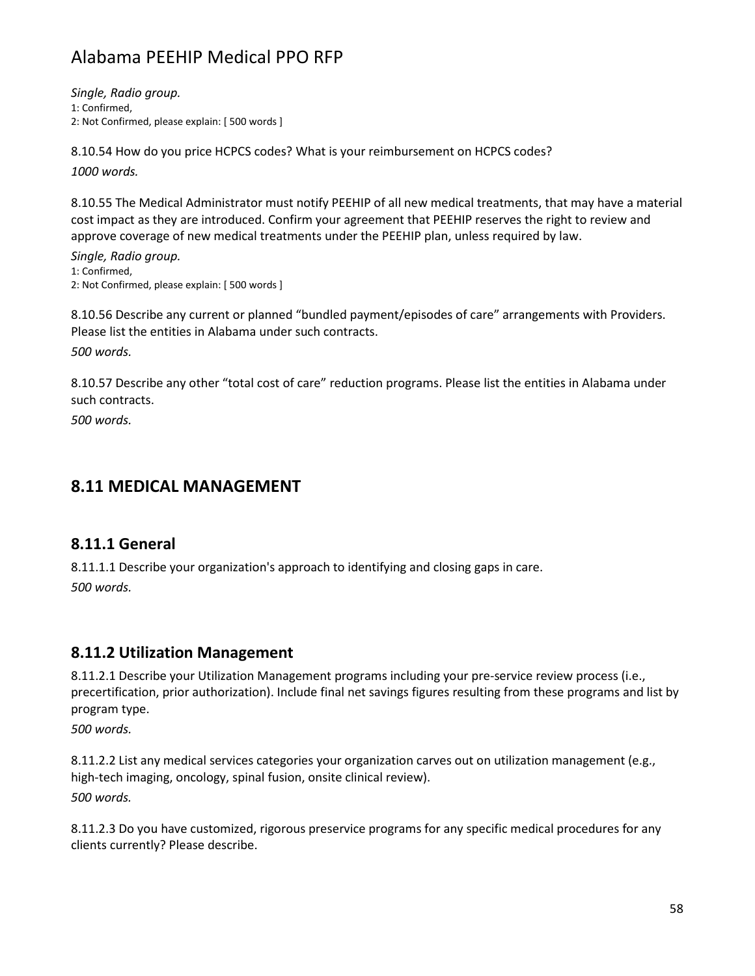*Single, Radio group.* 1: Confirmed, 2: Not Confirmed, please explain: [ 500 words ]

8.10.54 How do you price HCPCS codes? What is your reimbursement on HCPCS codes? *1000 words.*

8.10.55 The Medical Administrator must notify PEEHIP of all new medical treatments, that may have a material cost impact as they are introduced. Confirm your agreement that PEEHIP reserves the right to review and approve coverage of new medical treatments under the PEEHIP plan, unless required by law.

*Single, Radio group.* 1: Confirmed, 2: Not Confirmed, please explain: [ 500 words ]

8.10.56 Describe any current or planned "bundled payment/episodes of care" arrangements with Providers. Please list the entities in Alabama under such contracts.

*500 words.*

8.10.57 Describe any other "total cost of care" reduction programs. Please list the entities in Alabama under such contracts.

*500 words.*

#### **8.11 MEDICAL MANAGEMENT**

#### **8.11.1 General**

8.11.1.1 Describe your organization's approach to identifying and closing gaps in care. *500 words.*

#### **8.11.2 Utilization Management**

8.11.2.1 Describe your Utilization Management programs including your pre-service review process (i.e., precertification, prior authorization). Include final net savings figures resulting from these programs and list by program type.

*500 words.*

8.11.2.2 List any medical services categories your organization carves out on utilization management (e.g., high-tech imaging, oncology, spinal fusion, onsite clinical review). *500 words.*

8.11.2.3 Do you have customized, rigorous preservice programs for any specific medical procedures for any clients currently? Please describe.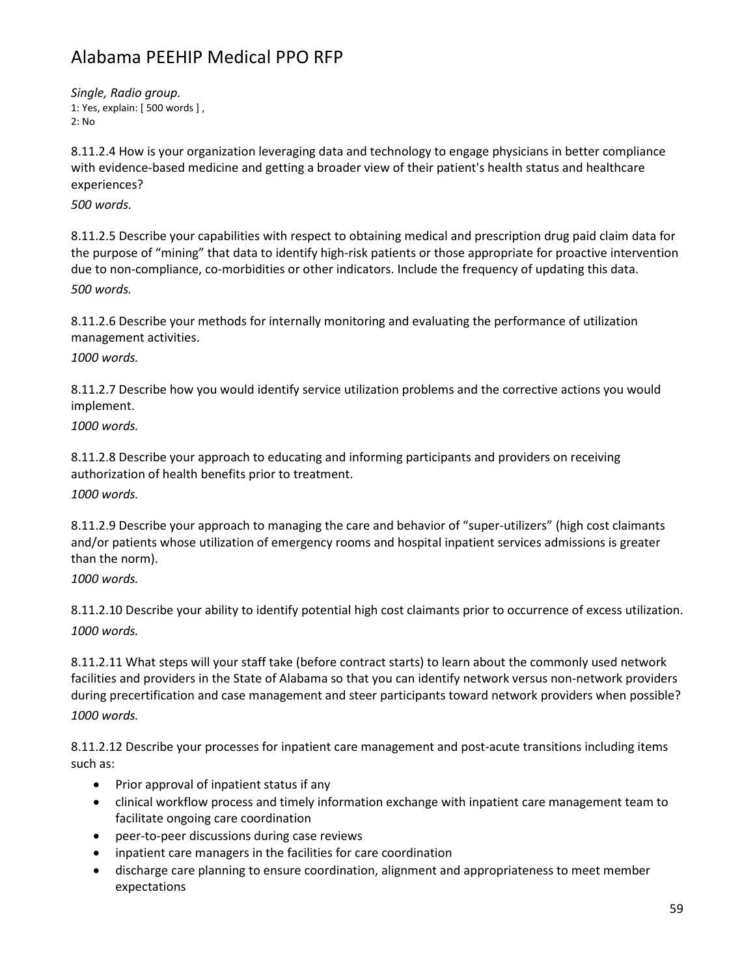*Single, Radio group.* 1: Yes, explain: [ 500 words ] , 2: No

8.11.2.4 How is your organization leveraging data and technology to engage physicians in better compliance with evidence-based medicine and getting a broader view of their patient's health status and healthcare experiences?

*500 words.*

8.11.2.5 Describe your capabilities with respect to obtaining medical and prescription drug paid claim data for the purpose of "mining" that data to identify high-risk patients or those appropriate for proactive intervention due to non-compliance, co-morbidities or other indicators. Include the frequency of updating this data. *500 words.*

8.11.2.6 Describe your methods for internally monitoring and evaluating the performance of utilization management activities.

*1000 words.*

8.11.2.7 Describe how you would identify service utilization problems and the corrective actions you would implement.

*1000 words.*

8.11.2.8 Describe your approach to educating and informing participants and providers on receiving authorization of health benefits prior to treatment.

*1000 words.*

8.11.2.9 Describe your approach to managing the care and behavior of "super-utilizers" (high cost claimants and/or patients whose utilization of emergency rooms and hospital inpatient services admissions is greater than the norm).

*1000 words.*

8.11.2.10 Describe your ability to identify potential high cost claimants prior to occurrence of excess utilization. *1000 words.*

8.11.2.11 What steps will your staff take (before contract starts) to learn about the commonly used network facilities and providers in the State of Alabama so that you can identify network versus non-network providers during precertification and case management and steer participants toward network providers when possible? *1000 words.*

8.11.2.12 Describe your processes for inpatient care management and post-acute transitions including items such as:

- Prior approval of inpatient status if any
- clinical workflow process and timely information exchange with inpatient care management team to facilitate ongoing care coordination
- peer-to-peer discussions during case reviews
- inpatient care managers in the facilities for care coordination
- discharge care planning to ensure coordination, alignment and appropriateness to meet member expectations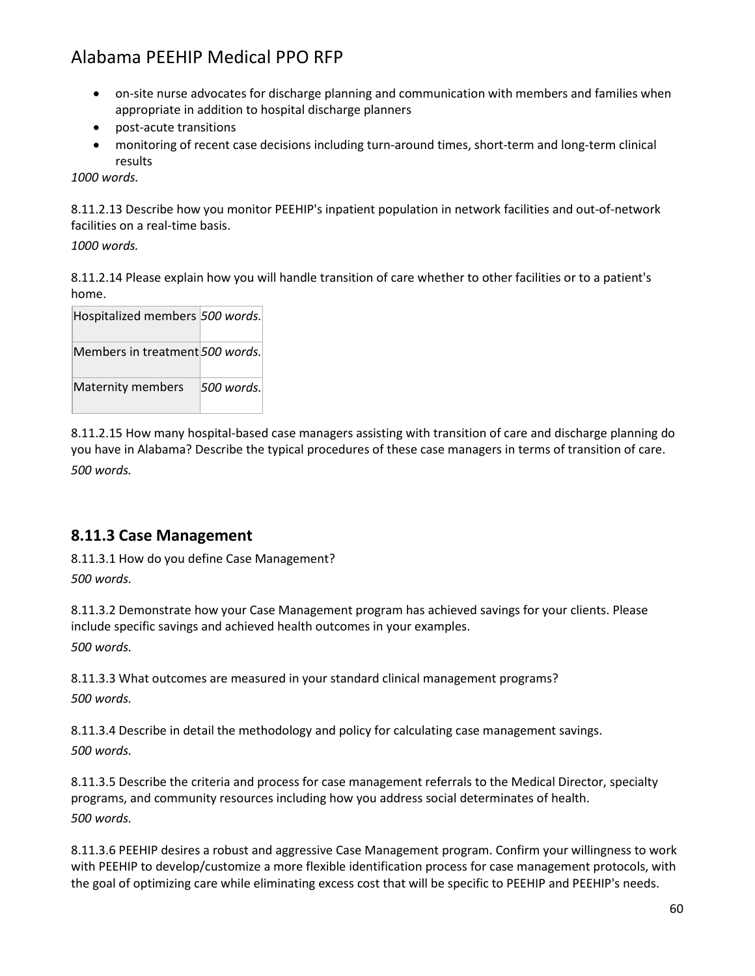- on-site nurse advocates for discharge planning and communication with members and families when appropriate in addition to hospital discharge planners
- post-acute transitions
- monitoring of recent case decisions including turn-around times, short-term and long-term clinical results

*1000 words.*

8.11.2.13 Describe how you monitor PEEHIP's inpatient population in network facilities and out-of-network facilities on a real-time basis.

*1000 words.*

8.11.2.14 Please explain how you will handle transition of care whether to other facilities or to a patient's home.

| Hospitalized members 500 words. |            |
|---------------------------------|------------|
| Members in treatment 500 words. |            |
| Maternity members               | 500 words. |

8.11.2.15 How many hospital-based case managers assisting with transition of care and discharge planning do you have in Alabama? Describe the typical procedures of these case managers in terms of transition of care. *500 words.*

#### **8.11.3 Case Management**

8.11.3.1 How do you define Case Management? *500 words.*

8.11.3.2 Demonstrate how your Case Management program has achieved savings for your clients. Please include specific savings and achieved health outcomes in your examples. *500 words.*

8.11.3.3 What outcomes are measured in your standard clinical management programs? *500 words.*

8.11.3.4 Describe in detail the methodology and policy for calculating case management savings. *500 words.*

8.11.3.5 Describe the criteria and process for case management referrals to the Medical Director, specialty programs, and community resources including how you address social determinates of health. *500 words.*

8.11.3.6 PEEHIP desires a robust and aggressive Case Management program. Confirm your willingness to work with PEEHIP to develop/customize a more flexible identification process for case management protocols, with the goal of optimizing care while eliminating excess cost that will be specific to PEEHIP and PEEHIP's needs.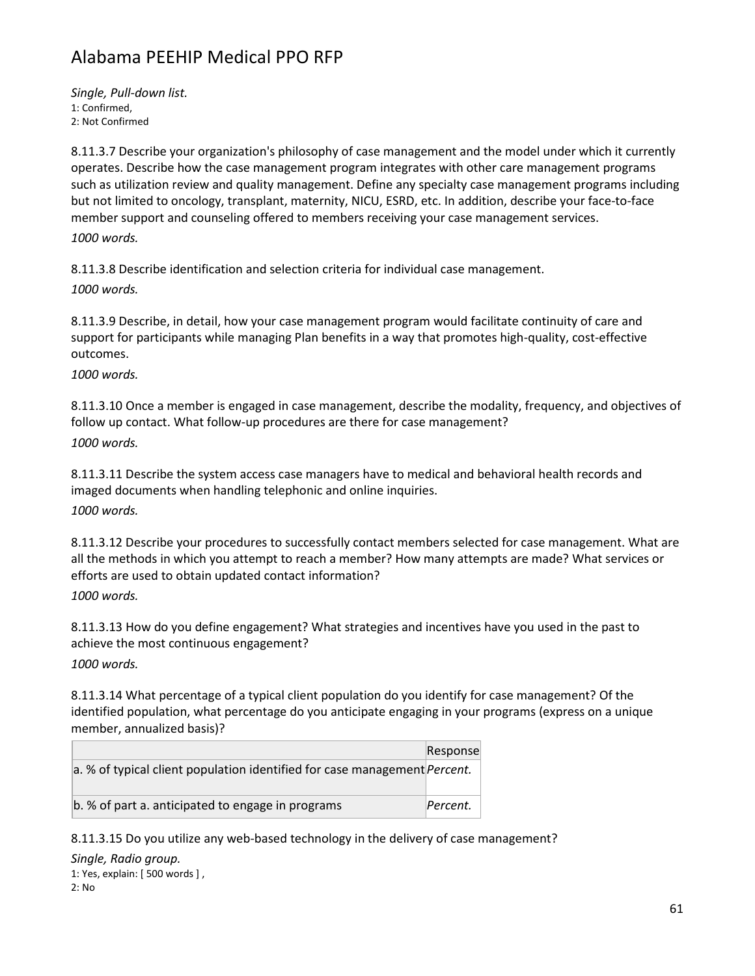*Single, Pull-down list.* 1: Confirmed, 2: Not Confirmed

8.11.3.7 Describe your organization's philosophy of case management and the model under which it currently operates. Describe how the case management program integrates with other care management programs such as utilization review and quality management. Define any specialty case management programs including but not limited to oncology, transplant, maternity, NICU, ESRD, etc. In addition, describe your face-to-face member support and counseling offered to members receiving your case management services.

*1000 words.*

8.11.3.8 Describe identification and selection criteria for individual case management.

*1000 words.*

8.11.3.9 Describe, in detail, how your case management program would facilitate continuity of care and support for participants while managing Plan benefits in a way that promotes high-quality, cost-effective outcomes.

*1000 words.*

8.11.3.10 Once a member is engaged in case management, describe the modality, frequency, and objectives of follow up contact. What follow-up procedures are there for case management?

*1000 words.*

8.11.3.11 Describe the system access case managers have to medical and behavioral health records and imaged documents when handling telephonic and online inquiries. *1000 words.*

8.11.3.12 Describe your procedures to successfully contact members selected for case management. What are all the methods in which you attempt to reach a member? How many attempts are made? What services or efforts are used to obtain updated contact information?

*1000 words.*

8.11.3.13 How do you define engagement? What strategies and incentives have you used in the past to achieve the most continuous engagement?

*1000 words.*

8.11.3.14 What percentage of a typical client population do you identify for case management? Of the identified population, what percentage do you anticipate engaging in your programs (express on a unique member, annualized basis)?

|                                                                                   | Response |
|-----------------------------------------------------------------------------------|----------|
| a. % of typical client population identified for case management <i>Percent</i> . |          |
|                                                                                   |          |
| b. % of part a. anticipated to engage in programs                                 | Percent. |

8.11.3.15 Do you utilize any web-based technology in the delivery of case management?

*Single, Radio group.* 1: Yes, explain: [ 500 words ] , 2: No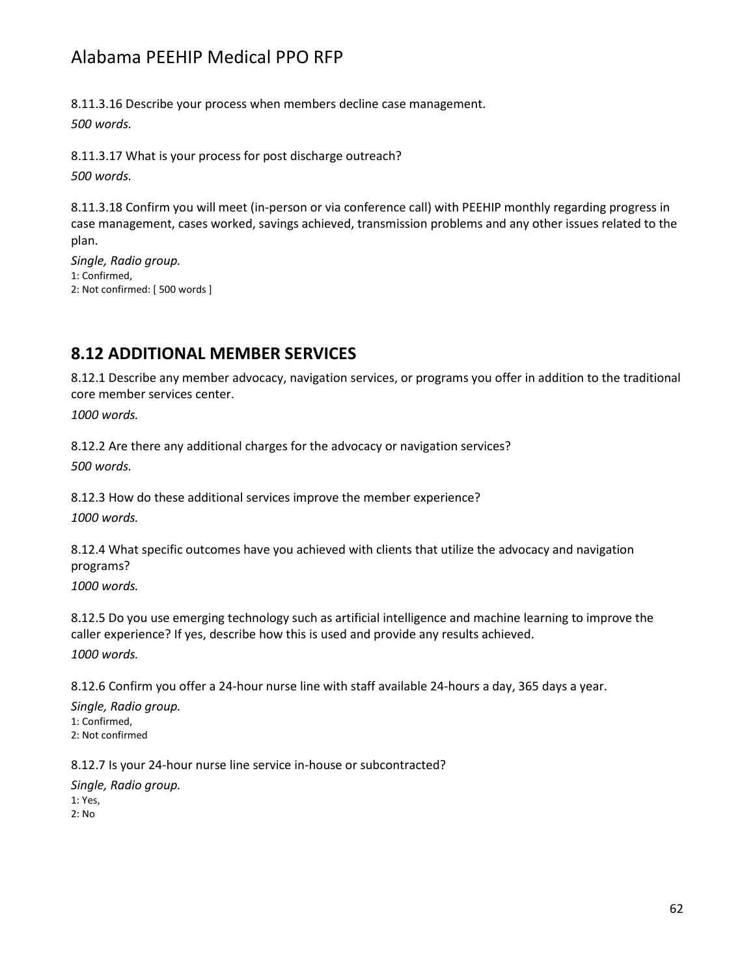8.11.3.16 Describe your process when members decline case management. *500 words.*

8.11.3.17 What is your process for post discharge outreach? *500 words.*

8.11.3.18 Confirm you will meet (in-person or via conference call) with PEEHIP monthly regarding progress in case management, cases worked, savings achieved, transmission problems and any other issues related to the plan.

*Single, Radio group.* 1: Confirmed, 2: Not confirmed: [ 500 words ]

### **8.12 ADDITIONAL MEMBER SERVICES**

8.12.1 Describe any member advocacy, navigation services, or programs you offer in addition to the traditional core member services center.

*1000 words.*

8.12.2 Are there any additional charges for the advocacy or navigation services? *500 words.*

8.12.3 How do these additional services improve the member experience? *1000 words.*

8.12.4 What specific outcomes have you achieved with clients that utilize the advocacy and navigation programs?

*1000 words.*

8.12.5 Do you use emerging technology such as artificial intelligence and machine learning to improve the caller experience? If yes, describe how this is used and provide any results achieved. *1000 words.*

8.12.6 Confirm you offer a 24-hour nurse line with staff available 24-hours a day, 365 days a year.

*Single, Radio group.* 1: Confirmed, 2: Not confirmed

8.12.7 Is your 24-hour nurse line service in-house or subcontracted?

*Single, Radio group.* 1: Yes, 2: No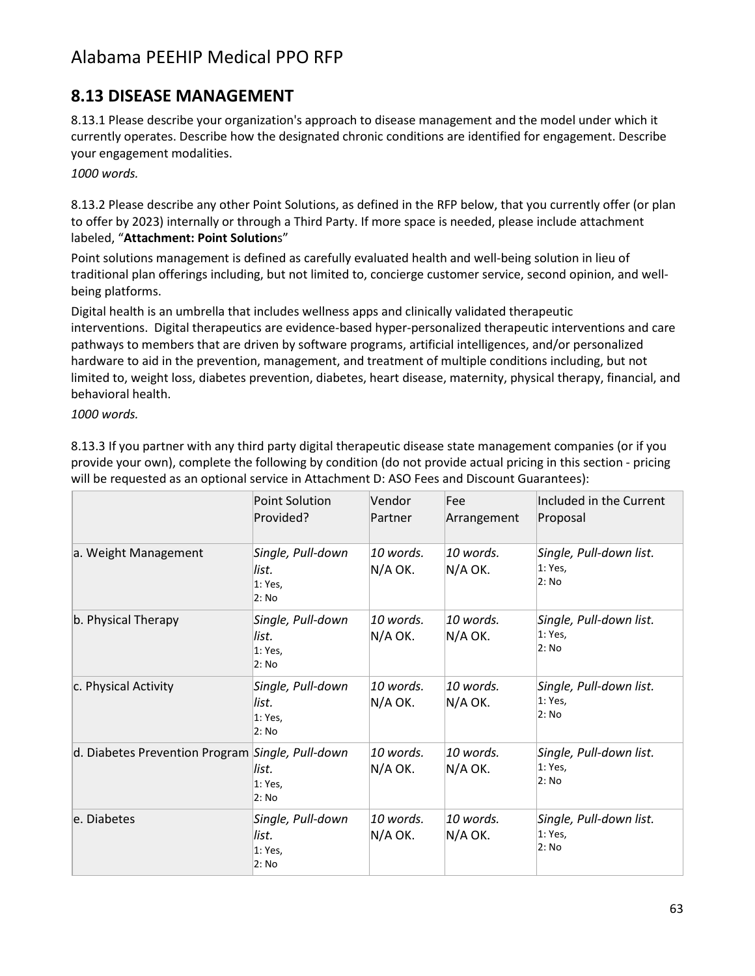### **8.13 DISEASE MANAGEMENT**

8.13.1 Please describe your organization's approach to disease management and the model under which it currently operates. Describe how the designated chronic conditions are identified for engagement. Describe your engagement modalities.

*1000 words.*

8.13.2 Please describe any other Point Solutions, as defined in the RFP below, that you currently offer (or plan to offer by 2023) internally or through a Third Party. If more space is needed, please include attachment labeled, "**Attachment: Point Solution**s"

Point solutions management is defined as carefully evaluated health and well-being solution in lieu of traditional plan offerings including, but not limited to, concierge customer service, second opinion, and wellbeing platforms.

Digital health is an umbrella that includes wellness apps and clinically validated therapeutic interventions. Digital therapeutics are evidence-based hyper-personalized therapeutic interventions and care pathways to members that are driven by software programs, artificial intelligences, and/or personalized hardware to aid in the prevention, management, and treatment of multiple conditions including, but not limited to, weight loss, diabetes prevention, diabetes, heart disease, maternity, physical therapy, financial, and behavioral health.

*1000 words.*

8.13.3 If you partner with any third party digital therapeutic disease state management companies (or if you provide your own), complete the following by condition (do not provide actual pricing in this section - pricing will be requested as an optional service in Attachment D: ASO Fees and Discount Guarantees):

|                                                  | Point Solution<br>Provided?                    | Vendor<br>Partner    | Fee<br>Arrangement     | Included in the Current<br>Proposal         |
|--------------------------------------------------|------------------------------------------------|----------------------|------------------------|---------------------------------------------|
| a. Weight Management                             | Single, Pull-down<br>list.<br>1: Yes,<br>2: No | 10 words.<br>N/A OK. | 10 words.<br>$N/A$ OK. | Single, Pull-down list.<br>1: Yes.<br>2: No |
| b. Physical Therapy                              | Single, Pull-down<br>list.<br>1: Yes,<br>2: No | 10 words.<br>N/A OK. | 10 words.<br>N/A OK.   | Single, Pull-down list.<br>1: Yes,<br>2: No |
| c. Physical Activity                             | Single, Pull-down<br>list.<br>1: Yes,<br>2: No | 10 words.<br>N/A OK. | 10 words.<br>N/A OK.   | Single, Pull-down list.<br>1: Yes,<br>2: No |
| d. Diabetes Prevention Program Single, Pull-down | list.<br>1: Yes,<br>2: No                      | 10 words.<br>N/A OK. | 10 words.<br>$N/A$ OK. | Single, Pull-down list.<br>1: Yes,<br>2: No |
| le. Diabetes                                     | Single, Pull-down<br>list.<br>1: Yes,<br>2: No | 10 words.<br>N/A OK. | 10 words.<br>$N/A$ OK. | Single, Pull-down list.<br>1: Yes.<br>2: No |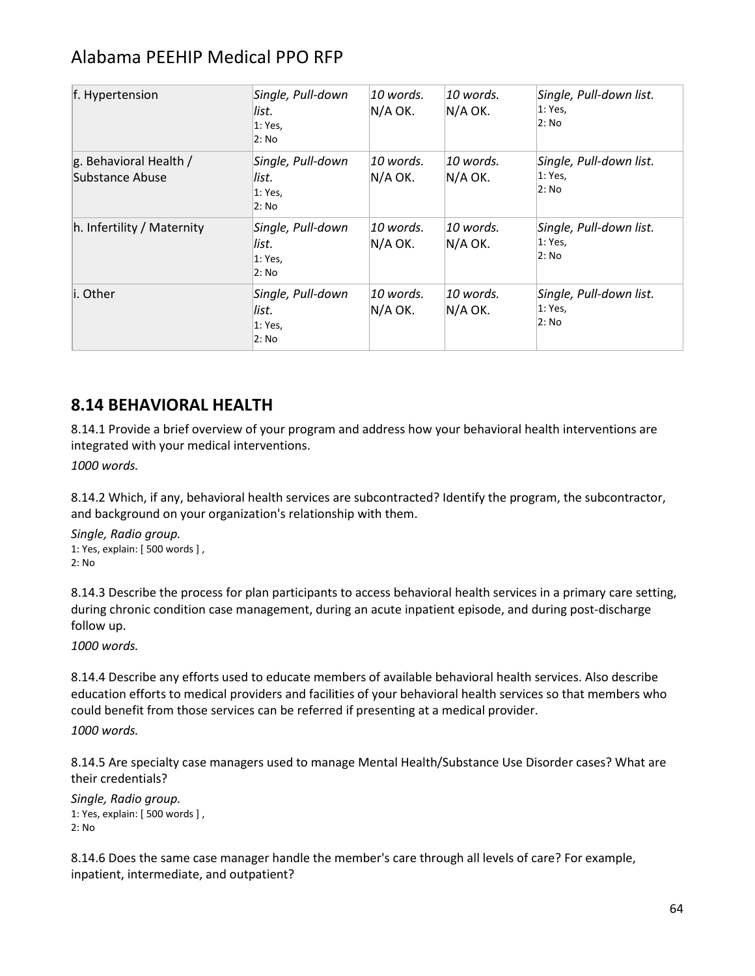| f. Hypertension                                  | Single, Pull-down<br>list.<br>1: Yes,<br>2: No | 10 words.<br>N/A OK. | 10 words.<br>N/A OK. | Single, Pull-down list.<br>1: Yes,<br>2: No |
|--------------------------------------------------|------------------------------------------------|----------------------|----------------------|---------------------------------------------|
| g. Behavioral Health /<br><b>Substance Abuse</b> | Single, Pull-down<br>list.<br>1: Yes,<br>2: No | 10 words.<br>N/A OK. | 10 words.<br>N/A OK. | Single, Pull-down list.<br>1: Yes,<br>2: No |
| h. Infertility / Maternity                       | Single, Pull-down<br>list.<br>1: Yes,<br>2: No | 10 words.<br>N/A OK. | 10 words.<br>N/A OK. | Single, Pull-down list.<br>1: Yes,<br>2: No |
| li. Other                                        | Single, Pull-down<br>list.<br>1: Yes,<br>2: No | 10 words.<br>N/A OK. | 10 words.<br>N/A OK. | Single, Pull-down list.<br>1: Yes,<br>2: No |

### **8.14 BEHAVIORAL HEALTH**

8.14.1 Provide a brief overview of your program and address how your behavioral health interventions are integrated with your medical interventions.

*1000 words.*

8.14.2 Which, if any, behavioral health services are subcontracted? Identify the program, the subcontractor, and background on your organization's relationship with them.

*Single, Radio group.* 1: Yes, explain: [ 500 words ] , 2: No

8.14.3 Describe the process for plan participants to access behavioral health services in a primary care setting, during chronic condition case management, during an acute inpatient episode, and during post-discharge follow up.

*1000 words.*

8.14.4 Describe any efforts used to educate members of available behavioral health services. Also describe education efforts to medical providers and facilities of your behavioral health services so that members who could benefit from those services can be referred if presenting at a medical provider.

*1000 words.*

8.14.5 Are specialty case managers used to manage Mental Health/Substance Use Disorder cases? What are their credentials?

*Single, Radio group.* 1: Yes, explain: [ 500 words ] , 2: No

8.14.6 Does the same case manager handle the member's care through all levels of care? For example, inpatient, intermediate, and outpatient?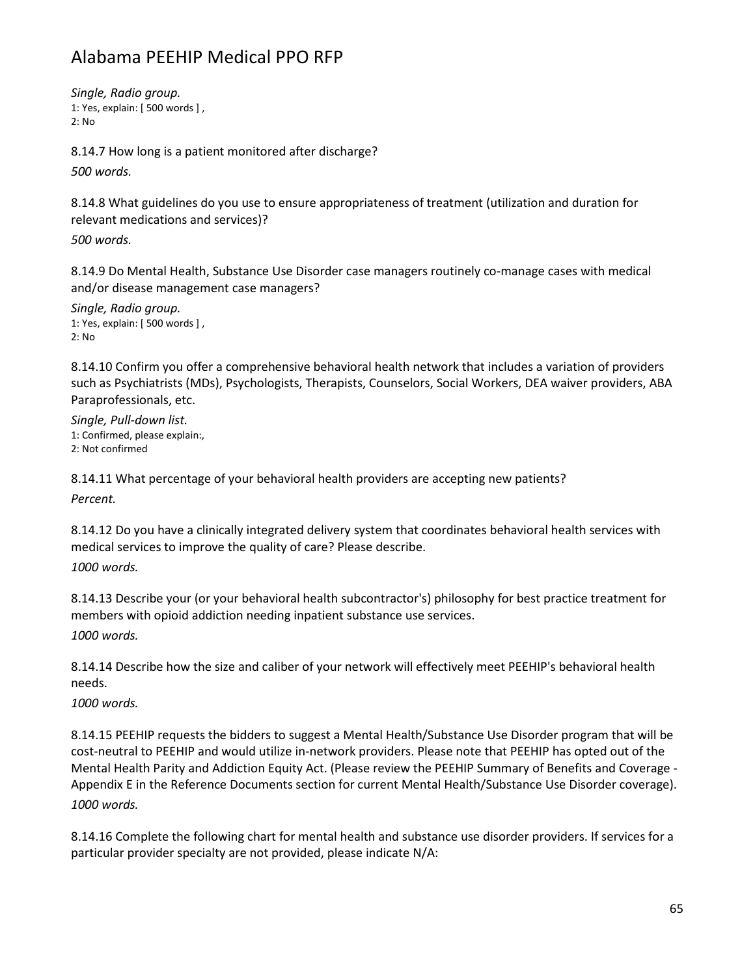*Single, Radio group.* 1: Yes, explain: [ 500 words ] ,  $2 \cdot$  No

8.14.7 How long is a patient monitored after discharge? *500 words.*

8.14.8 What guidelines do you use to ensure appropriateness of treatment (utilization and duration for relevant medications and services)?

*500 words.*

8.14.9 Do Mental Health, Substance Use Disorder case managers routinely co-manage cases with medical and/or disease management case managers?

*Single, Radio group.* 1: Yes, explain: [ 500 words ] , 2: No

8.14.10 Confirm you offer a comprehensive behavioral health network that includes a variation of providers such as Psychiatrists (MDs), Psychologists, Therapists, Counselors, Social Workers, DEA waiver providers, ABA Paraprofessionals, etc.

*Single, Pull-down list.* 1: Confirmed, please explain:, 2: Not confirmed

8.14.11 What percentage of your behavioral health providers are accepting new patients? *Percent.*

8.14.12 Do you have a clinically integrated delivery system that coordinates behavioral health services with medical services to improve the quality of care? Please describe.

*1000 words.*

8.14.13 Describe your (or your behavioral health subcontractor's) philosophy for best practice treatment for members with opioid addiction needing inpatient substance use services. *1000 words.*

8.14.14 Describe how the size and caliber of your network will effectively meet PEEHIP's behavioral health needs.

*1000 words.*

8.14.15 PEEHIP requests the bidders to suggest a Mental Health/Substance Use Disorder program that will be cost-neutral to PEEHIP and would utilize in-network providers. Please note that PEEHIP has opted out of the Mental Health Parity and Addiction Equity Act. (Please review the PEEHIP Summary of Benefits and Coverage - Appendix E in the Reference Documents section for current Mental Health/Substance Use Disorder coverage). *1000 words.*

8.14.16 Complete the following chart for mental health and substance use disorder providers. If services for a particular provider specialty are not provided, please indicate N/A: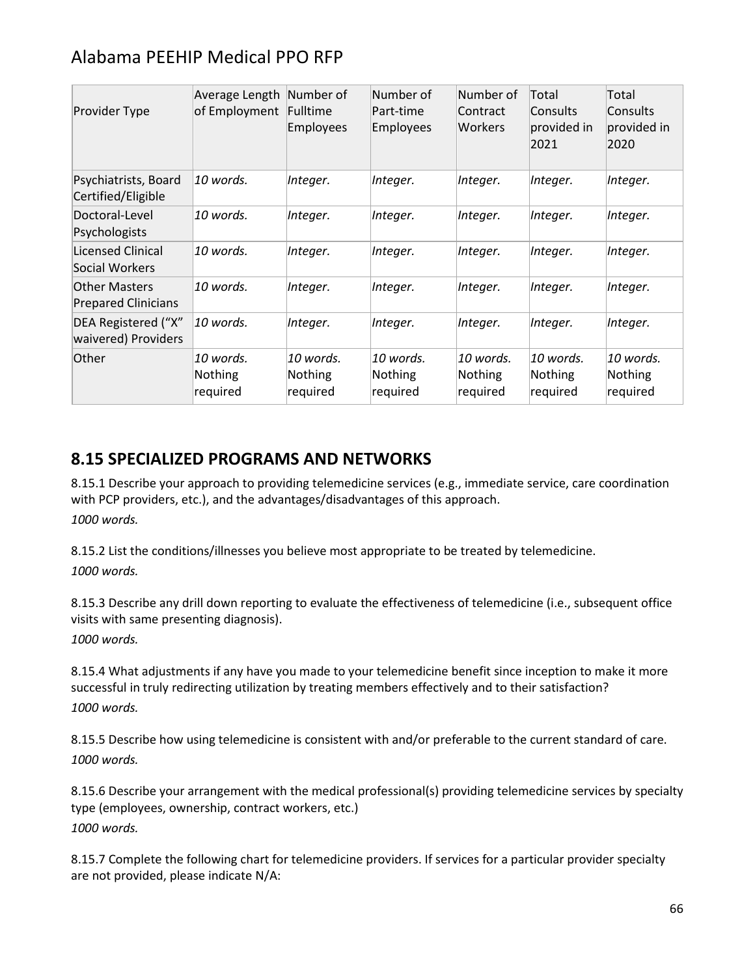| Provider Type                                      | Average Length<br>of Employment         | Number of<br>Fulltime<br><b>Employees</b> | Number of<br>Part-time<br><b>Employees</b> | Number of<br>Contract<br> Workers       | Total<br>Consults<br>provided in<br>2021 | Total<br>Consults<br>provided in<br>2020 |
|----------------------------------------------------|-----------------------------------------|-------------------------------------------|--------------------------------------------|-----------------------------------------|------------------------------------------|------------------------------------------|
| Psychiatrists, Board<br>Certified/Eligible         | 10 words.                               | Integer.                                  | Integer.                                   | Integer.                                | Integer.                                 | Integer.                                 |
| Doctoral-Level<br>Psychologists                    | 10 words.                               | Integer.                                  | Integer.                                   | Integer.                                | Integer.                                 | Integer.                                 |
| Licensed Clinical<br>Social Workers                | 10 words.                               | Integer.                                  | Integer.                                   | Integer.                                | Integer.                                 | Integer.                                 |
| <b>Other Masters</b><br><b>Prepared Clinicians</b> | 10 words.                               | Integer.                                  | Integer.                                   | Integer.                                | Integer.                                 | Integer.                                 |
| DEA Registered ("X"<br>waivered) Providers         | 10 words.                               | Integer.                                  | Integer.                                   | Integer.                                | Integer.                                 | Integer.                                 |
| Other                                              | 10 words.<br><b>Nothing</b><br>required | 10 words.<br>Nothing<br>required          | 10 words.<br><b>Nothing</b><br>required    | 10 words.<br><b>Nothing</b><br>required | 10 words.<br><b>Nothing</b><br>required  | 10 words.<br>Nothing<br>required         |

### **8.15 SPECIALIZED PROGRAMS AND NETWORKS**

8.15.1 Describe your approach to providing telemedicine services (e.g., immediate service, care coordination with PCP providers, etc.), and the advantages/disadvantages of this approach. *1000 words.*

8.15.2 List the conditions/illnesses you believe most appropriate to be treated by telemedicine. *1000 words.*

8.15.3 Describe any drill down reporting to evaluate the effectiveness of telemedicine (i.e., subsequent office visits with same presenting diagnosis).

*1000 words.*

8.15.4 What adjustments if any have you made to your telemedicine benefit since inception to make it more successful in truly redirecting utilization by treating members effectively and to their satisfaction? *1000 words.*

8.15.5 Describe how using telemedicine is consistent with and/or preferable to the current standard of care. *1000 words.*

8.15.6 Describe your arrangement with the medical professional(s) providing telemedicine services by specialty type (employees, ownership, contract workers, etc.) *1000 words.*

8.15.7 Complete the following chart for telemedicine providers. If services for a particular provider specialty are not provided, please indicate N/A: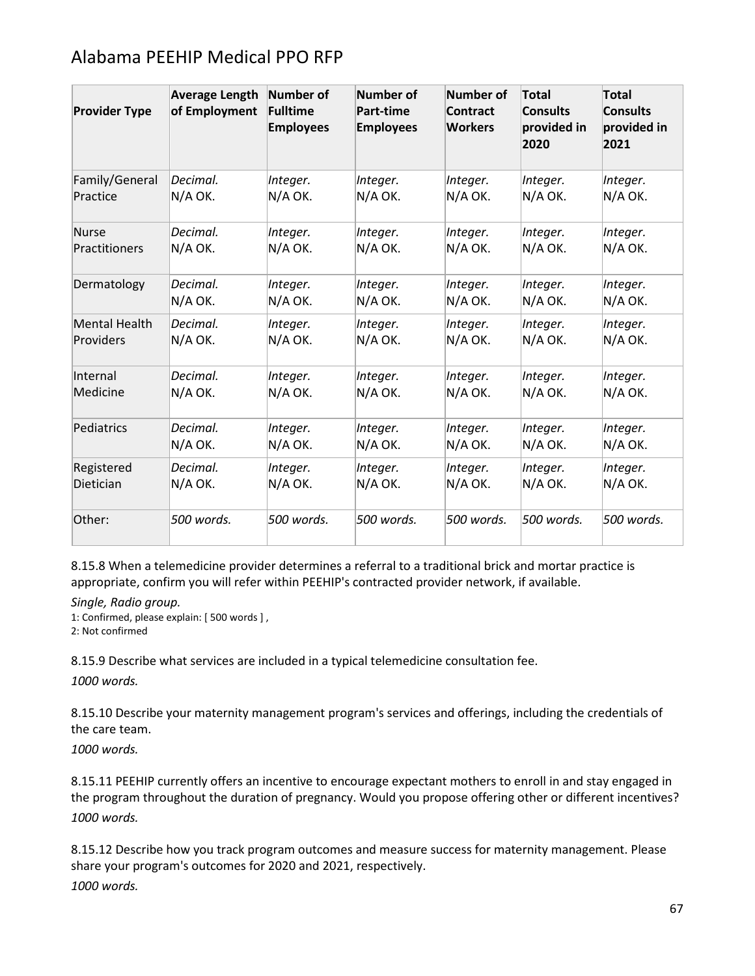| <b>Provider Type</b> | <b>Average Length</b><br>of Employment | Number of<br>Fulltime<br><b>Employees</b> | Number of<br><b>Part-time</b><br><b>Employees</b> | <b>Number of</b><br><b>Contract</b><br><b>Workers</b> | <b>Total</b><br><b>Consults</b><br>provided in<br>2020 | Total<br><b>Consults</b><br>provided in<br>2021 |
|----------------------|----------------------------------------|-------------------------------------------|---------------------------------------------------|-------------------------------------------------------|--------------------------------------------------------|-------------------------------------------------|
| Family/General       | Decimal.                               | Integer.                                  | Integer.                                          | Integer.                                              | Integer.                                               | Integer.                                        |
| Practice             | N/A OK.                                | N/A OK.                                   | N/A OK.                                           | N/A OK.                                               | N/A OK.                                                | N/A OK.                                         |
| Nurse                | Decimal.                               | Integer.                                  | Integer.                                          | Integer.                                              | Integer.                                               | Integer.                                        |
| Practitioners        | N/A OK.                                | N/A OK.                                   | N/A OK.                                           | N/A OK.                                               | N/A OK.                                                | N/A OK.                                         |
| Dermatology          | Decimal.                               | Integer.                                  | Integer.                                          | Integer.                                              | Integer.                                               | Integer.                                        |
|                      | N/A OK.                                | N/A OK.                                   | N/A OK.                                           | N/A OK.                                               | N/A OK.                                                | N/A OK.                                         |
| Mental Health        | Decimal.                               | Integer.                                  | Integer.                                          | Integer.                                              | Integer.                                               | Integer.                                        |
| Providers            | N/A OK.                                | N/A OK.                                   | N/A OK.                                           | N/A OK.                                               | N/A OK.                                                | N/A OK.                                         |
| Internal             | Decimal.                               | Integer.                                  | Integer.                                          | Integer.                                              | Integer.                                               | Integer.                                        |
| Medicine             | N/A OK.                                | N/A OK.                                   | N/A OK.                                           | N/A OK.                                               | N/A OK.                                                | N/A OK.                                         |
| Pediatrics           | Decimal.                               | Integer.                                  | Integer.                                          | Integer.                                              | Integer.                                               | Integer.                                        |
|                      | N/A OK.                                | N/A OK.                                   | N/A OK.                                           | $N/A$ OK.                                             | N/A OK.                                                | N/A OK.                                         |
| Registered           | Decimal.                               | Integer.                                  | Integer.                                          | Integer.                                              | Integer.                                               | Integer.                                        |
| Dietician            | N/A OK.                                | N/A OK.                                   | N/A OK.                                           | N/A OK.                                               | N/A OK.                                                | N/A OK.                                         |
| Other:               | 500 words.                             | 500 words.                                | 500 words.                                        | 500 words.                                            | 500 words.                                             | 500 words.                                      |

8.15.8 When a telemedicine provider determines a referral to a traditional brick and mortar practice is appropriate, confirm you will refer within PEEHIP's contracted provider network, if available.

*Single, Radio group.*

1: Confirmed, please explain: [ 500 words ] ,

2: Not confirmed

8.15.9 Describe what services are included in a typical telemedicine consultation fee.

*1000 words.*

8.15.10 Describe your maternity management program's services and offerings, including the credentials of the care team.

*1000 words.*

8.15.11 PEEHIP currently offers an incentive to encourage expectant mothers to enroll in and stay engaged in the program throughout the duration of pregnancy. Would you propose offering other or different incentives? *1000 words.*

8.15.12 Describe how you track program outcomes and measure success for maternity management. Please share your program's outcomes for 2020 and 2021, respectively. *1000 words.*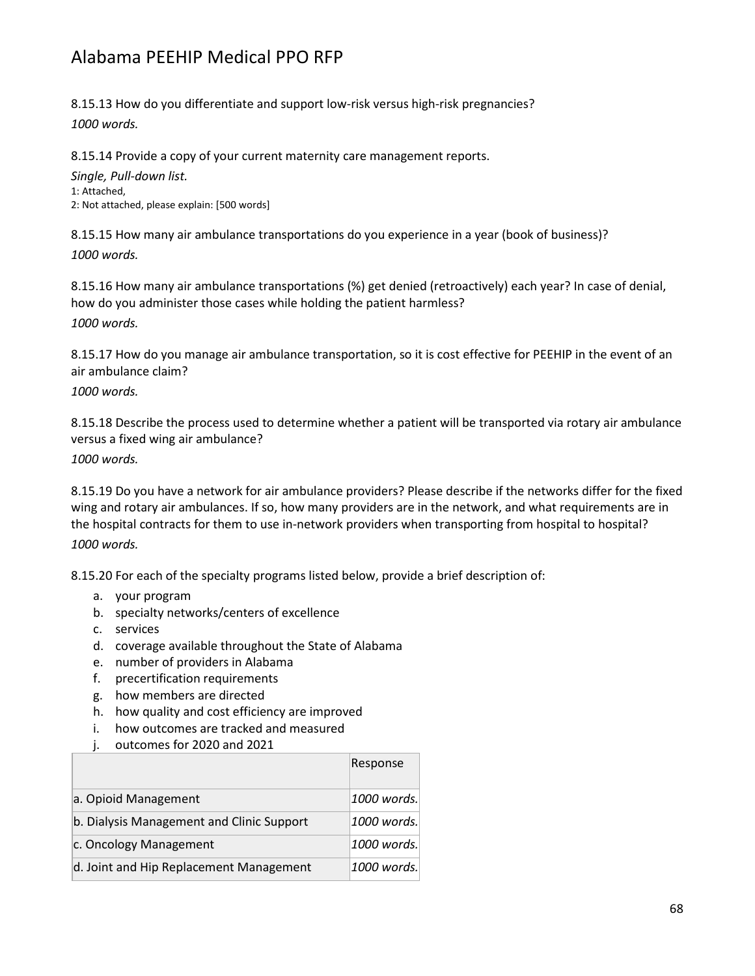8.15.13 How do you differentiate and support low-risk versus high-risk pregnancies?

*1000 words.*

8.15.14 Provide a copy of your current maternity care management reports.

*Single, Pull-down list.* 1: Attached, 2: Not attached, please explain: [500 words]

8.15.15 How many air ambulance transportations do you experience in a year (book of business)? *1000 words.*

8.15.16 How many air ambulance transportations (%) get denied (retroactively) each year? In case of denial, how do you administer those cases while holding the patient harmless?

*1000 words.*

8.15.17 How do you manage air ambulance transportation, so it is cost effective for PEEHIP in the event of an air ambulance claim?

*1000 words.*

8.15.18 Describe the process used to determine whether a patient will be transported via rotary air ambulance versus a fixed wing air ambulance?

*1000 words.*

8.15.19 Do you have a network for air ambulance providers? Please describe if the networks differ for the fixed wing and rotary air ambulances. If so, how many providers are in the network, and what requirements are in the hospital contracts for them to use in-network providers when transporting from hospital to hospital? *1000 words.*

8.15.20 For each of the specialty programs listed below, provide a brief description of:

- a. your program
- b. specialty networks/centers of excellence
- c. services
- d. coverage available throughout the State of Alabama
- e. number of providers in Alabama
- f. precertification requirements
- g. how members are directed
- h. how quality and cost efficiency are improved
- i. how outcomes are tracked and measured
- j. outcomes for 2020 and 2021

|                                           | Response    |
|-------------------------------------------|-------------|
| a. Opioid Management                      | 1000 words. |
| b. Dialysis Management and Clinic Support | 1000 words. |
| c. Oncology Management                    | 1000 words. |
| d. Joint and Hip Replacement Management   | 1000 words. |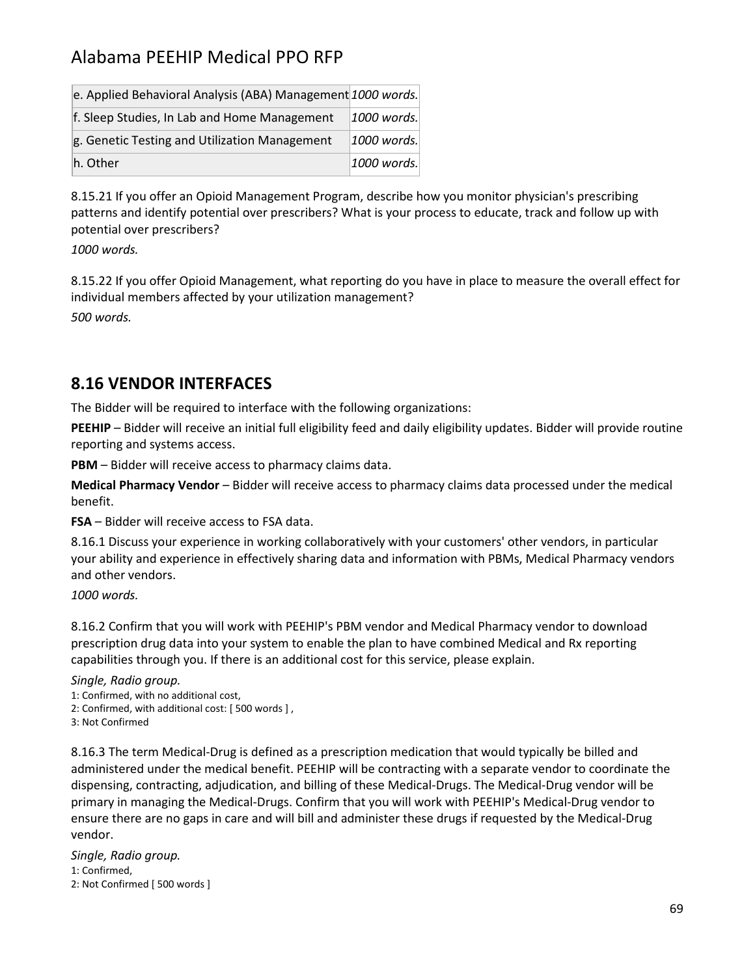| e. Applied Behavioral Analysis (ABA) Management 1000 words. |             |
|-------------------------------------------------------------|-------------|
| f. Sleep Studies, In Lab and Home Management                | 1000 words. |
| g. Genetic Testing and Utilization Management               | 1000 words. |
| h. Other                                                    | 1000 words. |

8.15.21 If you offer an Opioid Management Program, describe how you monitor physician's prescribing patterns and identify potential over prescribers? What is your process to educate, track and follow up with potential over prescribers?

*1000 words.*

8.15.22 If you offer Opioid Management, what reporting do you have in place to measure the overall effect for individual members affected by your utilization management? *500 words.*

#### **8.16 VENDOR INTERFACES**

The Bidder will be required to interface with the following organizations:

**PEEHIP** – Bidder will receive an initial full eligibility feed and daily eligibility updates. Bidder will provide routine reporting and systems access.

**PBM** – Bidder will receive access to pharmacy claims data.

**Medical Pharmacy Vendor** – Bidder will receive access to pharmacy claims data processed under the medical benefit.

**FSA** – Bidder will receive access to FSA data.

8.16.1 Discuss your experience in working collaboratively with your customers' other vendors, in particular your ability and experience in effectively sharing data and information with PBMs, Medical Pharmacy vendors and other vendors.

*1000 words.*

8.16.2 Confirm that you will work with PEEHIP's PBM vendor and Medical Pharmacy vendor to download prescription drug data into your system to enable the plan to have combined Medical and Rx reporting capabilities through you. If there is an additional cost for this service, please explain.

*Single, Radio group.*

1: Confirmed, with no additional cost,

2: Confirmed, with additional cost: [ 500 words ] ,

3: Not Confirmed

8.16.3 The term Medical-Drug is defined as a prescription medication that would typically be billed and administered under the medical benefit. PEEHIP will be contracting with a separate vendor to coordinate the dispensing, contracting, adjudication, and billing of these Medical-Drugs. The Medical-Drug vendor will be primary in managing the Medical-Drugs. Confirm that you will work with PEEHIP's Medical-Drug vendor to ensure there are no gaps in care and will bill and administer these drugs if requested by the Medical-Drug vendor.

*Single, Radio group.* 1: Confirmed, 2: Not Confirmed [ 500 words ]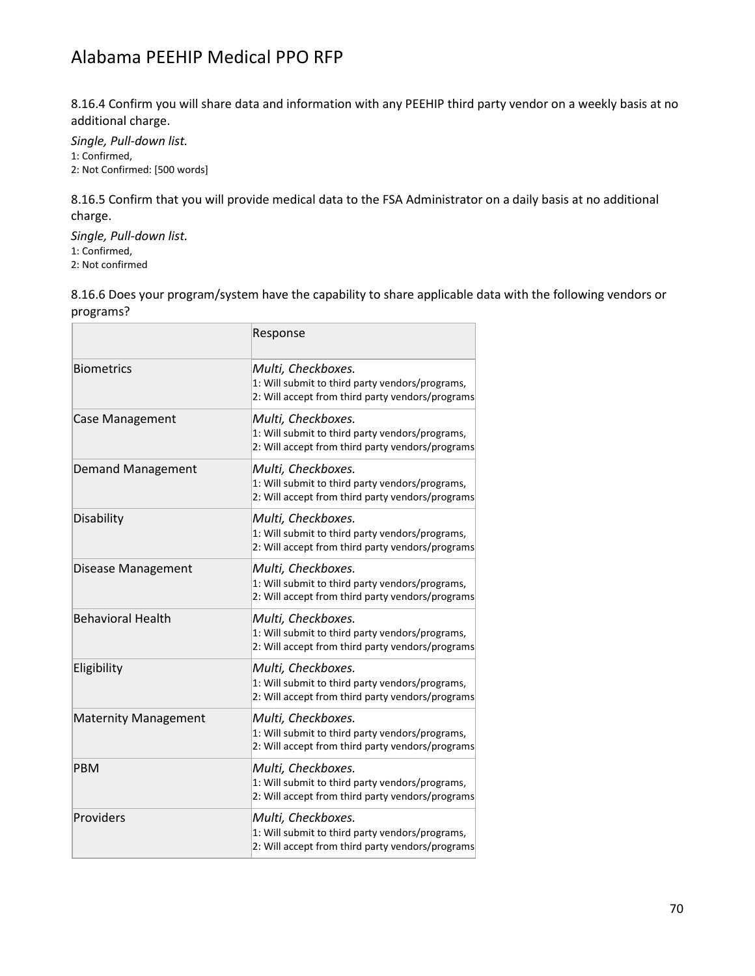8.16.4 Confirm you will share data and information with any PEEHIP third party vendor on a weekly basis at no additional charge.

*Single, Pull-down list.* 1: Confirmed, 2: Not Confirmed: [500 words]

8.16.5 Confirm that you will provide medical data to the FSA Administrator on a daily basis at no additional charge.

*Single, Pull-down list.* 1: Confirmed, 2: Not confirmed

8.16.6 Does your program/system have the capability to share applicable data with the following vendors or programs?

|                             | Response                                                                                                                  |
|-----------------------------|---------------------------------------------------------------------------------------------------------------------------|
| <b>Biometrics</b>           | Multi, Checkboxes.<br>1: Will submit to third party vendors/programs,<br>2: Will accept from third party vendors/programs |
| <b>Case Management</b>      | Multi, Checkboxes.<br>1: Will submit to third party vendors/programs,<br>2: Will accept from third party vendors/programs |
| <b>Demand Management</b>    | Multi, Checkboxes.<br>1: Will submit to third party vendors/programs,<br>2: Will accept from third party vendors/programs |
| Disability                  | Multi, Checkboxes.<br>1: Will submit to third party vendors/programs,<br>2: Will accept from third party vendors/programs |
| Disease Management          | Multi, Checkboxes.<br>1: Will submit to third party vendors/programs,<br>2: Will accept from third party vendors/programs |
| <b>Behavioral Health</b>    | Multi, Checkboxes.<br>1: Will submit to third party vendors/programs,<br>2: Will accept from third party vendors/programs |
| Eligibility                 | Multi, Checkboxes.<br>1: Will submit to third party vendors/programs,<br>2: Will accept from third party vendors/programs |
| <b>Maternity Management</b> | Multi, Checkboxes.<br>1: Will submit to third party vendors/programs,<br>2: Will accept from third party vendors/programs |
| PBM                         | Multi, Checkboxes.<br>1: Will submit to third party vendors/programs,<br>2: Will accept from third party vendors/programs |
| Providers                   | Multi, Checkboxes.<br>1: Will submit to third party vendors/programs,<br>2: Will accept from third party vendors/programs |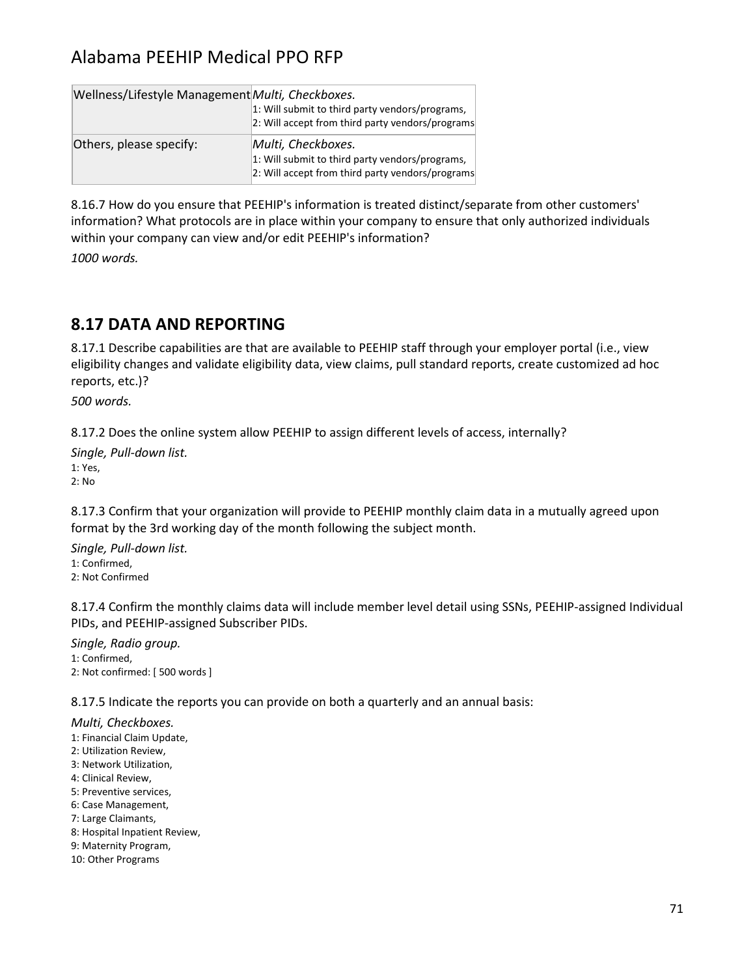| Wellness/Lifestyle Management Multi, Checkboxes. | 1: Will submit to third party vendors/programs,<br>2: Will accept from third party vendors/programs                       |
|--------------------------------------------------|---------------------------------------------------------------------------------------------------------------------------|
| Others, please specify:                          | Multi, Checkboxes.<br>1: Will submit to third party vendors/programs,<br>2: Will accept from third party vendors/programs |

8.16.7 How do you ensure that PEEHIP's information is treated distinct/separate from other customers' information? What protocols are in place within your company to ensure that only authorized individuals within your company can view and/or edit PEEHIP's information?

*1000 words.*

### **8.17 DATA AND REPORTING**

8.17.1 Describe capabilities are that are available to PEEHIP staff through your employer portal (i.e., view eligibility changes and validate eligibility data, view claims, pull standard reports, create customized ad hoc reports, etc.)?

*500 words.*

8.17.2 Does the online system allow PEEHIP to assign different levels of access, internally?

*Single, Pull-down list.* 1: Yes, 2: No

8.17.3 Confirm that your organization will provide to PEEHIP monthly claim data in a mutually agreed upon format by the 3rd working day of the month following the subject month.

*Single, Pull-down list.* 1: Confirmed, 2: Not Confirmed

8.17.4 Confirm the monthly claims data will include member level detail using SSNs, PEEHIP-assigned Individual PIDs, and PEEHIP-assigned Subscriber PIDs.

*Single, Radio group.* 1: Confirmed, 2: Not confirmed: [ 500 words ]

8.17.5 Indicate the reports you can provide on both a quarterly and an annual basis:

*Multi, Checkboxes.*

- 1: Financial Claim Update,
- 2: Utilization Review,
- 3: Network Utilization,
- 4: Clinical Review,
- 5: Preventive services,
- 6: Case Management,
- 7: Large Claimants,
- 8: Hospital Inpatient Review,
- 9: Maternity Program,
- 10: Other Programs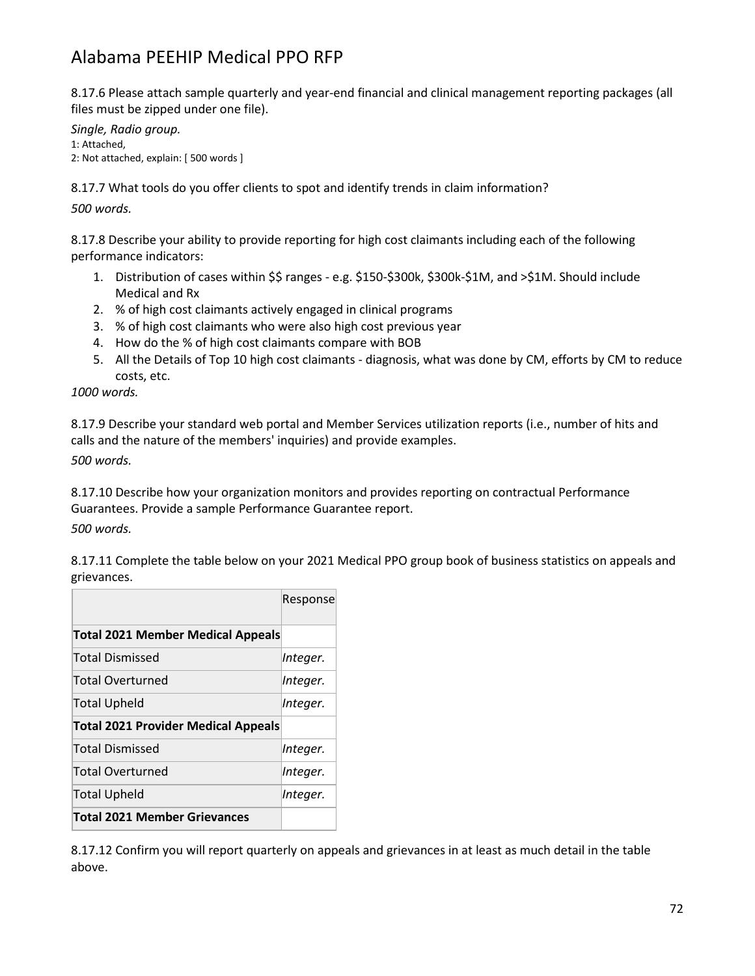8.17.6 Please attach sample quarterly and year-end financial and clinical management reporting packages (all files must be zipped under one file).

*Single, Radio group.* 1: Attached, 2: Not attached, explain: [ 500 words ]

8.17.7 What tools do you offer clients to spot and identify trends in claim information?

*500 words.*

8.17.8 Describe your ability to provide reporting for high cost claimants including each of the following performance indicators:

- 1. Distribution of cases within \$\$ ranges e.g. \$150-\$300k, \$300k-\$1M, and >\$1M. Should include Medical and Rx
- 2. % of high cost claimants actively engaged in clinical programs
- 3. % of high cost claimants who were also high cost previous year
- 4. How do the % of high cost claimants compare with BOB
- 5. All the Details of Top 10 high cost claimants diagnosis, what was done by CM, efforts by CM to reduce costs, etc.

*1000 words.*

8.17.9 Describe your standard web portal and Member Services utilization reports (i.e., number of hits and calls and the nature of the members' inquiries) and provide examples.

*500 words.*

8.17.10 Describe how your organization monitors and provides reporting on contractual Performance Guarantees. Provide a sample Performance Guarantee report.

*500 words.*

8.17.11 Complete the table below on your 2021 Medical PPO group book of business statistics on appeals and grievances.

|                                            | Response |
|--------------------------------------------|----------|
| <b>Total 2021 Member Medical Appeals</b>   |          |
| <b>Total Dismissed</b>                     | Integer. |
| <b>Total Overturned</b>                    | Integer. |
| <b>Total Upheld</b>                        | Integer. |
| <b>Total 2021 Provider Medical Appeals</b> |          |
| <b>Total Dismissed</b>                     | Integer. |
| <b>Total Overturned</b>                    | Integer. |
| <b>Total Upheld</b>                        | Integer. |
| <b>Total 2021 Member Grievances</b>        |          |

8.17.12 Confirm you will report quarterly on appeals and grievances in at least as much detail in the table above.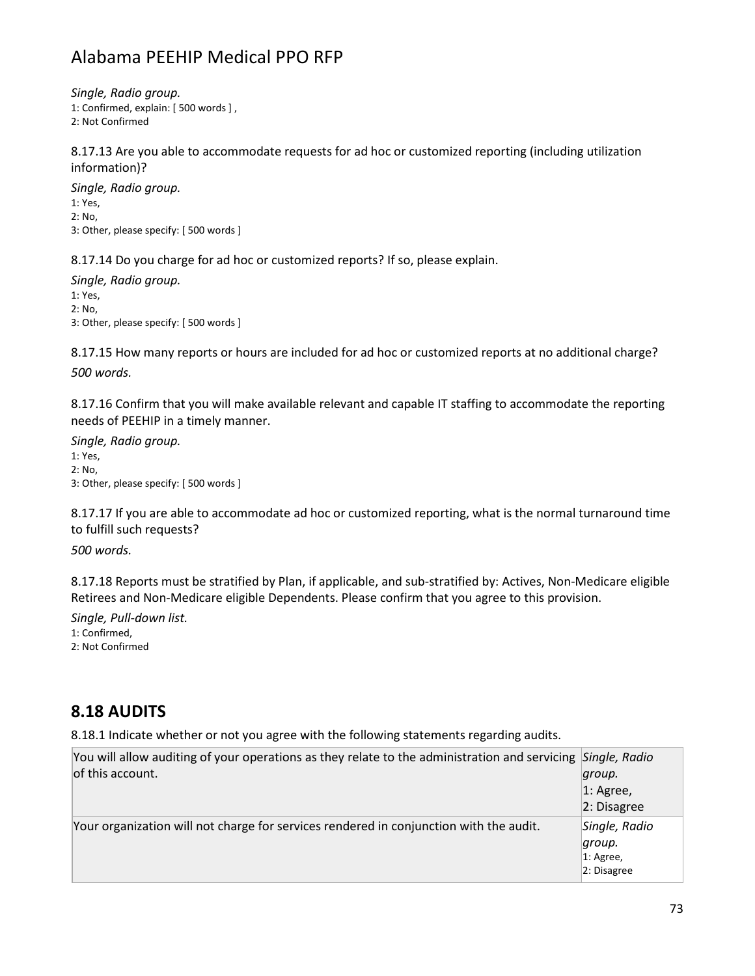*Single, Radio group.*

1: Confirmed, explain: [ 500 words ] ,

2: Not Confirmed

8.17.13 Are you able to accommodate requests for ad hoc or customized reporting (including utilization information)?

*Single, Radio group.* 1: Yes, 2: No, 3: Other, please specify: [ 500 words ]

8.17.14 Do you charge for ad hoc or customized reports? If so, please explain.

*Single, Radio group.* 1: Yes, 2: No, 3: Other, please specify: [ 500 words ]

8.17.15 How many reports or hours are included for ad hoc or customized reports at no additional charge? *500 words.*

8.17.16 Confirm that you will make available relevant and capable IT staffing to accommodate the reporting needs of PEEHIP in a timely manner.

*Single, Radio group.* 1: Yes, 2: No, 3: Other, please specify: [ 500 words ]

8.17.17 If you are able to accommodate ad hoc or customized reporting, what is the normal turnaround time to fulfill such requests?

*500 words.*

8.17.18 Reports must be stratified by Plan, if applicable, and sub-stratified by: Actives, Non-Medicare eligible Retirees and Non-Medicare eligible Dependents. Please confirm that you agree to this provision.

*Single, Pull-down list.* 1: Confirmed, 2: Not Confirmed

#### **8.18 AUDITS**

8.18.1 Indicate whether or not you agree with the following statements regarding audits.

| You will allow auditing of your operations as they relate to the administration and servicing Single, Radio |               |
|-------------------------------------------------------------------------------------------------------------|---------------|
| of this account.                                                                                            | group.        |
|                                                                                                             | $ 1:$ Agree,  |
|                                                                                                             | 2: Disagree   |
| Your organization will not charge for services rendered in conjunction with the audit.                      | Single, Radio |
|                                                                                                             | group.        |
|                                                                                                             | $ 1:$ Agree,  |
|                                                                                                             | 2: Disagree   |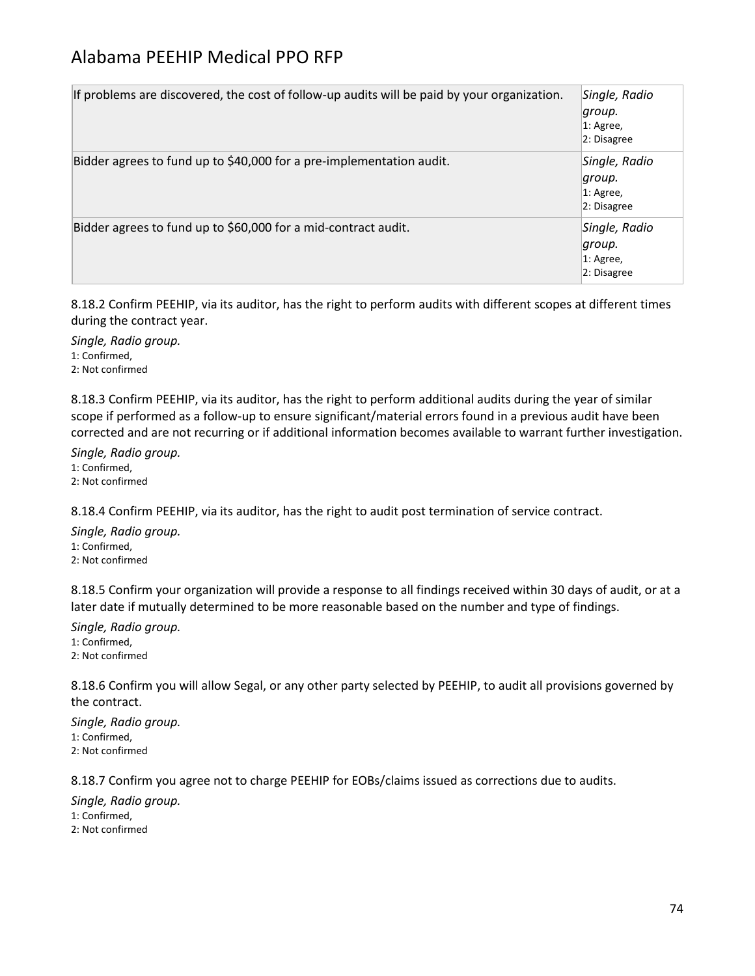| If problems are discovered, the cost of follow-up audits will be paid by your organization. | Single, Radio<br> group.<br>$ 1:$ Agree,<br>2: Disagree |
|---------------------------------------------------------------------------------------------|---------------------------------------------------------|
| Bidder agrees to fund up to \$40,000 for a pre-implementation audit.                        | Single, Radio<br>group.<br>$ 1:$ Agree,<br>2: Disagree  |
| Bidder agrees to fund up to \$60,000 for a mid-contract audit.                              | Single, Radio<br>∣qroup.<br>$ 1:$ Agree,<br>2: Disagree |

8.18.2 Confirm PEEHIP, via its auditor, has the right to perform audits with different scopes at different times during the contract year.

*Single, Radio group.* 1: Confirmed, 2: Not confirmed

8.18.3 Confirm PEEHIP, via its auditor, has the right to perform additional audits during the year of similar scope if performed as a follow-up to ensure significant/material errors found in a previous audit have been corrected and are not recurring or if additional information becomes available to warrant further investigation.

*Single, Radio group.* 1: Confirmed, 2: Not confirmed

8.18.4 Confirm PEEHIP, via its auditor, has the right to audit post termination of service contract.

*Single, Radio group.* 1: Confirmed, 2: Not confirmed

8.18.5 Confirm your organization will provide a response to all findings received within 30 days of audit, or at a later date if mutually determined to be more reasonable based on the number and type of findings.

*Single, Radio group.* 1: Confirmed, 2: Not confirmed

8.18.6 Confirm you will allow Segal, or any other party selected by PEEHIP, to audit all provisions governed by the contract.

*Single, Radio group.* 1: Confirmed, 2: Not confirmed

8.18.7 Confirm you agree not to charge PEEHIP for EOBs/claims issued as corrections due to audits.

*Single, Radio group.*

1: Confirmed,

2: Not confirmed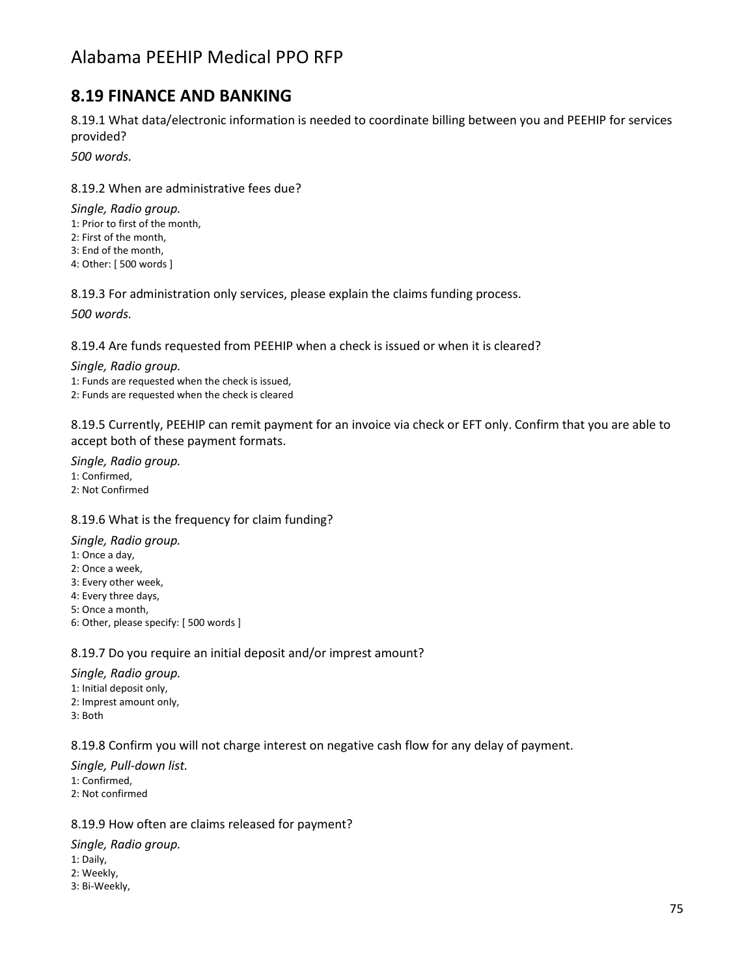### **8.19 FINANCE AND BANKING**

8.19.1 What data/electronic information is needed to coordinate billing between you and PEEHIP for services provided?

*500 words.*

8.19.2 When are administrative fees due?

*Single, Radio group.* 1: Prior to first of the month, 2: First of the month, 3: End of the month, 4: Other: [ 500 words ]

8.19.3 For administration only services, please explain the claims funding process.

*500 words.*

8.19.4 Are funds requested from PEEHIP when a check is issued or when it is cleared?

*Single, Radio group.* 1: Funds are requested when the check is issued, 2: Funds are requested when the check is cleared

8.19.5 Currently, PEEHIP can remit payment for an invoice via check or EFT only. Confirm that you are able to accept both of these payment formats.

*Single, Radio group.* 1: Confirmed, 2: Not Confirmed

#### 8.19.6 What is the frequency for claim funding?

*Single, Radio group.*

- 1: Once a day,
- 2: Once a week,
- 3: Every other week,
- 4: Every three days,
- 5: Once a month,
- 6: Other, please specify: [ 500 words ]

#### 8.19.7 Do you require an initial deposit and/or imprest amount?

*Single, Radio group.* 1: Initial deposit only, 2: Imprest amount only, 3: Both

8.19.8 Confirm you will not charge interest on negative cash flow for any delay of payment.

*Single, Pull-down list.* 1: Confirmed, 2: Not confirmed

8.19.9 How often are claims released for payment?

*Single, Radio group.* 1: Daily, 2: Weekly, 3: Bi-Weekly,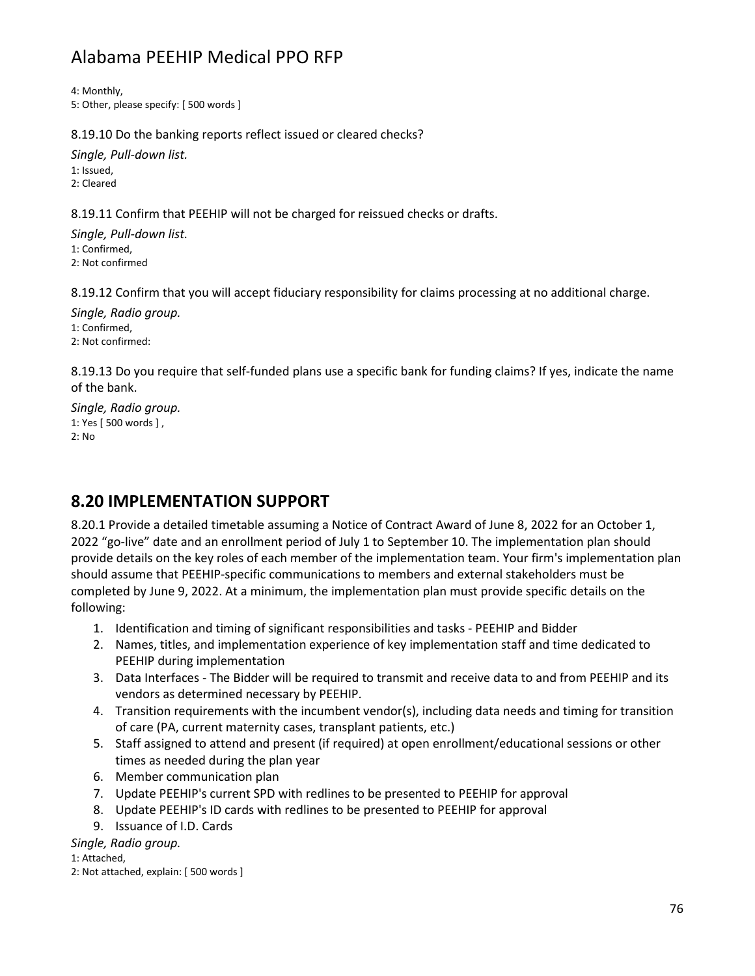4: Monthly, 5: Other, please specify: [ 500 words ]

8.19.10 Do the banking reports reflect issued or cleared checks?

*Single, Pull-down list.* 1: Issued, 2: Cleared

8.19.11 Confirm that PEEHIP will not be charged for reissued checks or drafts.

*Single, Pull-down list.* 1: Confirmed, 2: Not confirmed

8.19.12 Confirm that you will accept fiduciary responsibility for claims processing at no additional charge.

*Single, Radio group.* 1: Confirmed, 2: Not confirmed:

8.19.13 Do you require that self-funded plans use a specific bank for funding claims? If yes, indicate the name of the bank.

*Single, Radio group.* 1: Yes [ 500 words ] , 2: No

## **8.20 IMPLEMENTATION SUPPORT**

8.20.1 Provide a detailed timetable assuming a Notice of Contract Award of June 8, 2022 for an October 1, 2022 "go-live" date and an enrollment period of July 1 to September 10. The implementation plan should provide details on the key roles of each member of the implementation team. Your firm's implementation plan should assume that PEEHIP-specific communications to members and external stakeholders must be completed by June 9, 2022. At a minimum, the implementation plan must provide specific details on the following:

- 1. Identification and timing of significant responsibilities and tasks PEEHIP and Bidder
- 2. Names, titles, and implementation experience of key implementation staff and time dedicated to PEEHIP during implementation
- 3. Data Interfaces The Bidder will be required to transmit and receive data to and from PEEHIP and its vendors as determined necessary by PEEHIP.
- 4. Transition requirements with the incumbent vendor(s), including data needs and timing for transition of care (PA, current maternity cases, transplant patients, etc.)
- 5. Staff assigned to attend and present (if required) at open enrollment/educational sessions or other times as needed during the plan year
- 6. Member communication plan
- 7. Update PEEHIP's current SPD with redlines to be presented to PEEHIP for approval
- 8. Update PEEHIP's ID cards with redlines to be presented to PEEHIP for approval
- 9. Issuance of I.D. Cards

*Single, Radio group.*

1: Attached,

2: Not attached, explain: [ 500 words ]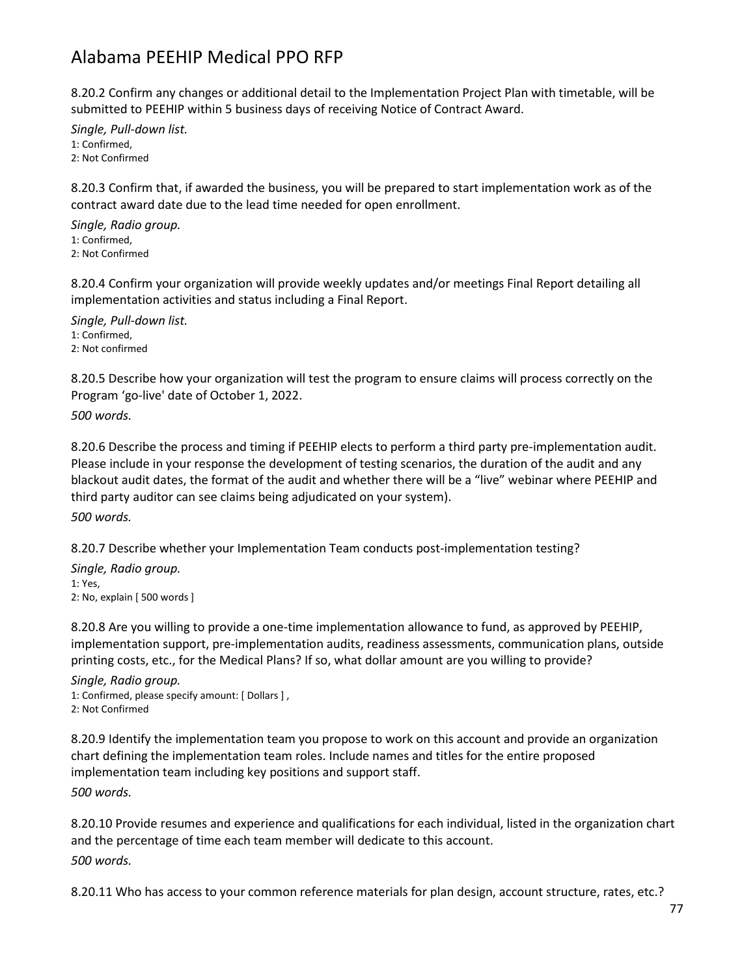8.20.2 Confirm any changes or additional detail to the Implementation Project Plan with timetable, will be submitted to PEEHIP within 5 business days of receiving Notice of Contract Award.

*Single, Pull-down list.* 1: Confirmed, 2: Not Confirmed

8.20.3 Confirm that, if awarded the business, you will be prepared to start implementation work as of the contract award date due to the lead time needed for open enrollment.

*Single, Radio group.* 1: Confirmed, 2: Not Confirmed

8.20.4 Confirm your organization will provide weekly updates and/or meetings Final Report detailing all implementation activities and status including a Final Report.

*Single, Pull-down list.* 1: Confirmed, 2: Not confirmed

8.20.5 Describe how your organization will test the program to ensure claims will process correctly on the Program 'go-live' date of October 1, 2022.

*500 words.*

8.20.6 Describe the process and timing if PEEHIP elects to perform a third party pre-implementation audit. Please include in your response the development of testing scenarios, the duration of the audit and any blackout audit dates, the format of the audit and whether there will be a "live" webinar where PEEHIP and third party auditor can see claims being adjudicated on your system).

*500 words.*

8.20.7 Describe whether your Implementation Team conducts post-implementation testing?

*Single, Radio group.* 1: Yes, 2: No, explain [ 500 words ]

8.20.8 Are you willing to provide a one-time implementation allowance to fund, as approved by PEEHIP, implementation support, pre-implementation audits, readiness assessments, communication plans, outside printing costs, etc., for the Medical Plans? If so, what dollar amount are you willing to provide?

*Single, Radio group.* 1: Confirmed, please specify amount: [ Dollars ] , 2: Not Confirmed

8.20.9 Identify the implementation team you propose to work on this account and provide an organization chart defining the implementation team roles. Include names and titles for the entire proposed implementation team including key positions and support staff.

*500 words.*

8.20.10 Provide resumes and experience and qualifications for each individual, listed in the organization chart and the percentage of time each team member will dedicate to this account. *500 words.*

8.20.11 Who has access to your common reference materials for plan design, account structure, rates, etc.?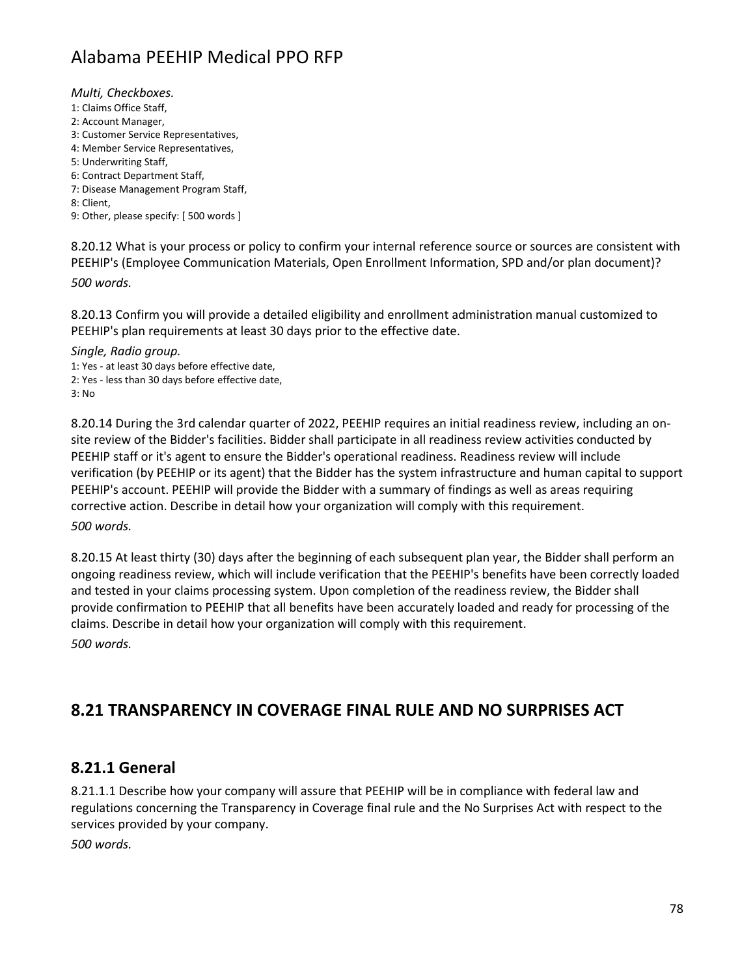*Multi, Checkboxes.*

- 1: Claims Office Staff,
- 2: Account Manager,
- 3: Customer Service Representatives,
- 4: Member Service Representatives,
- 5: Underwriting Staff,
- 6: Contract Department Staff, 7: Disease Management Program Staff,
- 8: Client,
- 9: Other, please specify: [ 500 words ]

8.20.12 What is your process or policy to confirm your internal reference source or sources are consistent with PEEHIP's (Employee Communication Materials, Open Enrollment Information, SPD and/or plan document)?

*500 words.*

8.20.13 Confirm you will provide a detailed eligibility and enrollment administration manual customized to PEEHIP's plan requirements at least 30 days prior to the effective date.

*Single, Radio group.* 1: Yes - at least 30 days before effective date, 2: Yes - less than 30 days before effective date,

3: No

8.20.14 During the 3rd calendar quarter of 2022, PEEHIP requires an initial readiness review, including an onsite review of the Bidder's facilities. Bidder shall participate in all readiness review activities conducted by PEEHIP staff or it's agent to ensure the Bidder's operational readiness. Readiness review will include verification (by PEEHIP or its agent) that the Bidder has the system infrastructure and human capital to support PEEHIP's account. PEEHIP will provide the Bidder with a summary of findings as well as areas requiring corrective action. Describe in detail how your organization will comply with this requirement. *500 words.*

8.20.15 At least thirty (30) days after the beginning of each subsequent plan year, the Bidder shall perform an ongoing readiness review, which will include verification that the PEEHIP's benefits have been correctly loaded and tested in your claims processing system. Upon completion of the readiness review, the Bidder shall provide confirmation to PEEHIP that all benefits have been accurately loaded and ready for processing of the claims. Describe in detail how your organization will comply with this requirement.

*500 words.*

## **8.21 TRANSPARENCY IN COVERAGE FINAL RULE AND NO SURPRISES ACT**

#### **8.21.1 General**

8.21.1.1 Describe how your company will assure that PEEHIP will be in compliance with federal law and regulations concerning the Transparency in Coverage final rule and the No Surprises Act with respect to the services provided by your company.

*500 words.*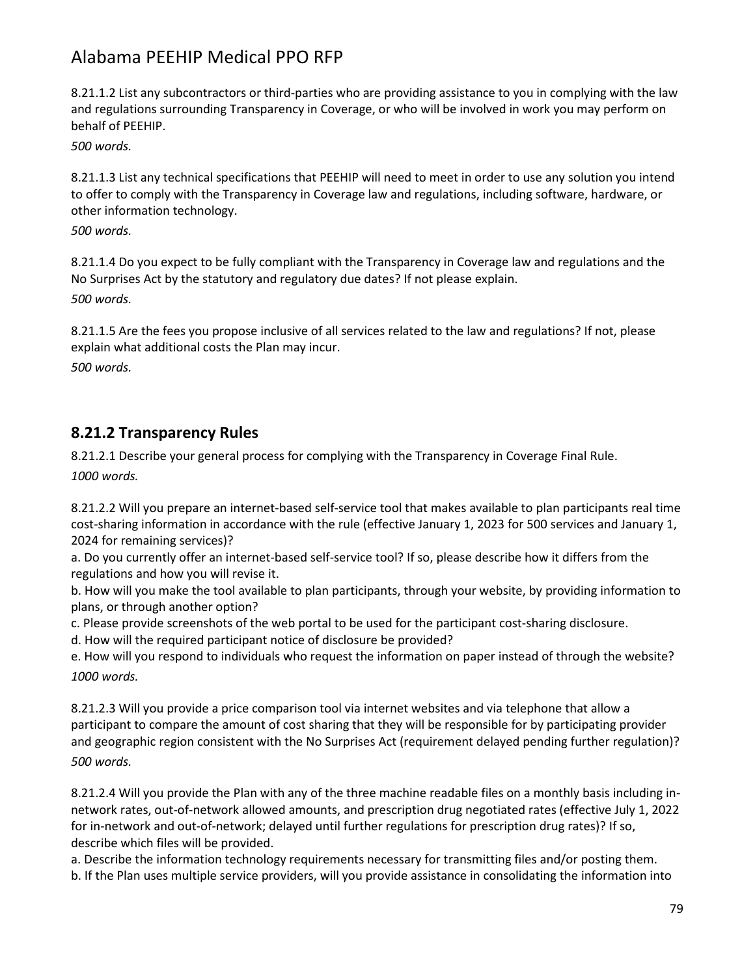8.21.1.2 List any subcontractors or third-parties who are providing assistance to you in complying with the law and regulations surrounding Transparency in Coverage, or who will be involved in work you may perform on behalf of PEEHIP.

*500 words.*

8.21.1.3 List any technical specifications that PEEHIP will need to meet in order to use any solution you intend to offer to comply with the Transparency in Coverage law and regulations, including software, hardware, or other information technology.

*500 words.*

8.21.1.4 Do you expect to be fully compliant with the Transparency in Coverage law and regulations and the No Surprises Act by the statutory and regulatory due dates? If not please explain. *500 words.*

8.21.1.5 Are the fees you propose inclusive of all services related to the law and regulations? If not, please explain what additional costs the Plan may incur.

*500 words.*

#### **8.21.2 Transparency Rules**

8.21.2.1 Describe your general process for complying with the Transparency in Coverage Final Rule. *1000 words.*

8.21.2.2 Will you prepare an internet-based self-service tool that makes available to plan participants real time cost-sharing information in accordance with the rule (effective January 1, 2023 for 500 services and January 1, 2024 for remaining services)?

a. Do you currently offer an internet-based self-service tool? If so, please describe how it differs from the regulations and how you will revise it.

b. How will you make the tool available to plan participants, through your website, by providing information to plans, or through another option?

c. Please provide screenshots of the web portal to be used for the participant cost-sharing disclosure.

d. How will the required participant notice of disclosure be provided?

e. How will you respond to individuals who request the information on paper instead of through the website? *1000 words.*

8.21.2.3 Will you provide a price comparison tool via internet websites and via telephone that allow a participant to compare the amount of cost sharing that they will be responsible for by participating provider and geographic region consistent with the No Surprises Act (requirement delayed pending further regulation)? *500 words.*

8.21.2.4 Will you provide the Plan with any of the three machine readable files on a monthly basis including innetwork rates, out-of-network allowed amounts, and prescription drug negotiated rates (effective July 1, 2022 for in-network and out-of-network; delayed until further regulations for prescription drug rates)? If so, describe which files will be provided.

a. Describe the information technology requirements necessary for transmitting files and/or posting them. b. If the Plan uses multiple service providers, will you provide assistance in consolidating the information into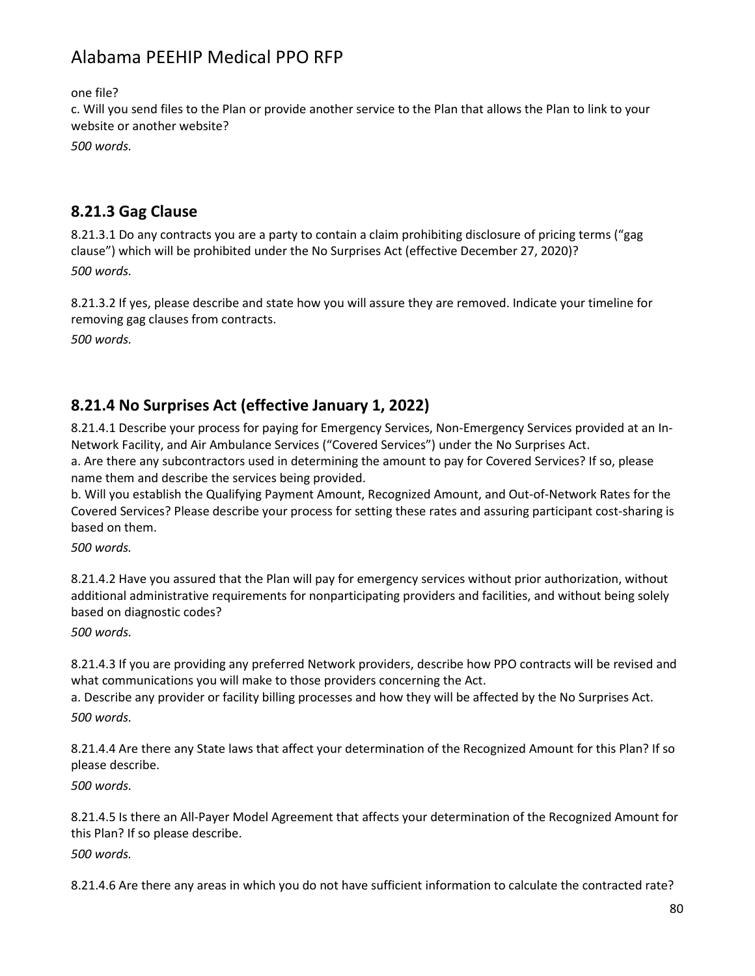one file?

c. Will you send files to the Plan or provide another service to the Plan that allows the Plan to link to your website or another website?

*500 words.*

#### **8.21.3 Gag Clause**

8.21.3.1 Do any contracts you are a party to contain a claim prohibiting disclosure of pricing terms ("gag clause") which will be prohibited under the No Surprises Act (effective December 27, 2020)? *500 words.*

8.21.3.2 If yes, please describe and state how you will assure they are removed. Indicate your timeline for removing gag clauses from contracts.

*500 words.*

### **8.21.4 No Surprises Act (effective January 1, 2022)**

8.21.4.1 Describe your process for paying for Emergency Services, Non-Emergency Services provided at an In-Network Facility, and Air Ambulance Services ("Covered Services") under the No Surprises Act. a. Are there any subcontractors used in determining the amount to pay for Covered Services? If so, please name them and describe the services being provided.

b. Will you establish the Qualifying Payment Amount, Recognized Amount, and Out-of-Network Rates for the Covered Services? Please describe your process for setting these rates and assuring participant cost-sharing is based on them.

*500 words.*

8.21.4.2 Have you assured that the Plan will pay for emergency services without prior authorization, without additional administrative requirements for nonparticipating providers and facilities, and without being solely based on diagnostic codes?

*500 words.*

8.21.4.3 If you are providing any preferred Network providers, describe how PPO contracts will be revised and what communications you will make to those providers concerning the Act.

a. Describe any provider or facility billing processes and how they will be affected by the No Surprises Act. *500 words.*

8.21.4.4 Are there any State laws that affect your determination of the Recognized Amount for this Plan? If so please describe.

*500 words.*

8.21.4.5 Is there an All-Payer Model Agreement that affects your determination of the Recognized Amount for this Plan? If so please describe.

*500 words.*

8.21.4.6 Are there any areas in which you do not have sufficient information to calculate the contracted rate?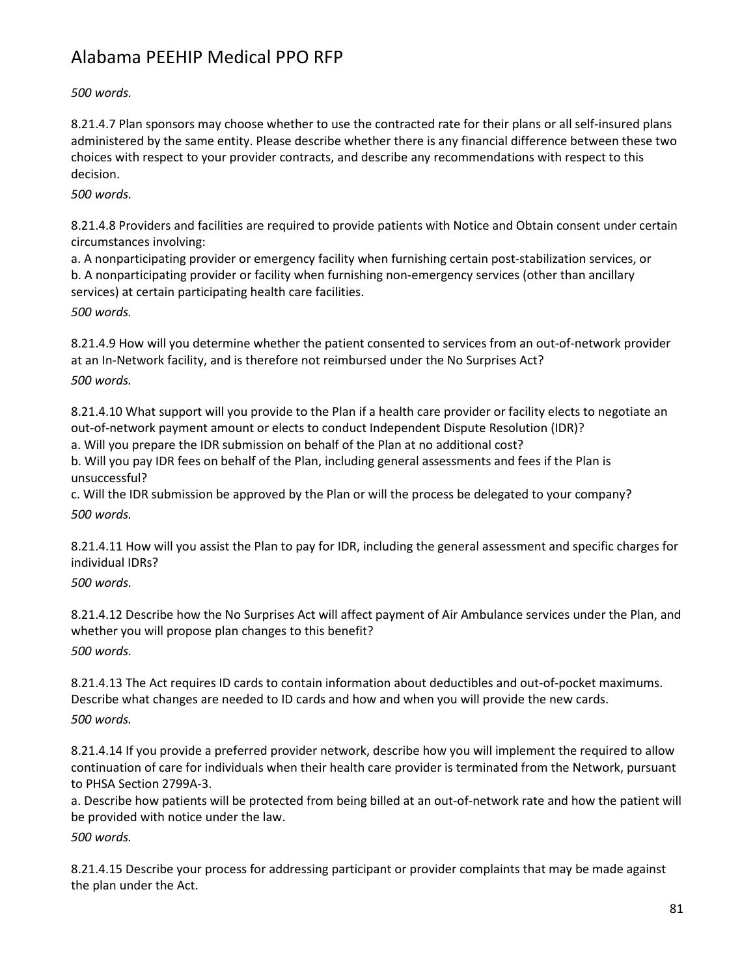*500 words.*

8.21.4.7 Plan sponsors may choose whether to use the contracted rate for their plans or all self-insured plans administered by the same entity. Please describe whether there is any financial difference between these two choices with respect to your provider contracts, and describe any recommendations with respect to this decision.

*500 words.*

8.21.4.8 Providers and facilities are required to provide patients with Notice and Obtain consent under certain circumstances involving:

a. A nonparticipating provider or emergency facility when furnishing certain post-stabilization services, or b. A nonparticipating provider or facility when furnishing non-emergency services (other than ancillary services) at certain participating health care facilities.

*500 words.*

8.21.4.9 How will you determine whether the patient consented to services from an out-of-network provider at an In-Network facility, and is therefore not reimbursed under the No Surprises Act? *500 words.*

8.21.4.10 What support will you provide to the Plan if a health care provider or facility elects to negotiate an out-of-network payment amount or elects to conduct Independent Dispute Resolution (IDR)?

a. Will you prepare the IDR submission on behalf of the Plan at no additional cost?

b. Will you pay IDR fees on behalf of the Plan, including general assessments and fees if the Plan is unsuccessful?

c. Will the IDR submission be approved by the Plan or will the process be delegated to your company? *500 words.*

8.21.4.11 How will you assist the Plan to pay for IDR, including the general assessment and specific charges for individual IDRs?

*500 words.*

8.21.4.12 Describe how the No Surprises Act will affect payment of Air Ambulance services under the Plan, and whether you will propose plan changes to this benefit? *500 words.*

8.21.4.13 The Act requires ID cards to contain information about deductibles and out-of-pocket maximums. Describe what changes are needed to ID cards and how and when you will provide the new cards. *500 words.*

8.21.4.14 If you provide a preferred provider network, describe how you will implement the required to allow continuation of care for individuals when their health care provider is terminated from the Network, pursuant to PHSA Section 2799A-3.

a. Describe how patients will be protected from being billed at an out-of-network rate and how the patient will be provided with notice under the law.

*500 words.*

8.21.4.15 Describe your process for addressing participant or provider complaints that may be made against the plan under the Act.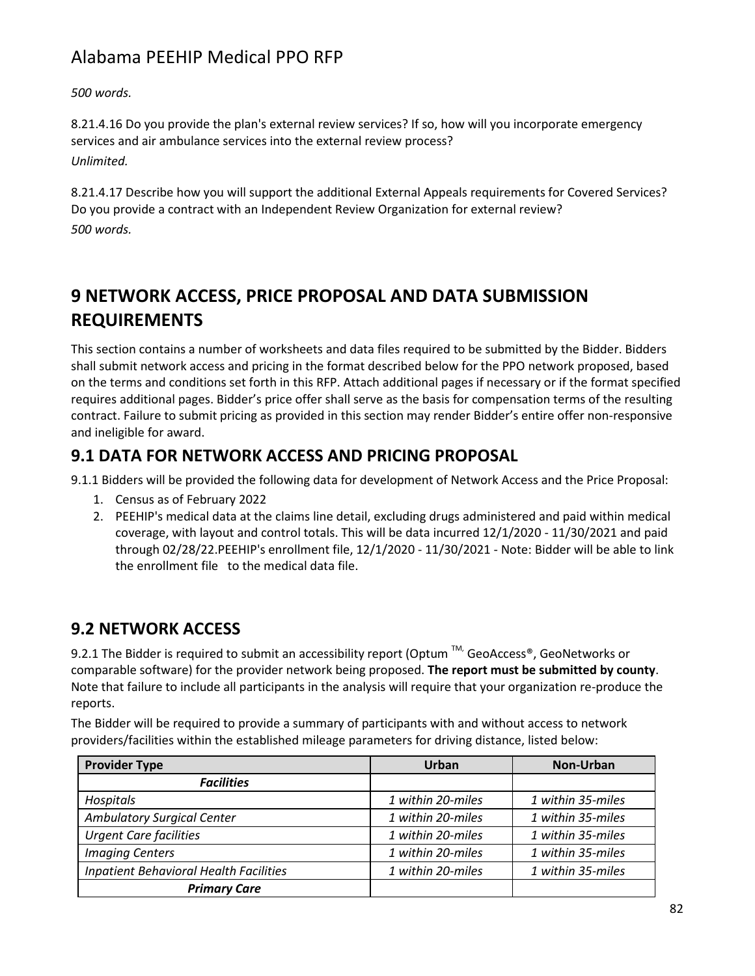*500 words.*

8.21.4.16 Do you provide the plan's external review services? If so, how will you incorporate emergency services and air ambulance services into the external review process? *Unlimited.*

8.21.4.17 Describe how you will support the additional External Appeals requirements for Covered Services? Do you provide a contract with an Independent Review Organization for external review? *500 words.*

# **9 NETWORK ACCESS, PRICE PROPOSAL AND DATA SUBMISSION REQUIREMENTS**

This section contains a number of worksheets and data files required to be submitted by the Bidder. Bidders shall submit network access and pricing in the format described below for the PPO network proposed, based on the terms and conditions set forth in this RFP. Attach additional pages if necessary or if the format specified requires additional pages. Bidder's price offer shall serve as the basis for compensation terms of the resulting contract. Failure to submit pricing as provided in this section may render Bidder's entire offer non-responsive and ineligible for award.

### **9.1 DATA FOR NETWORK ACCESS AND PRICING PROPOSAL**

9.1.1 Bidders will be provided the following data for development of Network Access and the Price Proposal:

- 1. Census as of February 2022
- 2. PEEHIP's medical data at the claims line detail, excluding drugs administered and paid within medical coverage, with layout and control totals. This will be data incurred 12/1/2020 - 11/30/2021 and paid through 02/28/22.PEEHIP's enrollment file, 12/1/2020 - 11/30/2021 - Note: Bidder will be able to link the enrollment file to the medical data file.

## **9.2 NETWORK ACCESS**

9.2.1 The Bidder is required to submit an accessibility report (Optum ™, GeoAccess®, GeoNetworks or comparable software) for the provider network being proposed. **The report must be submitted by county**. Note that failure to include all participants in the analysis will require that your organization re-produce the reports.

The Bidder will be required to provide a summary of participants with and without access to network providers/facilities within the established mileage parameters for driving distance, listed below:

| <b>Provider Type</b>                          | Urban             | Non-Urban         |
|-----------------------------------------------|-------------------|-------------------|
| <b>Facilities</b>                             |                   |                   |
| Hospitals                                     | 1 within 20-miles | 1 within 35-miles |
| <b>Ambulatory Surgical Center</b>             | 1 within 20-miles | 1 within 35-miles |
| <b>Urgent Care facilities</b>                 | 1 within 20-miles | 1 within 35-miles |
| <b>Imaging Centers</b>                        | 1 within 20-miles | 1 within 35-miles |
| <b>Inpatient Behavioral Health Facilities</b> | 1 within 20-miles | 1 within 35-miles |
| <b>Primary Care</b>                           |                   |                   |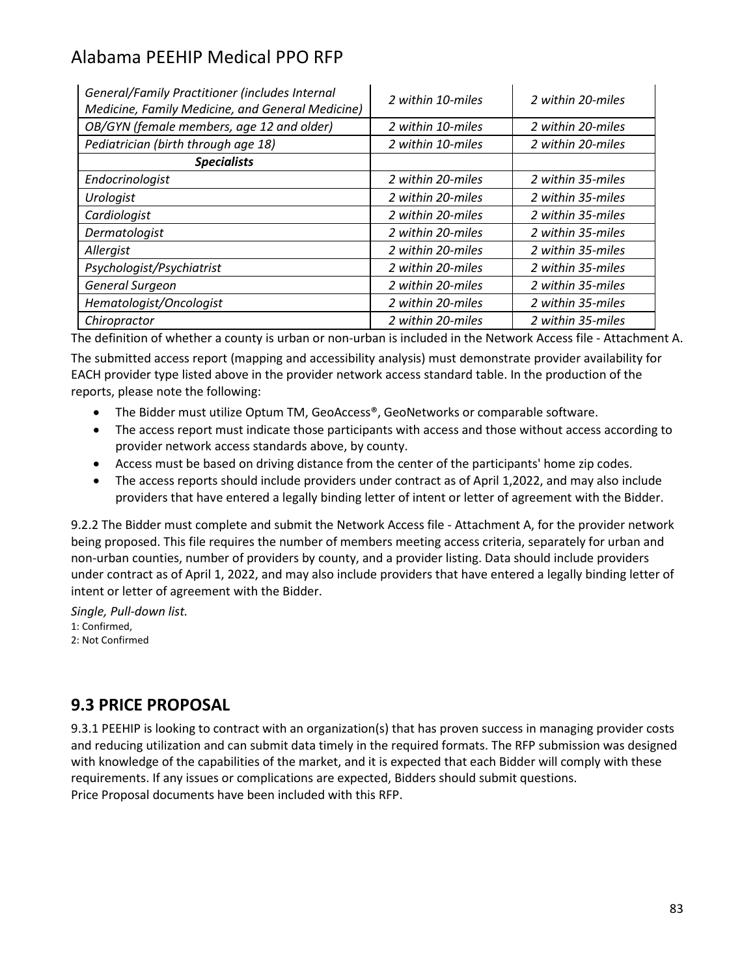| General/Family Practitioner (includes Internal<br>Medicine, Family Medicine, and General Medicine) | 2 within 10-miles | 2 within 20-miles |
|----------------------------------------------------------------------------------------------------|-------------------|-------------------|
| OB/GYN (female members, age 12 and older)                                                          | 2 within 10-miles | 2 within 20-miles |
| Pediatrician (birth through age 18)                                                                | 2 within 10-miles | 2 within 20-miles |
| <b>Specialists</b>                                                                                 |                   |                   |
| Endocrinologist                                                                                    | 2 within 20-miles | 2 within 35-miles |
| Urologist                                                                                          | 2 within 20-miles | 2 within 35-miles |
| Cardiologist                                                                                       | 2 within 20-miles | 2 within 35-miles |
| Dermatologist                                                                                      | 2 within 20-miles | 2 within 35-miles |
| Allergist                                                                                          | 2 within 20-miles | 2 within 35-miles |
| Psychologist/Psychiatrist                                                                          | 2 within 20-miles | 2 within 35-miles |
| General Surgeon                                                                                    | 2 within 20-miles | 2 within 35-miles |
| Hematologist/Oncologist                                                                            | 2 within 20-miles | 2 within 35-miles |
| Chiropractor                                                                                       | 2 within 20-miles | 2 within 35-miles |

The definition of whether a county is urban or non-urban is included in the Network Access file - Attachment A. The submitted access report (mapping and accessibility analysis) must demonstrate provider availability for EACH provider type listed above in the provider network access standard table. In the production of the reports, please note the following:

- The Bidder must utilize Optum TM, GeoAccess®, GeoNetworks or comparable software.
- The access report must indicate those participants with access and those without access according to provider network access standards above, by county.
- Access must be based on driving distance from the center of the participants' home zip codes.
- The access reports should include providers under contract as of April 1,2022, and may also include providers that have entered a legally binding letter of intent or letter of agreement with the Bidder.

9.2.2 The Bidder must complete and submit the Network Access file - Attachment A, for the provider network being proposed. This file requires the number of members meeting access criteria, separately for urban and non-urban counties, number of providers by county, and a provider listing. Data should include providers under contract as of April 1, 2022, and may also include providers that have entered a legally binding letter of intent or letter of agreement with the Bidder.

*Single, Pull-down list.* 1: Confirmed, 2: Not Confirmed

#### **9.3 PRICE PROPOSAL**

9.3.1 PEEHIP is looking to contract with an organization(s) that has proven success in managing provider costs and reducing utilization and can submit data timely in the required formats. The RFP submission was designed with knowledge of the capabilities of the market, and it is expected that each Bidder will comply with these requirements. If any issues or complications are expected, Bidders should submit questions. Price Proposal documents have been included with this RFP.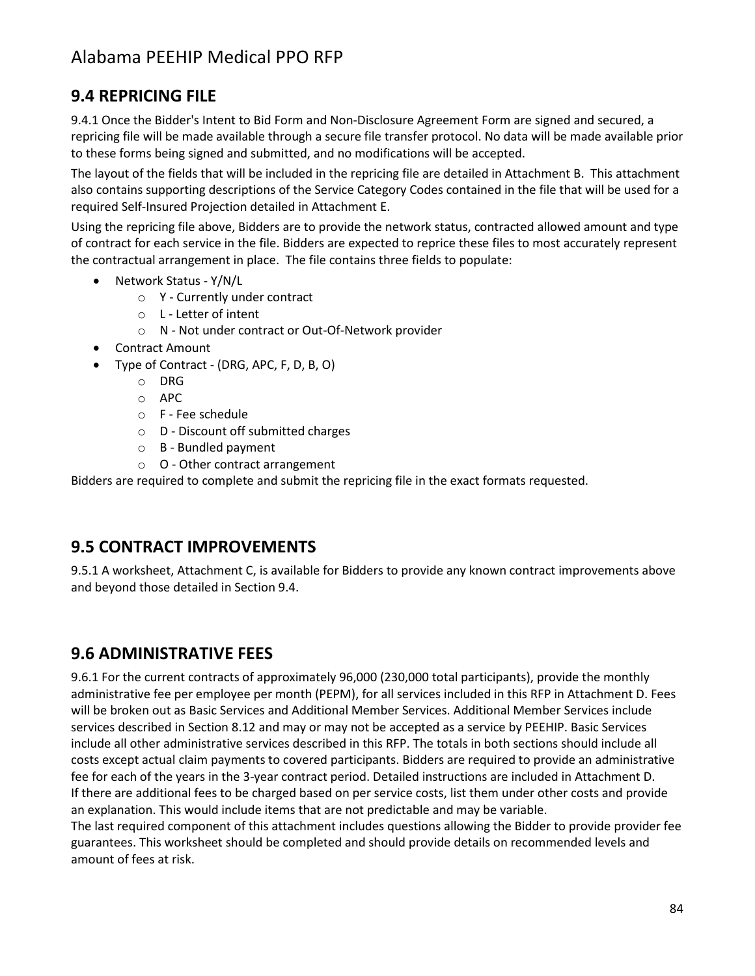### **9.4 REPRICING FILE**

9.4.1 Once the Bidder's Intent to Bid Form and Non-Disclosure Agreement Form are signed and secured, a repricing file will be made available through a secure file transfer protocol. No data will be made available prior to these forms being signed and submitted, and no modifications will be accepted.

The layout of the fields that will be included in the repricing file are detailed in Attachment B. This attachment also contains supporting descriptions of the Service Category Codes contained in the file that will be used for a required Self-Insured Projection detailed in Attachment E.

Using the repricing file above, Bidders are to provide the network status, contracted allowed amount and type of contract for each service in the file. Bidders are expected to reprice these files to most accurately represent the contractual arrangement in place. The file contains three fields to populate:

- Network Status Y/N/L
	- o Y Currently under contract
	- o L Letter of intent
	- o N Not under contract or Out-Of-Network provider
- Contract Amount
- Type of Contract (DRG, APC, F, D, B, O)
	- o DRG
	- o APC
	- o F Fee schedule
	- o D Discount off submitted charges
	- o B Bundled payment
	- $\circ$  O Other contract arrangement

Bidders are required to complete and submit the repricing file in the exact formats requested.

#### **9.5 CONTRACT IMPROVEMENTS**

9.5.1 A worksheet, Attachment C, is available for Bidders to provide any known contract improvements above and beyond those detailed in Section 9.4.

### **9.6 ADMINISTRATIVE FEES**

9.6.1 For the current contracts of approximately 96,000 (230,000 total participants), provide the monthly administrative fee per employee per month (PEPM), for all services included in this RFP in Attachment D. Fees will be broken out as Basic Services and Additional Member Services. Additional Member Services include services described in Section 8.12 and may or may not be accepted as a service by PEEHIP. Basic Services include all other administrative services described in this RFP. The totals in both sections should include all costs except actual claim payments to covered participants. Bidders are required to provide an administrative fee for each of the years in the 3-year contract period. Detailed instructions are included in Attachment D. If there are additional fees to be charged based on per service costs, list them under other costs and provide an explanation. This would include items that are not predictable and may be variable.

The last required component of this attachment includes questions allowing the Bidder to provide provider fee guarantees. This worksheet should be completed and should provide details on recommended levels and amount of fees at risk.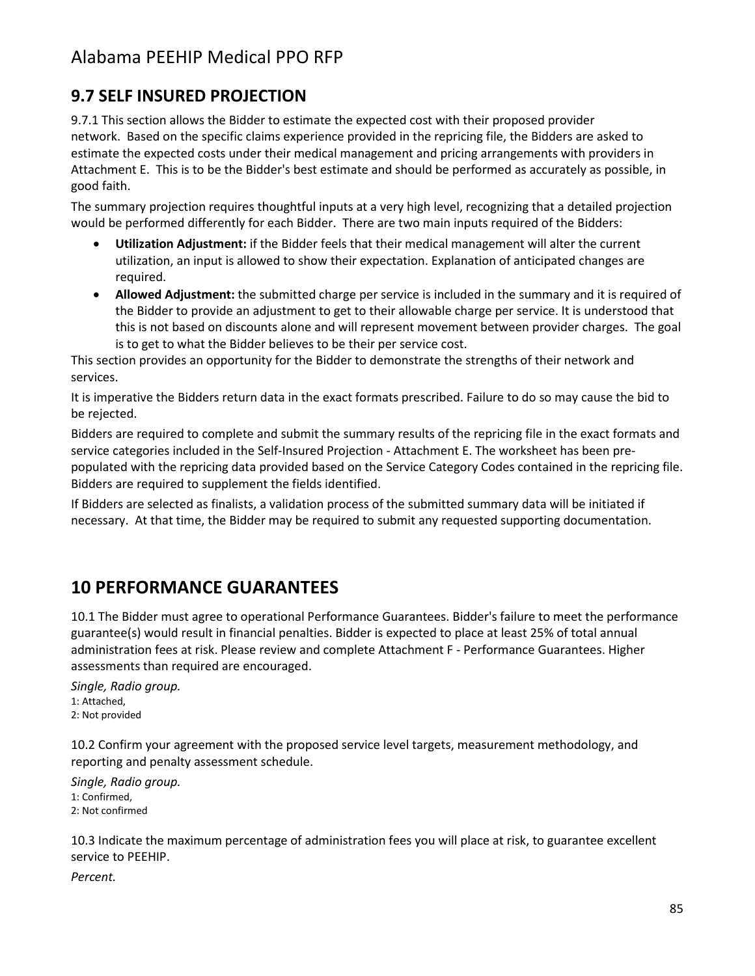## **9.7 SELF INSURED PROJECTION**

9.7.1 This section allows the Bidder to estimate the expected cost with their proposed provider network. Based on the specific claims experience provided in the repricing file, the Bidders are asked to estimate the expected costs under their medical management and pricing arrangements with providers in Attachment E. This is to be the Bidder's best estimate and should be performed as accurately as possible, in good faith.

The summary projection requires thoughtful inputs at a very high level, recognizing that a detailed projection would be performed differently for each Bidder. There are two main inputs required of the Bidders:

- **Utilization Adjustment:** if the Bidder feels that their medical management will alter the current utilization, an input is allowed to show their expectation. Explanation of anticipated changes are required.
- **Allowed Adjustment:** the submitted charge per service is included in the summary and it is required of the Bidder to provide an adjustment to get to their allowable charge per service. It is understood that this is not based on discounts alone and will represent movement between provider charges. The goal is to get to what the Bidder believes to be their per service cost.

This section provides an opportunity for the Bidder to demonstrate the strengths of their network and services.

It is imperative the Bidders return data in the exact formats prescribed. Failure to do so may cause the bid to be rejected.

Bidders are required to complete and submit the summary results of the repricing file in the exact formats and service categories included in the Self-Insured Projection - Attachment E. The worksheet has been prepopulated with the repricing data provided based on the Service Category Codes contained in the repricing file. Bidders are required to supplement the fields identified.

If Bidders are selected as finalists, a validation process of the submitted summary data will be initiated if necessary. At that time, the Bidder may be required to submit any requested supporting documentation.

## **10 PERFORMANCE GUARANTEES**

10.1 The Bidder must agree to operational Performance Guarantees. Bidder's failure to meet the performance guarantee(s) would result in financial penalties. Bidder is expected to place at least 25% of total annual administration fees at risk. Please review and complete Attachment F - Performance Guarantees. Higher assessments than required are encouraged.

*Single, Radio group.* 1: Attached, 2: Not provided

10.2 Confirm your agreement with the proposed service level targets, measurement methodology, and reporting and penalty assessment schedule.

*Single, Radio group.* 1: Confirmed, 2: Not confirmed

10.3 Indicate the maximum percentage of administration fees you will place at risk, to guarantee excellent service to PEEHIP.

*Percent.*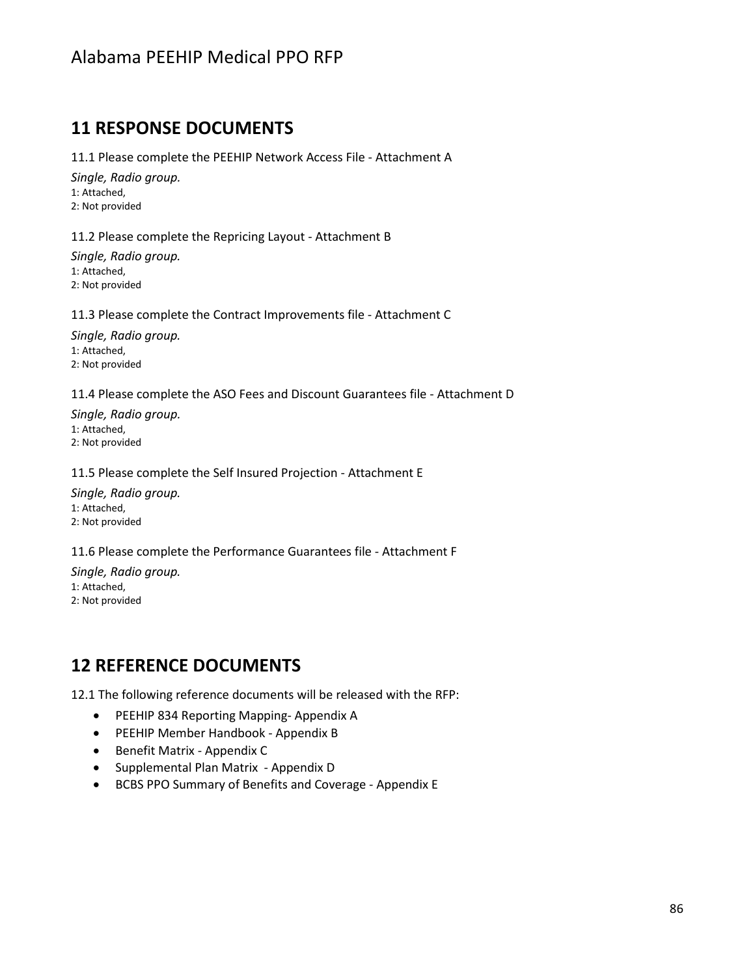#### **11 RESPONSE DOCUMENTS**

11.1 Please complete the PEEHIP Network Access File - Attachment A

*Single, Radio group.* 1: Attached, 2: Not provided

11.2 Please complete the Repricing Layout - Attachment B

*Single, Radio group.* 1: Attached, 2: Not provided

11.3 Please complete the Contract Improvements file - Attachment C

*Single, Radio group.* 1: Attached, 2: Not provided

11.4 Please complete the ASO Fees and Discount Guarantees file - Attachment D

*Single, Radio group.* 1: Attached, 2: Not provided

11.5 Please complete the Self Insured Projection - Attachment E

*Single, Radio group.* 1: Attached, 2: Not provided

11.6 Please complete the Performance Guarantees file - Attachment F

*Single, Radio group.* 1: Attached, 2: Not provided

## **12 REFERENCE DOCUMENTS**

12.1 The following reference documents will be released with the RFP:

- PEEHIP 834 Reporting Mapping- Appendix A
- PEEHIP Member Handbook Appendix B
- Benefit Matrix Appendix C
- Supplemental Plan Matrix Appendix D
- BCBS PPO Summary of Benefits and Coverage Appendix E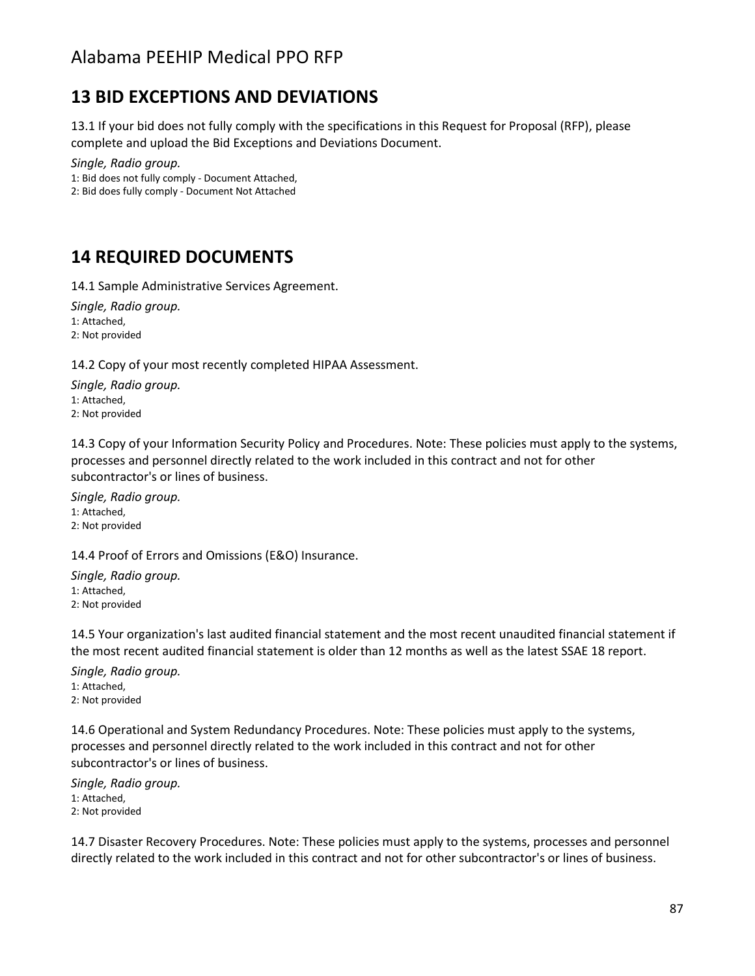## **13 BID EXCEPTIONS AND DEVIATIONS**

13.1 If your bid does not fully comply with the specifications in this Request for Proposal (RFP), please complete and upload the Bid Exceptions and Deviations Document.

*Single, Radio group.* 1: Bid does not fully comply - Document Attached,

2: Bid does fully comply - Document Not Attached

## **14 REQUIRED DOCUMENTS**

14.1 Sample Administrative Services Agreement.

*Single, Radio group.* 1: Attached, 2: Not provided

14.2 Copy of your most recently completed HIPAA Assessment.

*Single, Radio group.* 1: Attached, 2: Not provided

14.3 Copy of your Information Security Policy and Procedures. Note: These policies must apply to the systems, processes and personnel directly related to the work included in this contract and not for other subcontractor's or lines of business.

*Single, Radio group.* 1: Attached, 2: Not provided

14.4 Proof of Errors and Omissions (E&O) Insurance.

*Single, Radio group.* 1: Attached, 2: Not provided

14.5 Your organization's last audited financial statement and the most recent unaudited financial statement if the most recent audited financial statement is older than 12 months as well as the latest SSAE 18 report.

*Single, Radio group.* 1: Attached, 2: Not provided

14.6 Operational and System Redundancy Procedures. Note: These policies must apply to the systems, processes and personnel directly related to the work included in this contract and not for other subcontractor's or lines of business.

*Single, Radio group.* 1: Attached, 2: Not provided

14.7 Disaster Recovery Procedures. Note: These policies must apply to the systems, processes and personnel directly related to the work included in this contract and not for other subcontractor's or lines of business.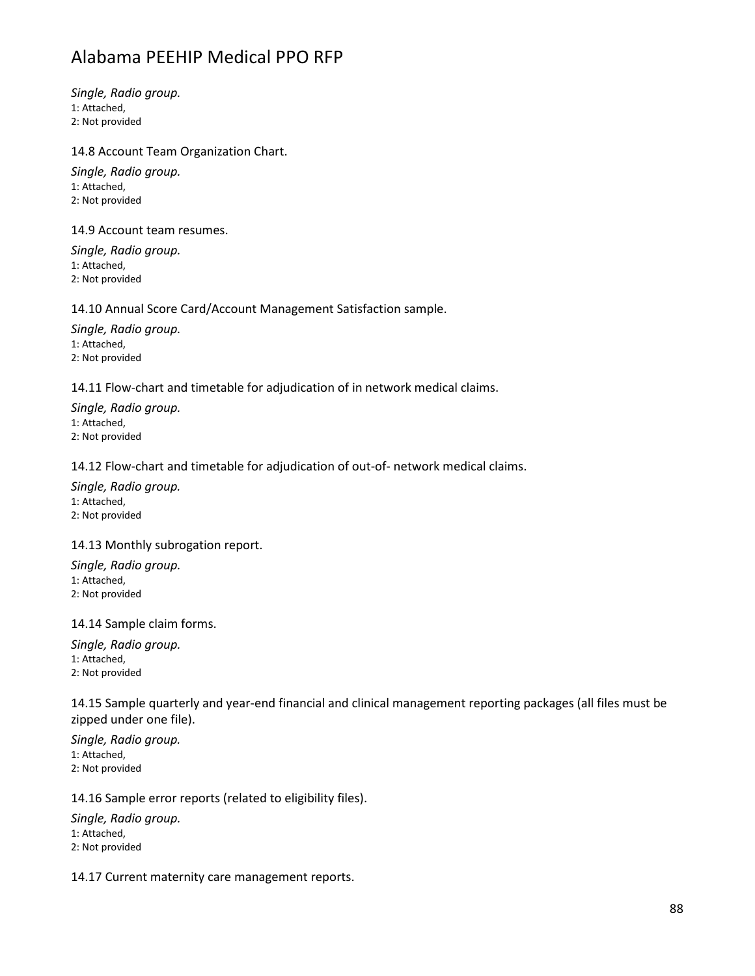*Single, Radio group.* 1: Attached, 2: Not provided

#### 14.8 Account Team Organization Chart.

*Single, Radio group.* 1: Attached, 2: Not provided

14.9 Account team resumes.

*Single, Radio group.* 1: Attached, 2: Not provided

#### 14.10 Annual Score Card/Account Management Satisfaction sample.

*Single, Radio group.* 1: Attached, 2: Not provided

14.11 Flow-chart and timetable for adjudication of in network medical claims.

*Single, Radio group.* 1: Attached, 2: Not provided

#### 14.12 Flow-chart and timetable for adjudication of out-of- network medical claims.

*Single, Radio group.* 1: Attached, 2: Not provided

#### 14.13 Monthly subrogation report.

*Single, Radio group.* 1: Attached, 2: Not provided

14.14 Sample claim forms.

*Single, Radio group.* 1: Attached, 2: Not provided

14.15 Sample quarterly and year-end financial and clinical management reporting packages (all files must be zipped under one file).

*Single, Radio group.* 1: Attached, 2: Not provided

14.16 Sample error reports (related to eligibility files).

*Single, Radio group.*

1: Attached,

2: Not provided

14.17 Current maternity care management reports.